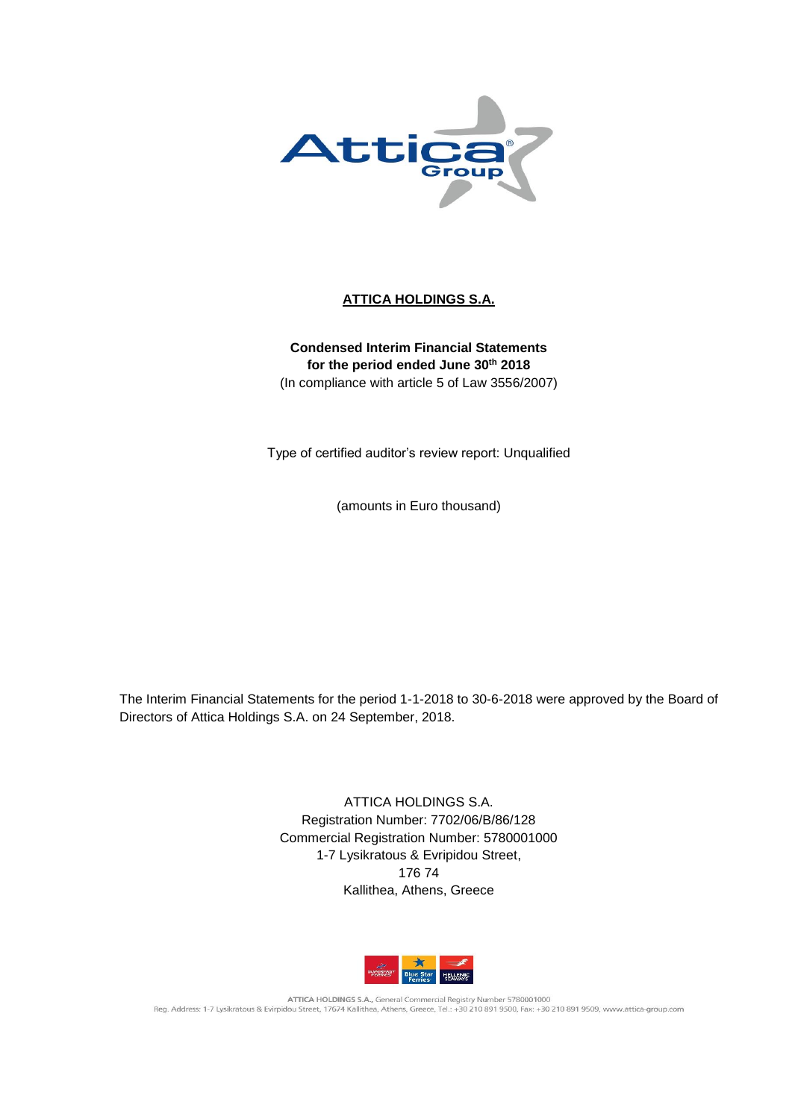

# **ATTICA HOLDINGS S.A.**

**Condensed Interim Financial Statements for the period ended June 30th 2018** (In compliance with article 5 of Law 3556/2007)

Type of certified auditor's review report: Unqualified

(amounts in Euro thousand)

The Interim Financial Statements for the period 1-1-2018 to 30-6-2018 were approved by the Board of Directors of Attica Holdings S.A. on 24 September, 2018.

> ATTICA HOLDINGS S.A. Registration Number: 7702/06/B/86/128 Commercial Registration Number: 5780001000 1-7 Lysikratous & Evripidou Street, 176 74 Kallithea, Athens, Greece



ATTICA HOLDINGS S.A., General Commercial Registry Number 5780001000<br>Reg. Address: 1-7 Lysikratous & Evirpidou Street, 17674 Kallithea, Athens, Greece, Tel.: +30 210 891 9500, Fax: +30 210 891 9509, www.attica-group.com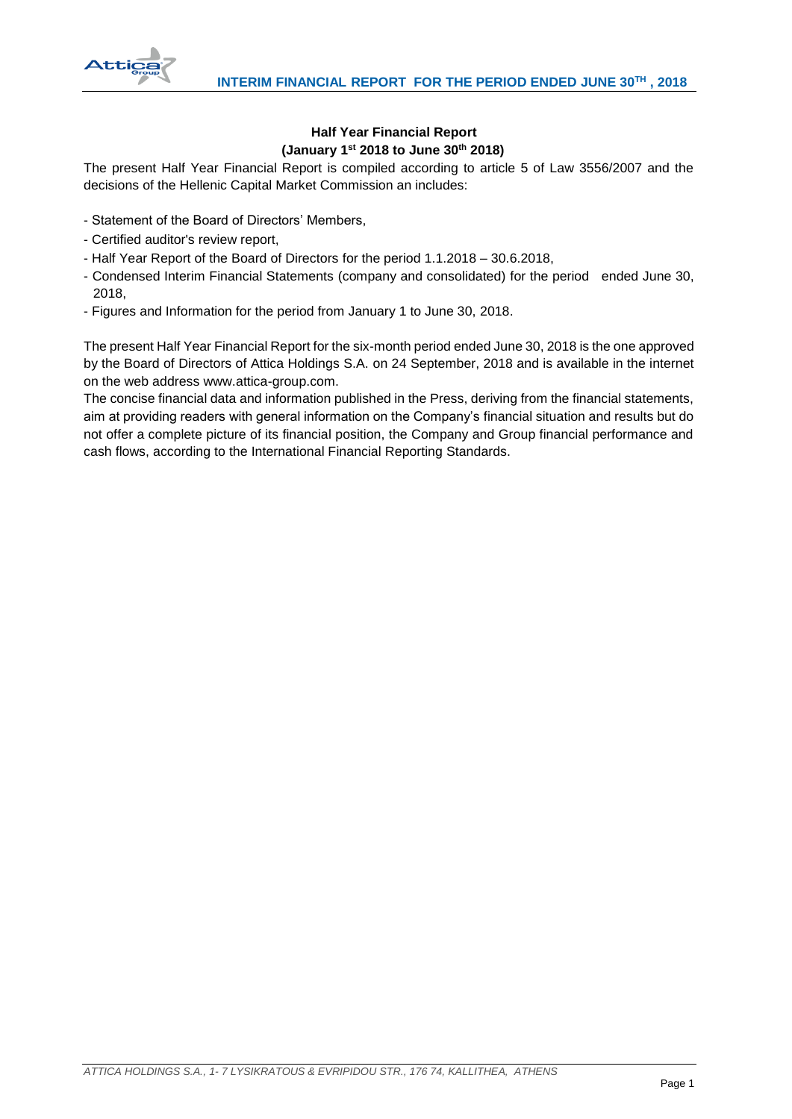

# **Half Year Financial Report (January 1st 2018 to June 30th 2018)**

The present Half Year Financial Report is compiled according to article 5 of Law 3556/2007 and the decisions of the Hellenic Capital Market Commission an includes:

- Statement of the Board of Directors' Members,
- Certified auditor's review report,
- Half Year Report of the Board of Directors for the period 1.1.2018 30.6.2018,
- Condensed Interim Financial Statements (company and consolidated) for the period ended June 30, 2018,
- Figures and Information for the period from January 1 to June 30, 2018.

The present Half Year Financial Report for the six-month period ended June 30, 2018 is the one approved by the Board of Directors of Attica Holdings S.A. on 24 September, 2018 and is available in the internet on the web address www.attica-group.com.

The concise financial data and information published in the Press, deriving from the financial statements, aim at providing readers with general information on the Company's financial situation and results but do not offer a complete picture of its financial position, the Company and Group financial performance and cash flows, according to the International Financial Reporting Standards.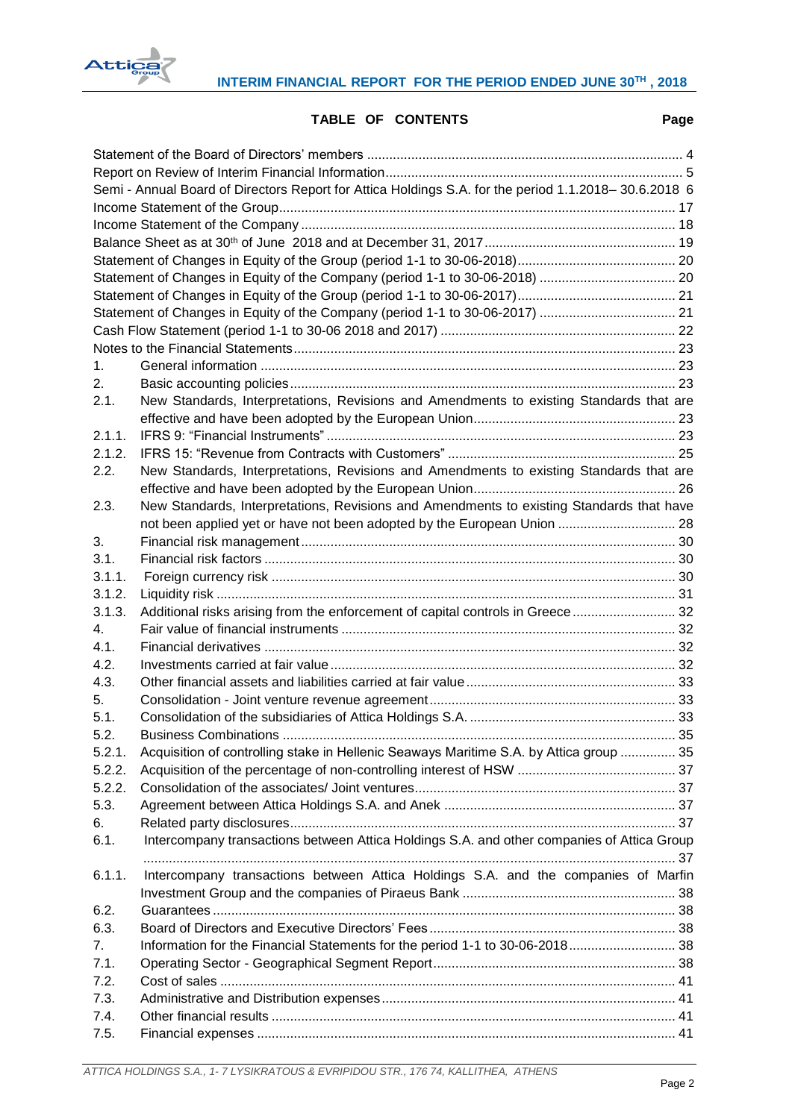

# **TABLE OF CONTENTS Page**

| Semi - Annual Board of Directors Report for Attica Holdings S.A. for the period 1.1.2018-30.6.2018 6 |                                                                                            |  |  |  |  |  |  |
|------------------------------------------------------------------------------------------------------|--------------------------------------------------------------------------------------------|--|--|--|--|--|--|
|                                                                                                      |                                                                                            |  |  |  |  |  |  |
|                                                                                                      |                                                                                            |  |  |  |  |  |  |
|                                                                                                      |                                                                                            |  |  |  |  |  |  |
|                                                                                                      |                                                                                            |  |  |  |  |  |  |
|                                                                                                      |                                                                                            |  |  |  |  |  |  |
|                                                                                                      |                                                                                            |  |  |  |  |  |  |
|                                                                                                      | Statement of Changes in Equity of the Company (period 1-1 to 30-06-2017)  21               |  |  |  |  |  |  |
|                                                                                                      |                                                                                            |  |  |  |  |  |  |
|                                                                                                      |                                                                                            |  |  |  |  |  |  |
| 1.                                                                                                   |                                                                                            |  |  |  |  |  |  |
| 2.                                                                                                   |                                                                                            |  |  |  |  |  |  |
| 2.1.                                                                                                 | New Standards, Interpretations, Revisions and Amendments to existing Standards that are    |  |  |  |  |  |  |
|                                                                                                      |                                                                                            |  |  |  |  |  |  |
| 2.1.1.                                                                                               |                                                                                            |  |  |  |  |  |  |
|                                                                                                      |                                                                                            |  |  |  |  |  |  |
| 2.1.2.                                                                                               |                                                                                            |  |  |  |  |  |  |
| 2.2.                                                                                                 | New Standards, Interpretations, Revisions and Amendments to existing Standards that are    |  |  |  |  |  |  |
|                                                                                                      |                                                                                            |  |  |  |  |  |  |
| 2.3.                                                                                                 | New Standards, Interpretations, Revisions and Amendments to existing Standards that have   |  |  |  |  |  |  |
|                                                                                                      | not been applied yet or have not been adopted by the European Union  28                    |  |  |  |  |  |  |
| 3.                                                                                                   |                                                                                            |  |  |  |  |  |  |
| 3.1.                                                                                                 |                                                                                            |  |  |  |  |  |  |
| 3.1.1.                                                                                               |                                                                                            |  |  |  |  |  |  |
| 3.1.2.                                                                                               |                                                                                            |  |  |  |  |  |  |
| 3.1.3.                                                                                               | Additional risks arising from the enforcement of capital controls in Greece  32            |  |  |  |  |  |  |
| 4.                                                                                                   |                                                                                            |  |  |  |  |  |  |
| 4.1.                                                                                                 |                                                                                            |  |  |  |  |  |  |
| 4.2.                                                                                                 |                                                                                            |  |  |  |  |  |  |
| 4.3.                                                                                                 |                                                                                            |  |  |  |  |  |  |
| 5.                                                                                                   |                                                                                            |  |  |  |  |  |  |
| 5.1.                                                                                                 |                                                                                            |  |  |  |  |  |  |
| 52                                                                                                   | <b>Business Combinations</b><br>35                                                         |  |  |  |  |  |  |
| 5.2.1.                                                                                               | Acquisition of controlling stake in Hellenic Seaways Maritime S.A. by Attica group  35     |  |  |  |  |  |  |
| 5.2.2.                                                                                               |                                                                                            |  |  |  |  |  |  |
| 5.2.2.                                                                                               |                                                                                            |  |  |  |  |  |  |
| 5.3.                                                                                                 |                                                                                            |  |  |  |  |  |  |
| 6.                                                                                                   |                                                                                            |  |  |  |  |  |  |
| 6.1.                                                                                                 | Intercompany transactions between Attica Holdings S.A. and other companies of Attica Group |  |  |  |  |  |  |
|                                                                                                      |                                                                                            |  |  |  |  |  |  |
| 6.1.1.                                                                                               | Intercompany transactions between Attica Holdings S.A. and the companies of Marfin         |  |  |  |  |  |  |
|                                                                                                      |                                                                                            |  |  |  |  |  |  |
| 6.2.                                                                                                 |                                                                                            |  |  |  |  |  |  |
| 6.3.                                                                                                 |                                                                                            |  |  |  |  |  |  |
| 7.                                                                                                   | Information for the Financial Statements for the period 1-1 to 30-06-2018 38               |  |  |  |  |  |  |
| 7.1.                                                                                                 |                                                                                            |  |  |  |  |  |  |
| 7.2.                                                                                                 |                                                                                            |  |  |  |  |  |  |
| 7.3.                                                                                                 |                                                                                            |  |  |  |  |  |  |
| 7.4.                                                                                                 |                                                                                            |  |  |  |  |  |  |
| 7.5.                                                                                                 |                                                                                            |  |  |  |  |  |  |
|                                                                                                      |                                                                                            |  |  |  |  |  |  |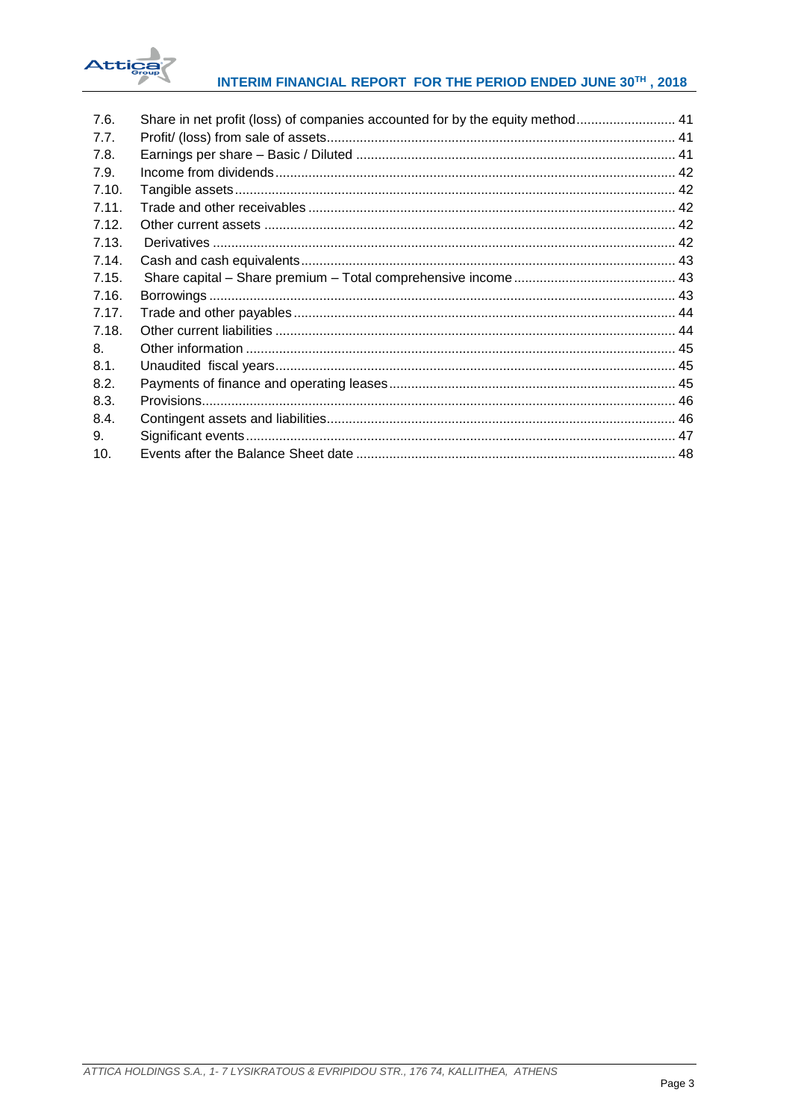

# INTERIM FINANCIAL REPORT FOR THE PERIOD ENDED JUNE 30TH, 2018

| 7.6.  | Share in net profit (loss) of companies accounted for by the equity method 41 |  |
|-------|-------------------------------------------------------------------------------|--|
| 7.7.  |                                                                               |  |
| 7.8.  |                                                                               |  |
| 7.9.  |                                                                               |  |
| 7.10. |                                                                               |  |
| 7.11. |                                                                               |  |
| 7.12. |                                                                               |  |
| 7.13. |                                                                               |  |
| 7.14. |                                                                               |  |
| 7.15. |                                                                               |  |
| 7.16. |                                                                               |  |
| 7.17. |                                                                               |  |
| 7.18. |                                                                               |  |
| 8.    |                                                                               |  |
| 8.1.  |                                                                               |  |
| 8.2.  |                                                                               |  |
| 8.3.  |                                                                               |  |
| 8.4.  |                                                                               |  |
| 9.    |                                                                               |  |
| 10.   |                                                                               |  |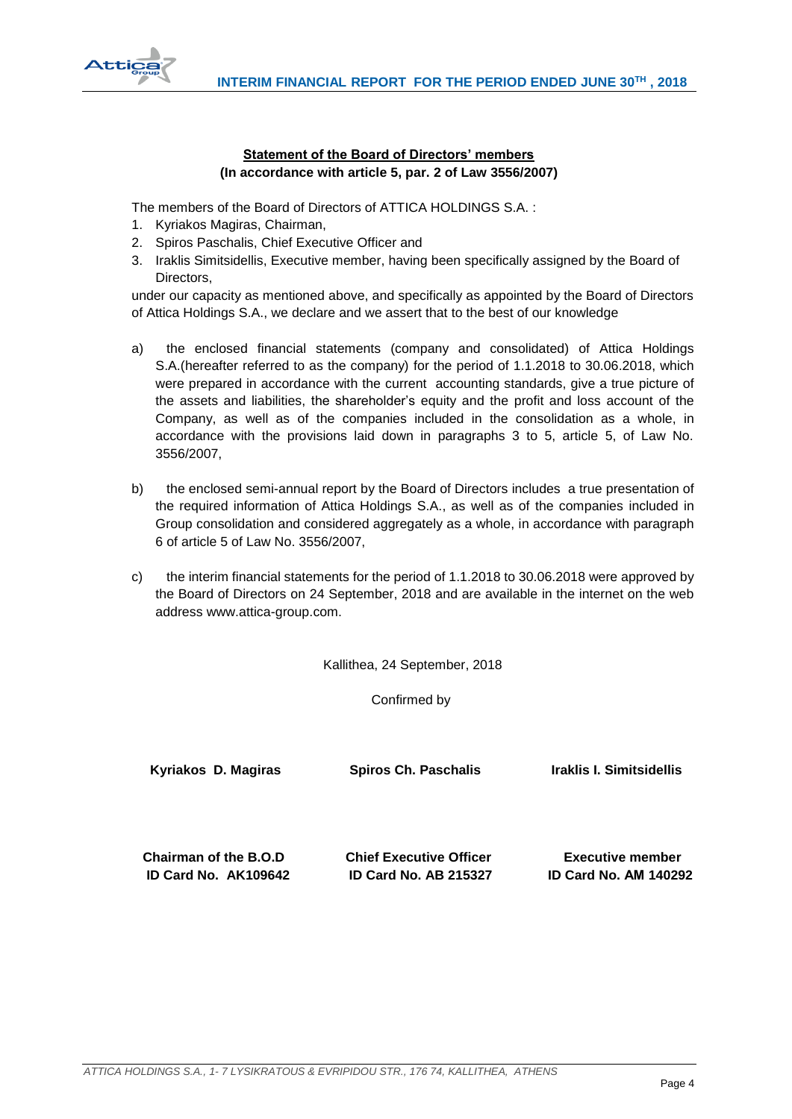



# **Statement of the Board of Directors' members (In accordance with article 5, par. 2 of Law 3556/2007)**

<span id="page-4-0"></span>The members of the Board of Directors of ATTICA HOLDINGS S.A. :

- 1. Kyriakos Magiras, Chairman,
- 2. Spiros Paschalis, Chief Executive Officer and
- 3. Iraklis Simitsidellis, Executive member, having been specifically assigned by the Board of Directors,

under our capacity as mentioned above, and specifically as appointed by the Board of Directors of Attica Holdings S.A., we declare and we assert that to the best of our knowledge

- a) the enclosed financial statements (company and consolidated) of Attica Holdings S.A.(hereafter referred to as the company) for the period of 1.1.2018 to 30.06.2018, which were prepared in accordance with the current accounting standards, give a true picture of the assets and liabilities, the shareholder's equity and the profit and loss account of the Company, as well as of the companies included in the consolidation as a whole, in accordance with the provisions laid down in paragraphs 3 to 5, article 5, of Law No. 3556/2007,
- b) the enclosed semi-annual report by the Board of Directors includes a true presentation of the required information of Attica Holdings S.A., as well as of the companies included in Group consolidation and considered aggregately as a whole, in accordance with paragraph 6 of article 5 of Law No. 3556/2007,
- c) the interim financial statements for the period of 1.1.2018 to 30.06.2018 were approved by the Board of Directors on 24 September, 2018 and are available in the internet on the web address www.attica-group.com.

Kallithea, 24 September, 2018

Confirmed by

 **Kyriakos D. Magiras Spiros Ch. Paschalis Iraklis I. Simitsidellis Chairman of the B.O.D Chief Executive Officer Executive member ID Card No. AK109642 ID Card No. AB 215327 ID Card No. ΑΜ 140292**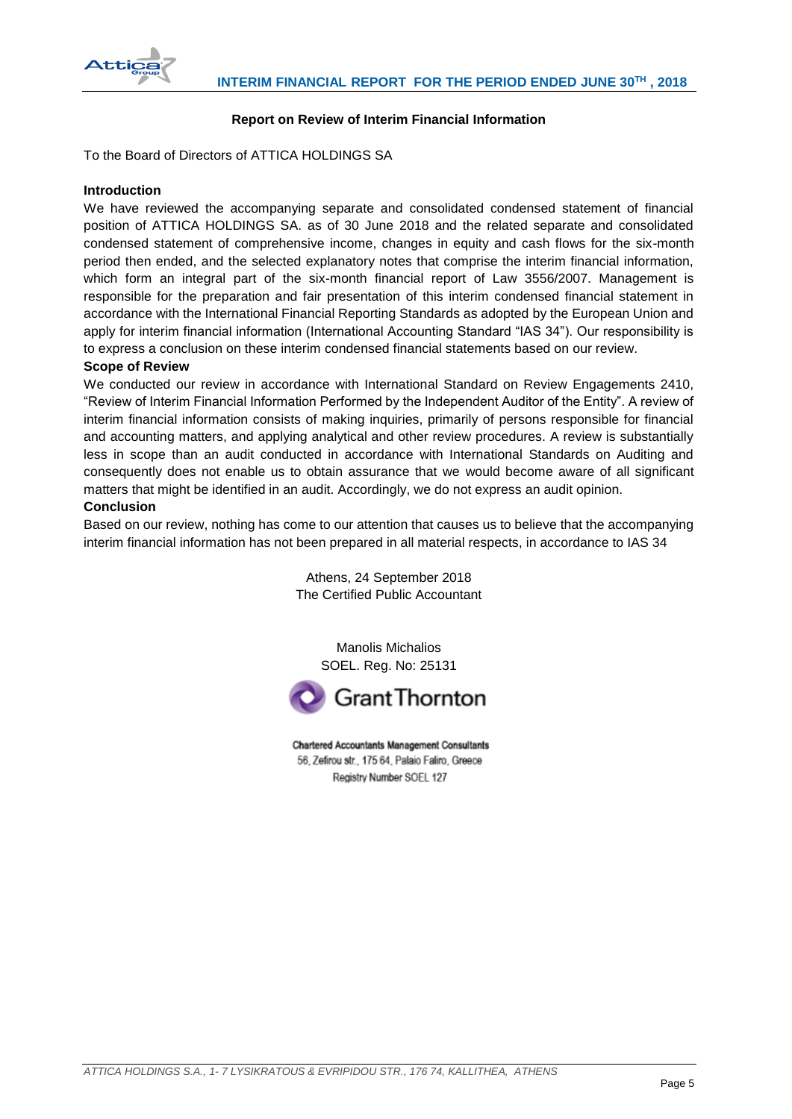

# **Report on Review of Interim Financial Information**

<span id="page-5-0"></span>To the Board of Directors of ATTICA HOLDINGS SA

## **Introduction**

We have reviewed the accompanying separate and consolidated condensed statement of financial position of ATTICA HOLDINGS SA. as of 30 June 2018 and the related separate and consolidated condensed statement of comprehensive income, changes in equity and cash flows for the six-month period then ended, and the selected explanatory notes that comprise the interim financial information, which form an integral part of the six-month financial report of Law 3556/2007. Management is responsible for the preparation and fair presentation of this interim condensed financial statement in accordance with the International Financial Reporting Standards as adopted by the European Union and apply for interim financial information (International Accounting Standard "IAS 34"). Our responsibility is to express a conclusion on these interim condensed financial statements based on our review.

## **Scope of Review**

We conducted our review in accordance with International Standard on Review Engagements 2410, "Review of Interim Financial Information Performed by the Independent Auditor of the Entity". A review of interim financial information consists of making inquiries, primarily of persons responsible for financial and accounting matters, and applying analytical and other review procedures. A review is substantially less in scope than an audit conducted in accordance with International Standards on Auditing and consequently does not enable us to obtain assurance that we would become aware of all significant matters that might be identified in an audit. Accordingly, we do not express an audit opinion.

## **Conclusion**

Based on our review, nothing has come to our attention that causes us to believe that the accompanying interim financial information has not been prepared in all material respects, in accordance to IAS 34

> Athens, 24 September 2018 The Certified Public Accountant

Manolis Michalios SOEL. Reg. No: 25131



**Chartered Accountants Management Consultants** 56, Zefirou str., 175 64, Palaio Faliro, Greece Registry Number SOEL 127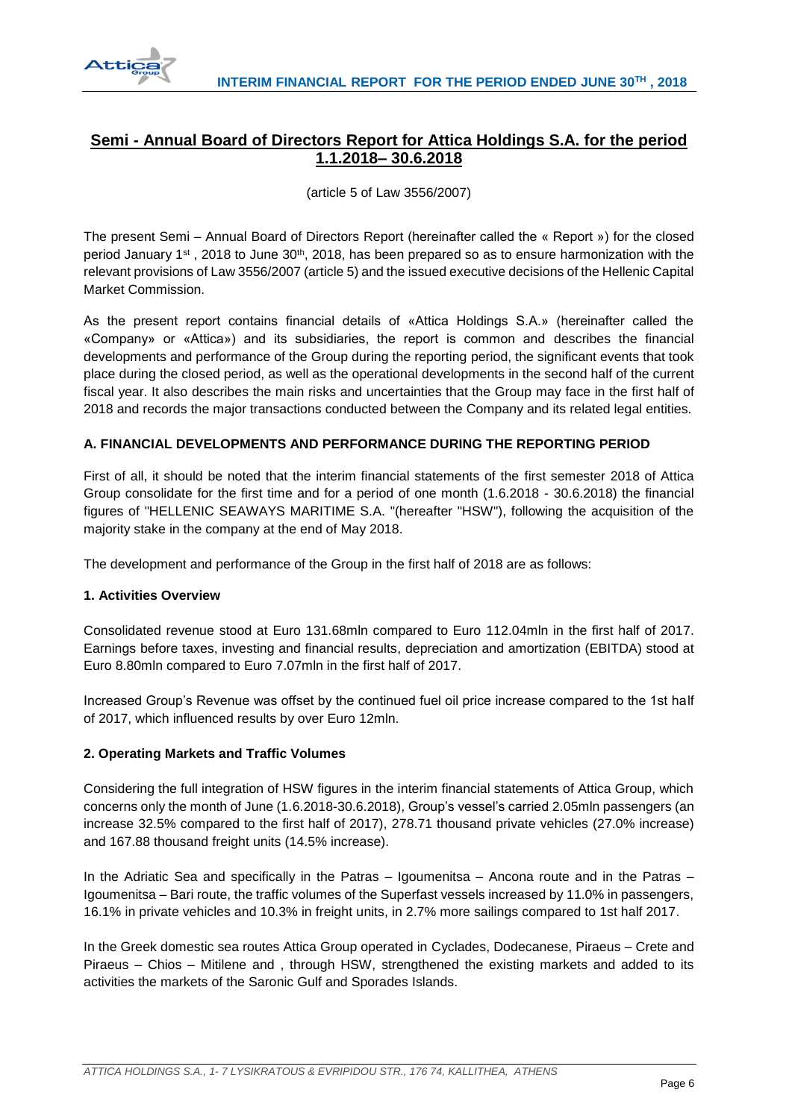

# <span id="page-6-0"></span>**Semi - Annual Board of Directors Report for Attica Holdings S.A. for the period 1.1.2018– 30.6.2018**

(article 5 of Law 3556/2007)

The present Semi – Annual Board of Directors Report (hereinafter called the « Report ») for the closed period January 1<sup>st</sup>, 2018 to June 30<sup>th</sup>, 2018, has been prepared so as to ensure harmonization with the relevant provisions of Law 3556/2007 (article 5) and the issued executive decisions of the Hellenic Capital Market Commission.

As the present report contains financial details of «Attica Holdings S.A.» (hereinafter called the «Company» or «Attica») and its subsidiaries, the report is common and describes the financial developments and performance of the Group during the reporting period, the significant events that took place during the closed period, as well as the operational developments in the second half of the current fiscal year. It also describes the main risks and uncertainties that the Group may face in the first half of 2018 and records the major transactions conducted between the Company and its related legal entities.

# **A. FINANCIAL DEVELOPMENTS AND PERFORMANCE DURING THE REPORTING PERIOD**

First of all, it should be noted that the interim financial statements of the first semester 2018 of Attica Group consolidate for the first time and for a period of one month (1.6.2018 - 30.6.2018) the financial figures of "HELLENIC SEAWAYS MARITIME S.A. "(hereafter "HSW"), following the acquisition of the majority stake in the company at the end of May 2018.

The development and performance of the Group in the first half of 2018 are as follows:

# **1. Activities Overview**

Consolidated revenue stood at Euro 131.68mln compared to Euro 112.04mln in the first half of 2017. Earnings before taxes, investing and financial results, depreciation and amortization (EBITDA) stood at Euro 8.80mln compared to Euro 7.07mln in the first half of 2017.

Increased Group's Revenue was offset by the continued fuel oil price increase compared to the 1st half of 2017, which influenced results by over Euro 12mln.

# **2. Operating Markets and Traffic Volumes**

Considering the full integration of HSW figures in the interim financial statements of Attica Group, which concerns only the month of June (1.6.2018-30.6.2018), Group's vessel's carried 2.05mln passengers (an increase 32.5% compared to the first half of 2017), 278.71 thousand private vehicles (27.0% increase) and 167.88 thousand freight units (14.5% increase).

In the Adriatic Sea and specifically in the Patras – Igoumenitsa – Ancona route and in the Patras – Igoumenitsa – Bari route, the traffic volumes of the Superfast vessels increased by 11.0% in passengers, 16.1% in private vehicles and 10.3% in freight units, in 2.7% more sailings compared to 1st half 2017.

In the Greek domestic sea routes Attica Group operated in Cyclades, Dodecanese, Piraeus – Crete and Piraeus – Chios – Mitilene and , through HSW, strengthened the existing markets and added to its activities the markets of the Saronic Gulf and Sporades Islands.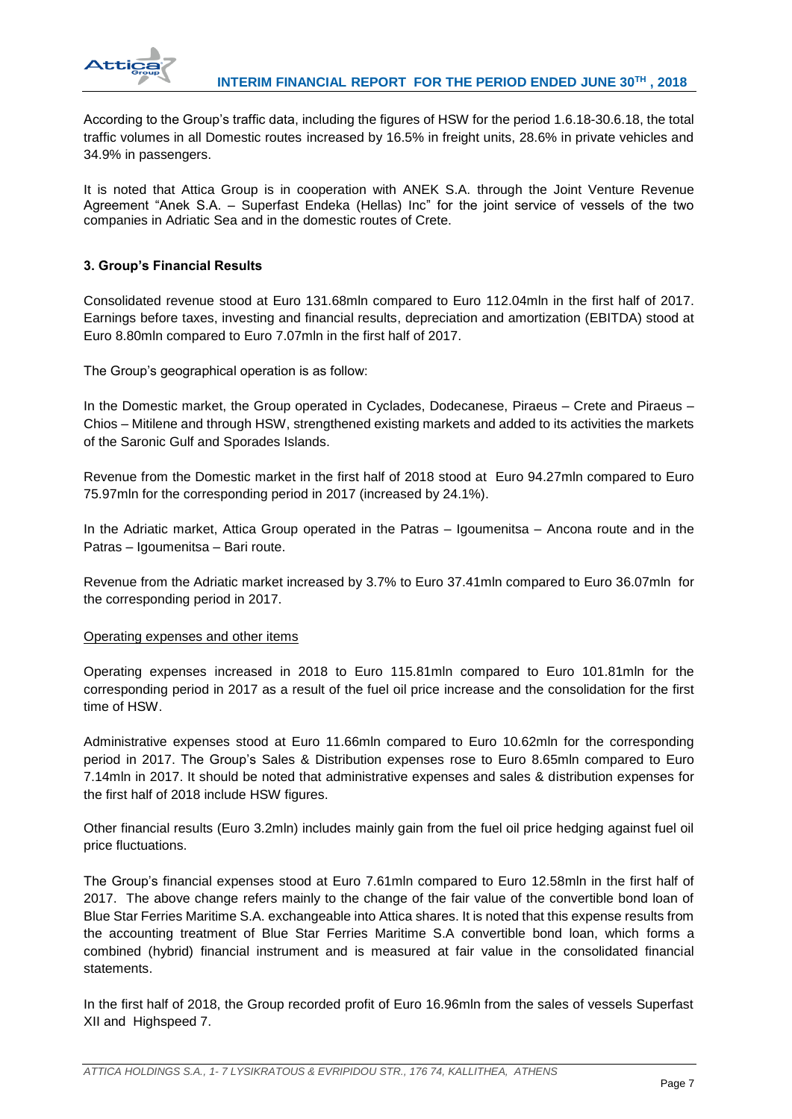

According to the Group's traffic data, including the figures of HSW for the period 1.6.18-30.6.18, the total traffic volumes in all Domestic routes increased by 16.5% in freight units, 28.6% in private vehicles and 34.9% in passengers.

It is noted that Attica Group is in cooperation with ANEK S.A. through the Joint Venture Revenue Agreement "Anek S.A. – Superfast Endeka (Hellas) Inc" for the joint service of vessels of the two companies in Adriatic Sea and in the domestic routes of Crete.

# **3. Group's Financial Results**

Consolidated revenue stood at Euro 131.68mln compared to Euro 112.04mln in the first half of 2017. Earnings before taxes, investing and financial results, depreciation and amortization (EBITDA) stood at Euro 8.80mln compared to Euro 7.07mln in the first half of 2017.

The Group's geographical operation is as follow:

In the Domestic market, the Group operated in Cyclades, Dodecanese, Piraeus – Crete and Piraeus – Chios – Mitilene and through HSW, strengthened existing markets and added to its activities the markets of the Saronic Gulf and Sporades Islands.

Revenue from the Domestic market in the first half of 2018 stood at Euro 94.27mln compared to Euro 75.97mln for the corresponding period in 2017 (increased by 24.1%).

In the Adriatic market, Attica Group operated in the Patras – Igoumenitsa – Ancona route and in the Patras – Igoumenitsa – Bari route.

Revenue from the Adriatic market increased by 3.7% to Euro 37.41mln compared to Euro 36.07mln for the corresponding period in 2017.

## Operating expenses and other items

Operating expenses increased in 2018 to Euro 115.81mln compared to Euro 101.81mln for the corresponding period in 2017 as a result of the fuel oil price increase and the consolidation for the first time of HSW.

Administrative expenses stood at Euro 11.66mln compared to Euro 10.62mln for the corresponding period in 2017. The Group's Sales & Distribution expenses rose to Euro 8.65mln compared to Euro 7.14mln in 2017. It should be noted that administrative expenses and sales & distribution expenses for the first half of 2018 include HSW figures.

Other financial results (Euro 3.2mln) includes mainly gain from the fuel oil price hedging against fuel oil price fluctuations.

The Group's financial expenses stood at Euro 7.61mln compared to Euro 12.58mln in the first half of 2017. The above change refers mainly to the change of the fair value of the convertible bond loan of Blue Star Ferries Maritime S.A. exchangeable into Attica shares. It is noted that this expense results from the accounting treatment of Blue Star Ferries Maritime S.A convertible bond loan, which forms a combined (hybrid) financial instrument and is measured at fair value in the consolidated financial statements.

In the first half of 2018, the Group recorded profit of Euro 16.96mln from the sales of vessels Superfast XII and Highspeed 7.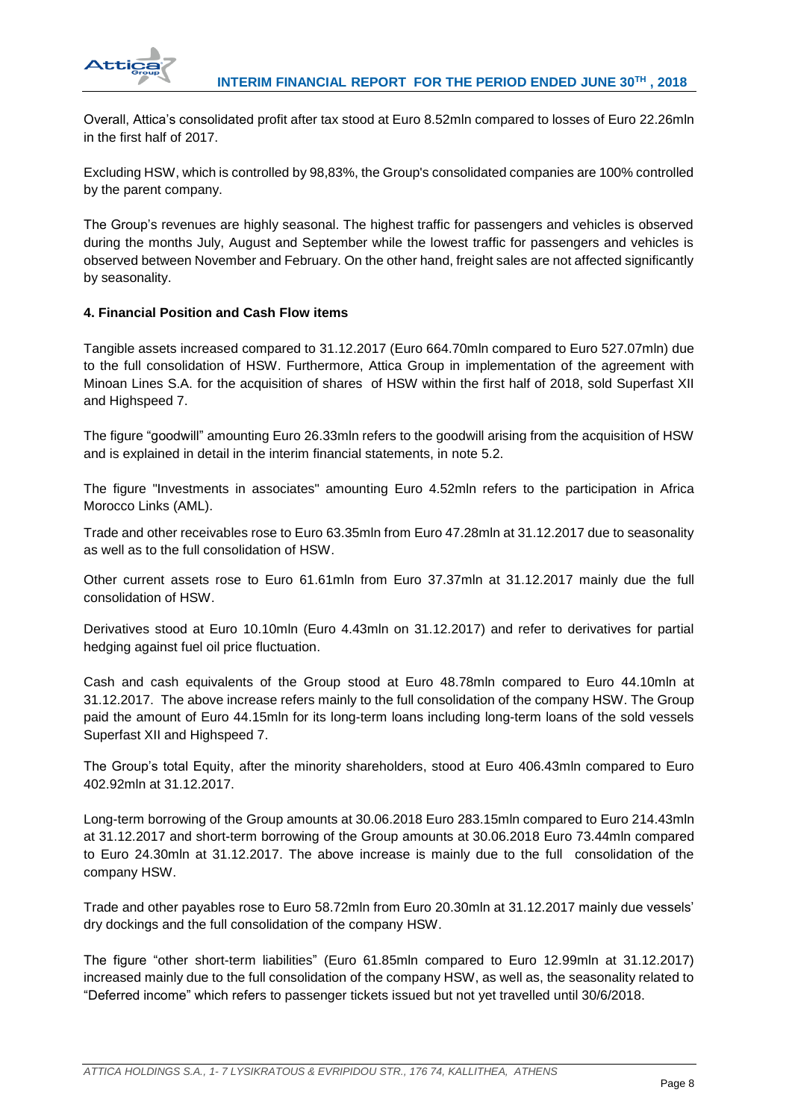

Overall, Attica's consolidated profit after tax stood at Euro 8.52mln compared to losses of Euro 22.26mln in the first half of 2017.

Excluding HSW, which is controlled by 98,83%, the Group's consolidated companies are 100% controlled by the parent company.

The Group's revenues are highly seasonal. The highest traffic for passengers and vehicles is observed during the months July, August and September while the lowest traffic for passengers and vehicles is observed between November and February. On the other hand, freight sales are not affected significantly by seasonality.

# **4. Financial Position and Cash Flow items**

Tangible assets increased compared to 31.12.2017 (Euro 664.70mln compared to Euro 527.07mln) due to the full consolidation of HSW. Furthermore, Attica Group in implementation of the agreement with Minoan Lines S.A. for the acquisition of shares of HSW within the first half of 2018, sold Superfast XII and Highspeed 7.

The figure "goodwill" amounting Euro 26.33mln refers to the goodwill arising from the acquisition of HSW and is explained in detail in the interim financial statements, in note 5.2.

The figure "Investments in associates" amounting Euro 4.52mln refers to the participation in Africa Morocco Links (AML).

Trade and other receivables rose to Euro 63.35mln from Euro 47.28mln at 31.12.2017 due to seasonality as well as to the full consolidation of HSW.

Other current assets rose to Euro 61.61mln from Euro 37.37mln at 31.12.2017 mainly due the full consolidation of HSW.

Derivatives stood at Euro 10.10mln (Euro 4.43mln on 31.12.2017) and refer to derivatives for partial hedging against fuel oil price fluctuation.

Cash and cash equivalents of the Group stood at Euro 48.78mln compared to Euro 44.10mln at 31.12.2017. The above increase refers mainly to the full consolidation of the company HSW. The Group paid the amount of Euro 44.15mln for its long-term loans including long-term loans of the sold vessels Superfast XII and Highspeed 7.

The Group's total Equity, after the minority shareholders, stood at Euro 406.43mln compared to Euro 402.92mln at 31.12.2017.

Long-term borrowing of the Group amounts at 30.06.2018 Euro 283.15mln compared to Euro 214.43mln at 31.12.2017 and short-term borrowing of the Group amounts at 30.06.2018 Euro 73.44mln compared to Euro 24.30mln at 31.12.2017. The above increase is mainly due to the full consolidation of the company HSW.

Trade and other payables rose to Euro 58.72mln from Euro 20.30mln at 31.12.2017 mainly due vessels' dry dockings and the full consolidation of the company HSW.

The figure "other short-term liabilities" (Euro 61.85mln compared to Euro 12.99mln at 31.12.2017) increased mainly due to the full consolidation of the company HSW, as well as, the seasonality related to "Deferred income" which refers to passenger tickets issued but not yet travelled until 30/6/2018.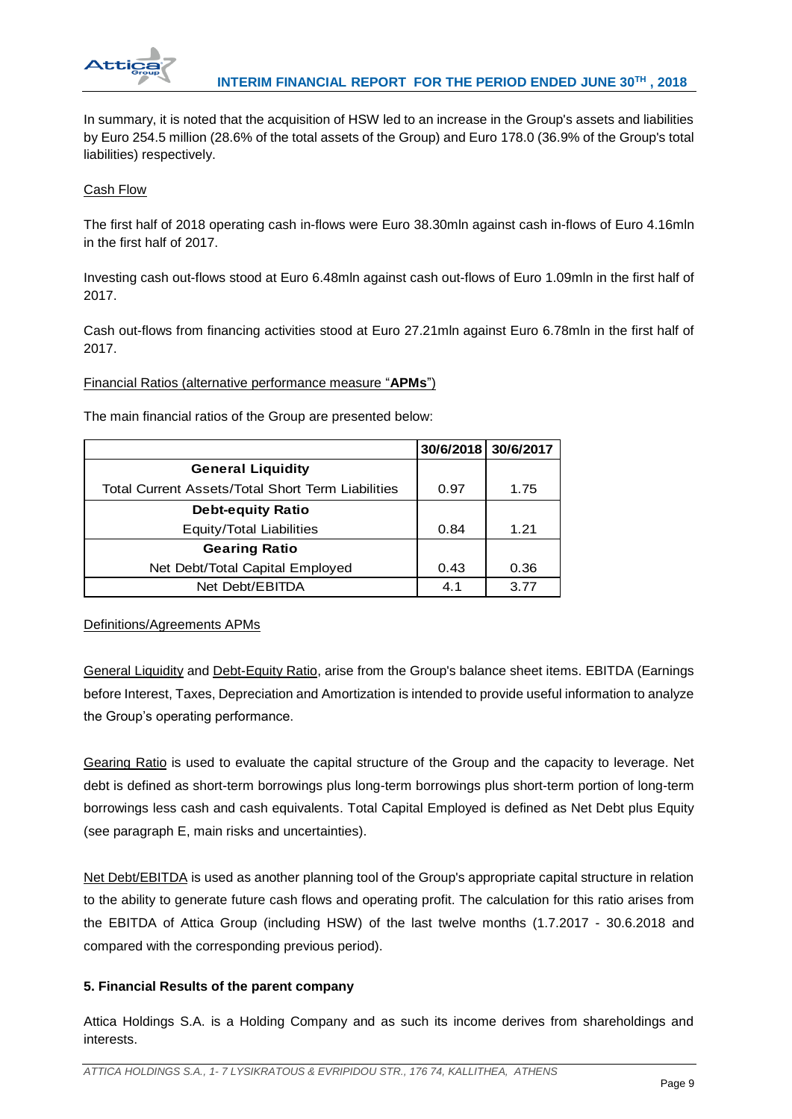

In summary, it is noted that the acquisition of HSW led to an increase in the Group's assets and liabilities by Euro 254.5 million (28.6% of the total assets of the Group) and Euro 178.0 (36.9% of the Group's total liabilities) respectively.

# Cash Flow

The first half of 2018 operating cash in-flows were Euro 38.30mln against cash in-flows of Euro 4.16mln in the first half of 2017.

Investing cash out-flows stood at Euro 6.48mln against cash out-flows of Euro 1.09mln in the first half of 2017.

Cash out-flows from financing activities stood at Euro 27.21mln against Euro 6.78mln in the first half of 2017.

Financial Ratios (alternative performance measure "**APMs**")

The main financial ratios of the Group are presented below:

|                                                          |      | 30/6/2018 30/6/2017 |
|----------------------------------------------------------|------|---------------------|
| <b>General Liquidity</b>                                 |      |                     |
| <b>Total Current Assets/Total Short Term Liabilities</b> | 0.97 | 1.75                |
| <b>Debt-equity Ratio</b>                                 |      |                     |
| Equity/Total Liabilities                                 | 0.84 | 1.21                |
| <b>Gearing Ratio</b>                                     |      |                     |
| Net Debt/Total Capital Employed                          | 0.43 | 0.36                |
| Net Debt/EBITDA                                          | 4.1  | 3.77                |

Definitions/Agreements APMs

General Liquidity and Debt-Equity Ratio, arise from the Group's balance sheet items. EBITDA (Earnings before Interest, Taxes, Depreciation and Amortization is intended to provide useful information to analyze the Group's operating performance.

Gearing Ratio is used to evaluate the capital structure of the Group and the capacity to leverage. Net debt is defined as short-term borrowings plus long-term borrowings plus short-term portion of long-term borrowings less cash and cash equivalents. Total Capital Employed is defined as Net Debt plus Equity (see paragraph E, main risks and uncertainties).

Net Debt/EBITDA is used as another planning tool of the Group's appropriate capital structure in relation to the ability to generate future cash flows and operating profit. The calculation for this ratio arises from the EBITDA of Attica Group (including HSW) of the last twelve months (1.7.2017 - 30.6.2018 and compared with the corresponding previous period).

# **5. Financial Results of the parent company**

Attica Holdings S.A. is a Holding Company and as such its income derives from shareholdings and interests.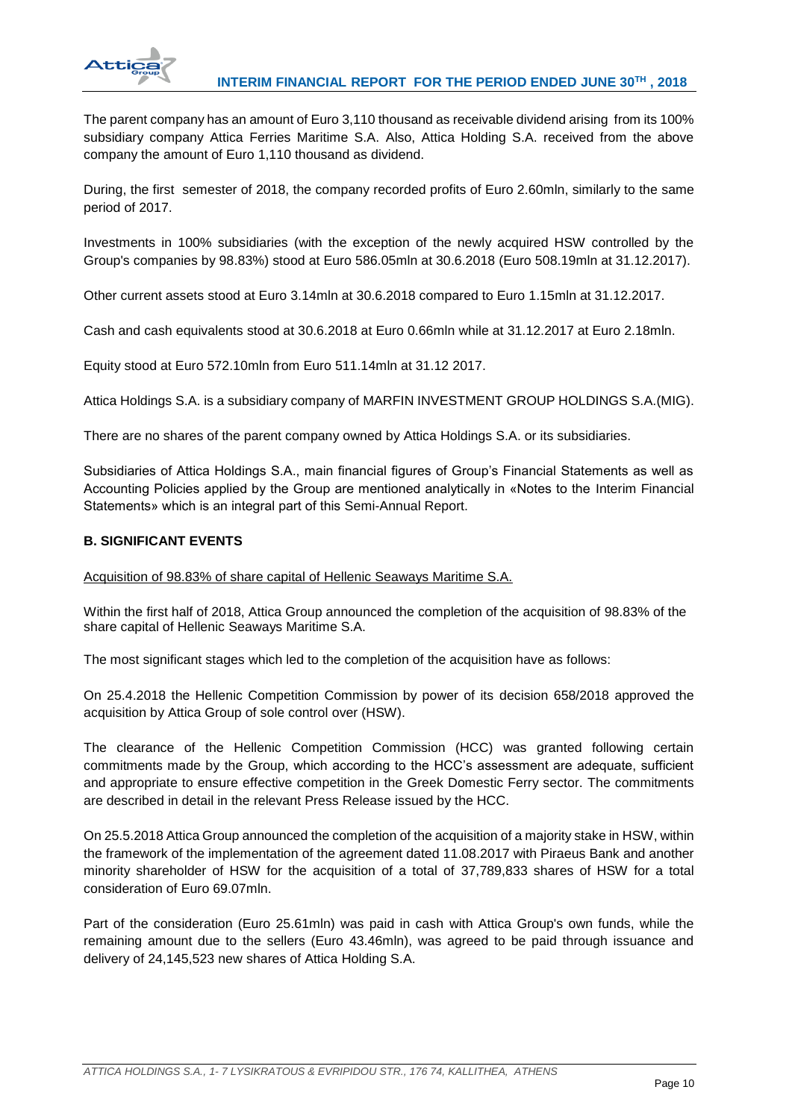

The parent company has an amount of Euro 3,110 thousand as receivable dividend arising from its 100% subsidiary company Attica Ferries Maritime S.A. Also, Attica Holding S.A. received from the above company the amount of Euro 1,110 thousand as dividend.

During, the first semester of 2018, the company recorded profits of Euro 2.60mln, similarly to the same period of 2017.

Investments in 100% subsidiaries (with the exception of the newly acquired HSW controlled by the Group's companies by 98.83%) stood at Euro 586.05mln at 30.6.2018 (Euro 508.19mln at 31.12.2017).

Other current assets stood at Euro 3.14mln at 30.6.2018 compared to Euro 1.15mln at 31.12.2017.

Cash and cash equivalents stood at 30.6.2018 at Euro 0.66mln while at 31.12.2017 at Euro 2.18mln.

Equity stood at Euro 572.10mln from Euro 511.14mln at 31.12 2017.

Attica Holdings S.A. is a subsidiary company of MARFIN INVESTMENT GROUP HOLDINGS S.A.(MIG).

There are no shares of the parent company owned by Attica Holdings S.A. or its subsidiaries.

Subsidiaries of Attica Holdings S.A., main financial figures of Group's Financial Statements as well as Accounting Policies applied by the Group are mentioned analytically in «Notes to the Interim Financial Statements» which is an integral part of this Semi-Annual Report.

## **B. SIGNIFICANT EVENTS**

Acquisition of 98.83% of share capital of Hellenic Seaways Maritime S.A.

Within the first half of 2018, Attica Group announced the completion of the acquisition of 98.83% of the share capital of Hellenic Seaways Maritime S.A.

The most significant stages which led to the completion of the acquisition have as follows:

On 25.4.2018 the Hellenic Competition Commission by power of its decision 658/2018 approved the acquisition by Attica Group of sole control over (HSW).

The clearance of the Hellenic Competition Commission (HCC) was granted following certain commitments made by the Group, which according to the HCC's assessment are adequate, sufficient and appropriate to ensure effective competition in the Greek Domestic Ferry sector. The commitments are described in detail in the relevant Press Release issued by the HCC.

On 25.5.2018 Attica Group announced the completion of the acquisition of a majority stake in HSW, within the framework of the implementation of the agreement dated 11.08.2017 with Piraeus Bank and another minority shareholder of HSW for the acquisition of a total of 37,789,833 shares of HSW for a total consideration of Euro 69.07mln.

Part of the consideration (Euro 25.61mln) was paid in cash with Attica Group's own funds, while the remaining amount due to the sellers (Euro 43.46mln), was agreed to be paid through issuance and delivery of 24,145,523 new shares of Attica Holding S.A.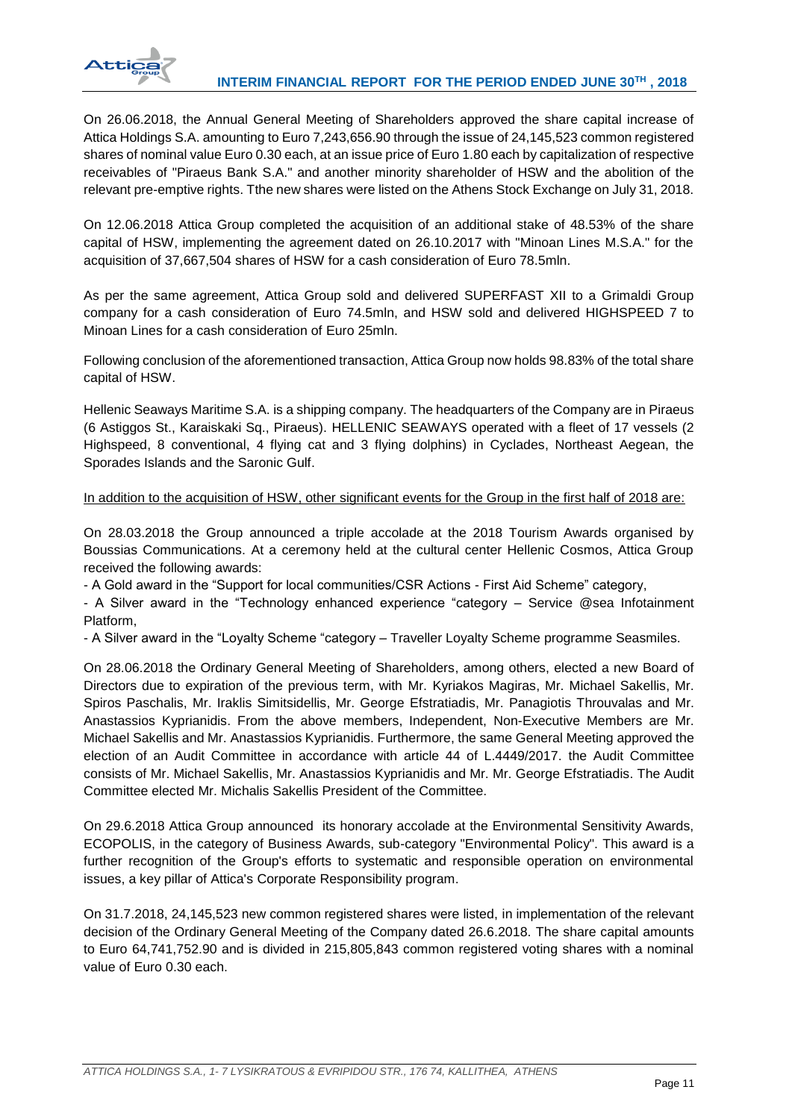

On 26.06.2018, the Annual General Meeting of Shareholders approved the share capital increase of Attica Holdings S.A. amounting to Euro 7,243,656.90 through the issue of 24,145,523 common registered shares of nominal value Euro 0.30 each, at an issue price of Euro 1.80 each by capitalization of respective receivables of "Piraeus Bank S.A." and another minority shareholder of HSW and the abolition of the relevant pre-emptive rights. Tthe new shares were listed on the Athens Stock Exchange on July 31, 2018.

On 12.06.2018 Attica Group completed the acquisition of an additional stake of 48.53% of the share capital of HSW, implementing the agreement dated on 26.10.2017 with "Minoan Lines M.S.A." for the acquisition of 37,667,504 shares of HSW for a cash consideration of Euro 78.5mln.

As per the same agreement, Attica Group sold and delivered SUPERFAST XII to a Grimaldi Group company for a cash consideration of Euro 74.5mln, and HSW sold and delivered HIGHSPEED 7 to Minoan Lines for a cash consideration of Euro 25mln.

Following conclusion of the aforementioned transaction, Attica Group now holds 98.83% of the total share capital of HSW.

Hellenic Seaways Maritime S.A. is a shipping company. The headquarters of the Company are in Piraeus (6 Astiggos St., Karaiskaki Sq., Piraeus). HELLENIC SEAWAYS operated with a fleet of 17 vessels (2 Highspeed, 8 conventional, 4 flying cat and 3 flying dolphins) in Cyclades, Northeast Aegean, the Sporades Islands and the Saronic Gulf.

## In addition to the acquisition of HSW, other significant events for the Group in the first half of 2018 are:

On 28.03.2018 the Group announced a triple accolade at the 2018 Tourism Awards organised by Boussias Communications. At a ceremony held at the cultural center Hellenic Cosmos, Attica Group received the following awards:

- A Gold award in the "Support for local communities/CSR Actions - First Aid Scheme" category,

- A Silver award in the "Technology enhanced experience "category – Service @sea Infotainment Platform,

- A Silver award in the "Loyalty Scheme "category – Traveller Loyalty Scheme programme Seasmiles.

On 28.06.2018 the Ordinary General Meeting of Shareholders, among others, elected a new Board of Directors due to expiration of the previous term, with Mr. Kyriakos Magiras, Mr. Michael Sakellis, Mr. Spiros Paschalis, Mr. Iraklis Simitsidellis, Mr. George Efstratiadis, Mr. Panagiotis Throuvalas and Mr. Anastassios Kyprianidis. From the above members, Independent, Non-Executive Members are Mr. Michael Sakellis and Mr. Anastassios Kyprianidis. Furthermore, the same General Meeting approved the election of an Audit Committee in accordance with article 44 of L.4449/2017. the Audit Committee consists of Mr. Michael Sakellis, Mr. Anastassios Kyprianidis and Mr. Mr. George Efstratiadis. The Audit Committee elected Mr. Michalis Sakellis President of the Committee.

On 29.6.2018 Attica Group announced its honorary accolade at the Environmental Sensitivity Awards, ECOPOLIS, in the category of Business Awards, sub-category "Environmental Policy". This award is a further recognition of the Group's efforts to systematic and responsible operation on environmental issues, a key pillar of Attica's Corporate Responsibility program.

On 31.7.2018, 24,145,523 new common registered shares were listed, in implementation of the relevant decision of the Ordinary General Meeting of the Company dated 26.6.2018. The share capital amounts to Euro 64,741,752.90 and is divided in 215,805,843 common registered voting shares with a nominal value of Euro 0.30 each.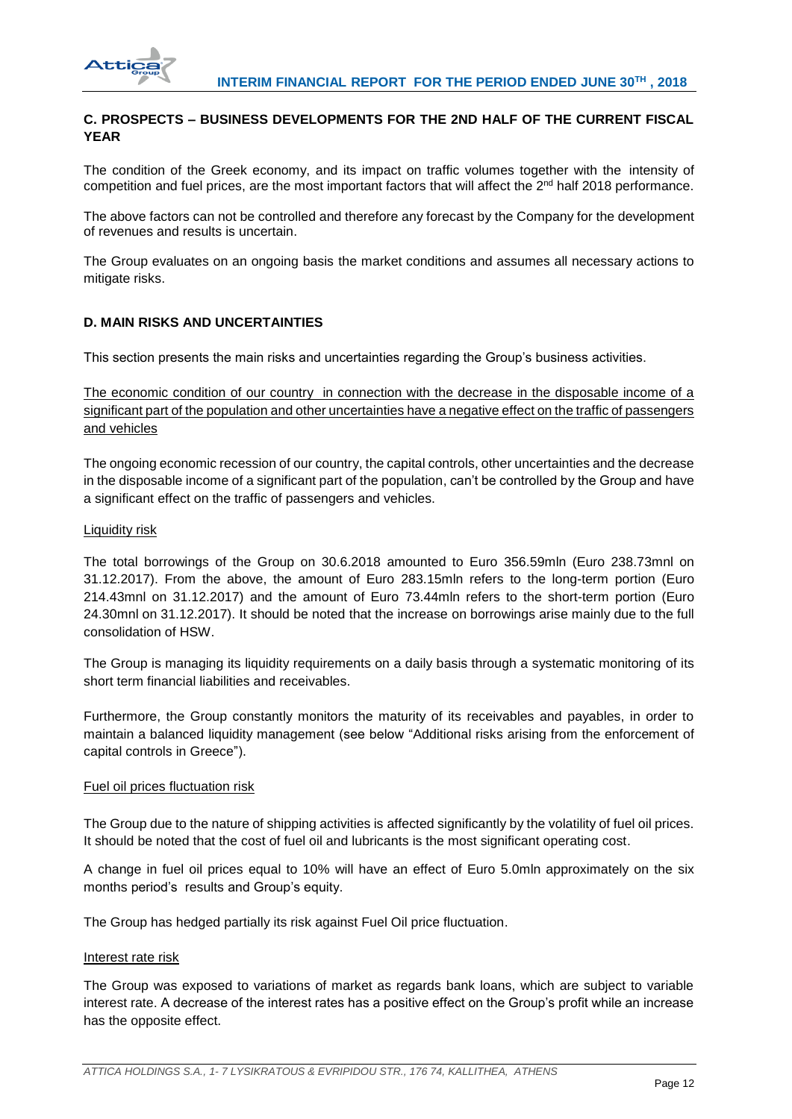

# **C. PROSPECTS – BUSINESS DEVELOPMENTS FOR THE 2ND HALF OF THE CURRENT FISCAL YEAR**

The condition of the Greek economy, and its impact on traffic volumes together with the intensity of competition and fuel prices, are the most important factors that will affect the 2<sup>nd</sup> half 2018 performance.

The above factors can not be controlled and therefore any forecast by the Company for the development of revenues and results is uncertain.

The Group evaluates on an ongoing basis the market conditions and assumes all necessary actions to mitigate risks.

# **D. MAIN RISKS AND UNCERTAINTIES**

This section presents the main risks and uncertainties regarding the Group's business activities.

The economic condition of our country in connection with the decrease in the disposable income of a significant part of the population and other uncertainties have a negative effect on the traffic of passengers and vehicles

The ongoing economic recession of our country, the capital controls, other uncertainties and the decrease in the disposable income of a significant part of the population, can't be controlled by the Group and have a significant effect on the traffic of passengers and vehicles.

## Liquidity risk

The total borrowings of the Group on 30.6.2018 amounted to Euro 356.59mln (Euro 238.73mnl on 31.12.2017). From the above, the amount of Euro 283.15mln refers to the long-term portion (Euro 214.43mnl on 31.12.2017) and the amount of Euro 73.44mln refers to the short-term portion (Euro 24.30mnl on 31.12.2017). It should be noted that the increase on borrowings arise mainly due to the full consolidation of HSW.

The Group is managing its liquidity requirements on a daily basis through a systematic monitoring of its short term financial liabilities and receivables.

Furthermore, the Group constantly monitors the maturity of its receivables and payables, in order to maintain a balanced liquidity management (see below "Additional risks arising from the enforcement of capital controls in Greece").

## Fuel oil prices fluctuation risk

The Group due to the nature of shipping activities is affected significantly by the volatility of fuel oil prices. It should be noted that the cost of fuel oil and lubricants is the most significant operating cost.

A change in fuel oil prices equal to 10% will have an effect of Euro 5.0mln approximately on the six months period's results and Group's equity.

The Group has hedged partially its risk against Fuel Oil price fluctuation.

## Interest rate risk

The Group was exposed to variations of market as regards bank loans, which are subject to variable interest rate. A decrease of the interest rates has a positive effect on the Group's profit while an increase has the opposite effect.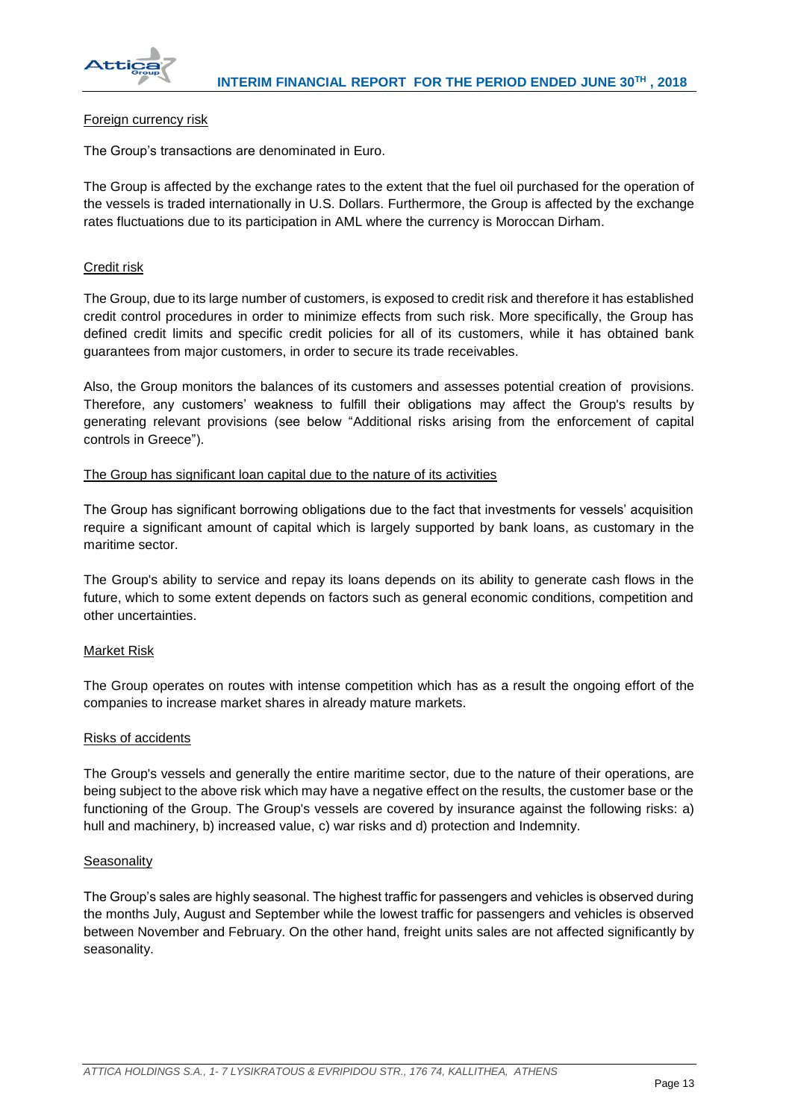

## Foreign currency risk

The Group's transactions are denominated in Euro.

The Group is affected by the exchange rates to the extent that the fuel oil purchased for the operation of the vessels is traded internationally in U.S. Dollars. Furthermore, the Group is affected by the exchange rates fluctuations due to its participation in AML where the currency is Moroccan Dirham.

## Credit risk

The Group, due to its large number of customers, is exposed to credit risk and therefore it has established credit control procedures in order to minimize effects from such risk. More specifically, the Group has defined credit limits and specific credit policies for all of its customers, while it has obtained bank guarantees from major customers, in order to secure its trade receivables.

Also, the Group monitors the balances of its customers and assesses potential creation of provisions. Therefore, any customers' weakness to fulfill their obligations may affect the Group's results by generating relevant provisions (see below "Additional risks arising from the enforcement of capital controls in Greece").

## The Group has significant loan capital due to the nature of its activities

The Group has significant borrowing obligations due to the fact that investments for vessels' acquisition require a significant amount of capital which is largely supported by bank loans, as customary in the maritime sector.

The Group's ability to service and repay its loans depends on its ability to generate cash flows in the future, which to some extent depends on factors such as general economic conditions, competition and other uncertainties.

## Market Risk

The Group operates on routes with intense competition which has as a result the ongoing effort of the companies to increase market shares in already mature markets.

## Risks of accidents

The Group's vessels and generally the entire maritime sector, due to the nature of their operations, are being subject to the above risk which may have a negative effect on the results, the customer base or the functioning of the Group. The Group's vessels are covered by insurance against the following risks: a) hull and machinery, b) increased value, c) war risks and d) protection and Indemnity.

## **Seasonality**

The Group's sales are highly seasonal. The highest traffic for passengers and vehicles is observed during the months July, August and September while the lowest traffic for passengers and vehicles is observed between November and February. On the other hand, freight units sales are not affected significantly by seasonality.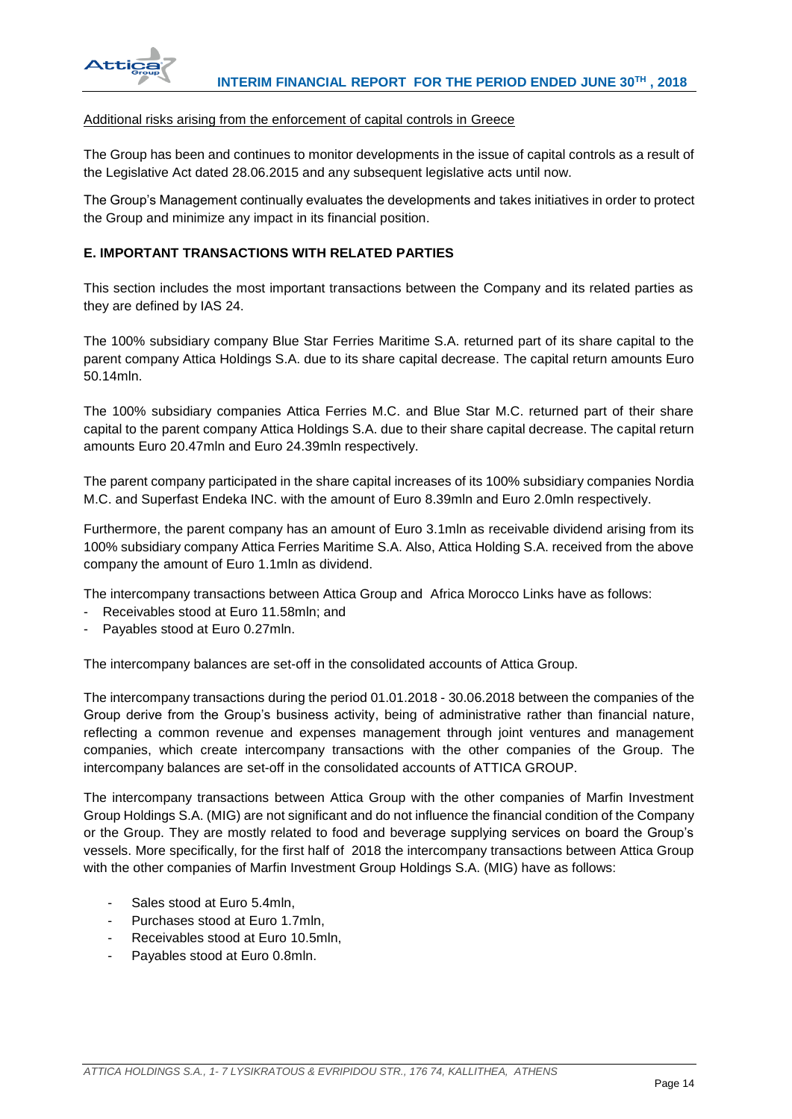

## Additional risks arising from the enforcement of capital controls in Greece

The Group has been and continues to monitor developments in the issue of capital controls as a result of the Legislative Act dated 28.06.2015 and any subsequent legislative acts until now.

The Group's Management continually evaluates the developments and takes initiatives in order to protect the Group and minimize any impact in its financial position.

## **E. IMPORTANT TRANSACTIONS WITH RELATED PARTIES**

This section includes the most important transactions between the Company and its related parties as they are defined by IAS 24.

The 100% subsidiary company Blue Star Ferries Maritime S.A. returned part of its share capital to the parent company Attica Holdings S.A. due to its share capital decrease. The capital return amounts Euro 50.14mln.

The 100% subsidiary companies Attica Ferries M.C. and Blue Star M.C. returned part of their share capital to the parent company Attica Holdings S.A. due to their share capital decrease. The capital return amounts Euro 20.47mln and Euro 24.39mln respectively.

The parent company participated in the share capital increases of its 100% subsidiary companies Nordia M.C. and Superfast Endeka INC. with the amount of Euro 8.39mln and Euro 2.0mln respectively.

Furthermore, the parent company has an amount of Euro 3.1mln as receivable dividend arising from its 100% subsidiary company Attica Ferries Maritime S.A. Also, Attica Holding S.A. received from the above company the amount of Euro 1.1mln as dividend.

The intercompany transactions between Attica Group and Africa Morocco Links have as follows:

- Receivables stood at Euro 11.58mln; and
- Payables stood at Euro 0.27mln.

The intercompany balances are set-off in the consolidated accounts of Attica Group.

The intercompany transactions during the period 01.01.2018 - 30.06.2018 between the companies of the Group derive from the Group's business activity, being of administrative rather than financial nature, reflecting a common revenue and expenses management through joint ventures and management companies, which create intercompany transactions with the other companies of the Group. The intercompany balances are set-off in the consolidated accounts of ATTICA GROUP.

The intercompany transactions between Attica Group with the other companies of Marfin Investment Group Holdings S.A. (MIG) are not significant and do not influence the financial condition of the Company or the Group. They are mostly related to food and beverage supplying services on board the Group's vessels. More specifically, for the first half of 2018 the intercompany transactions between Attica Group with the other companies of Marfin Investment Group Holdings S.A. (MIG) have as follows:

- Sales stood at Euro 5.4mln.
- Purchases stood at Euro 1.7mln,
- Receivables stood at Euro 10.5mln,
- Payables stood at Euro 0.8mln.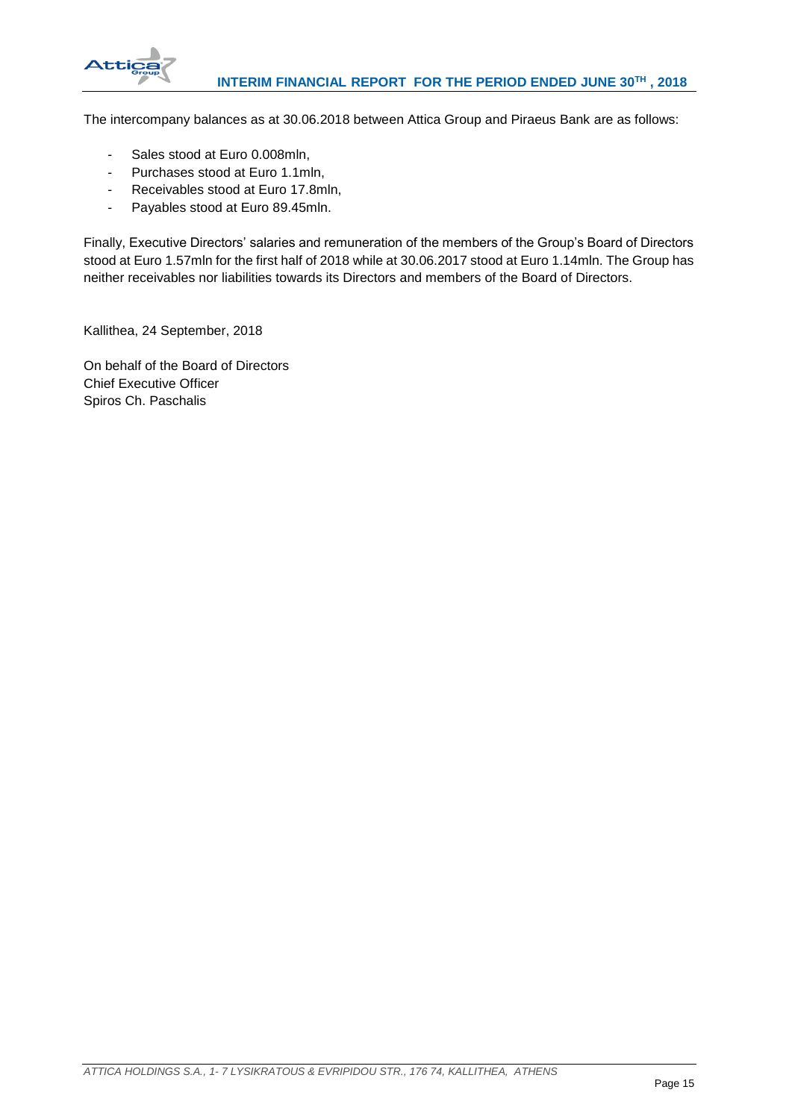

The intercompany balances as at 30.06.2018 between Attica Group and Piraeus Bank are as follows:

- Sales stood at Euro 0.008mln,
- Purchases stood at Euro 1.1mln,
- Receivables stood at Euro 17.8mln,
- Payables stood at Euro 89.45mln.

Finally, Executive Directors' salaries and remuneration of the members of the Group's Board of Directors stood at Euro 1.57mln for the first half of 2018 while at 30.06.2017 stood at Euro 1.14mln. The Group has neither receivables nor liabilities towards its Directors and members of the Board of Directors.

Kallithea, 24 September, 2018

On behalf of the Board of Directors Chief Executive Officer Spiros Ch. Paschalis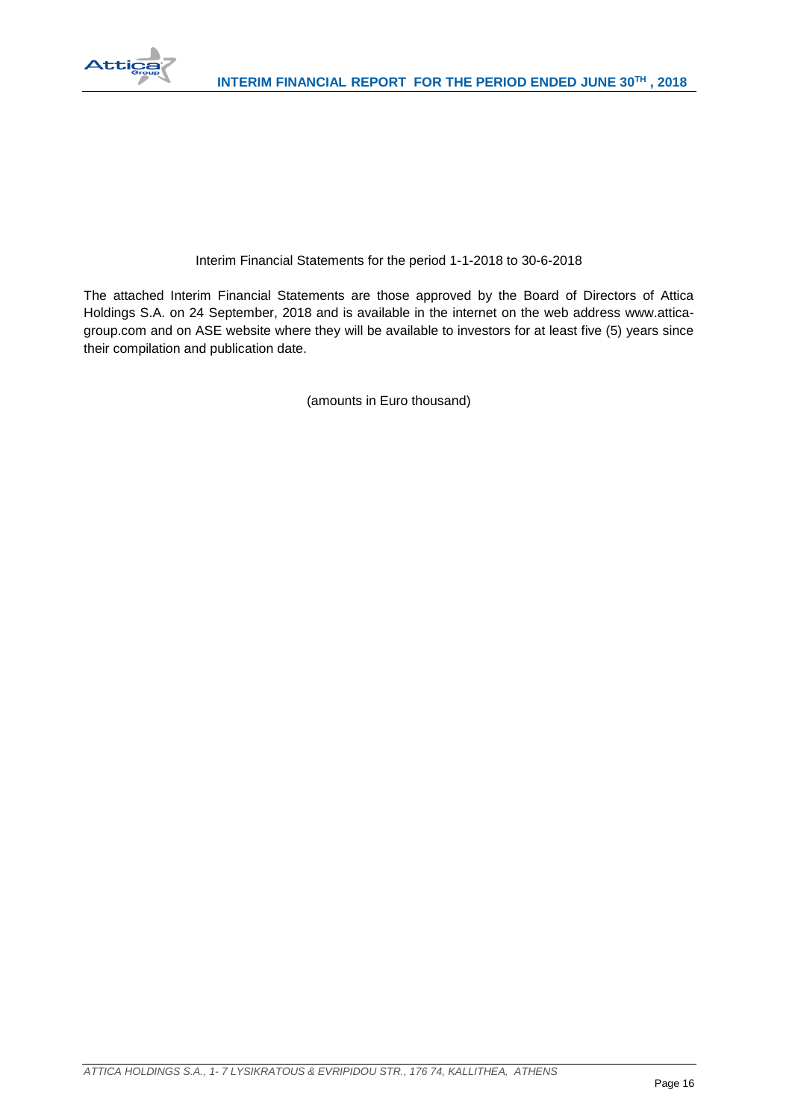

# Interim Financial Statements for the period 1-1-2018 to 30-6-2018

The attached Interim Financial Statements are those approved by the Board of Directors of Attica Holdings S.A. on 24 September, 2018 and is available in the internet on the web address www.atticagroup.com and on ASE website where they will be available to investors for at least five (5) years since their compilation and publication date.

(amounts in Euro thousand)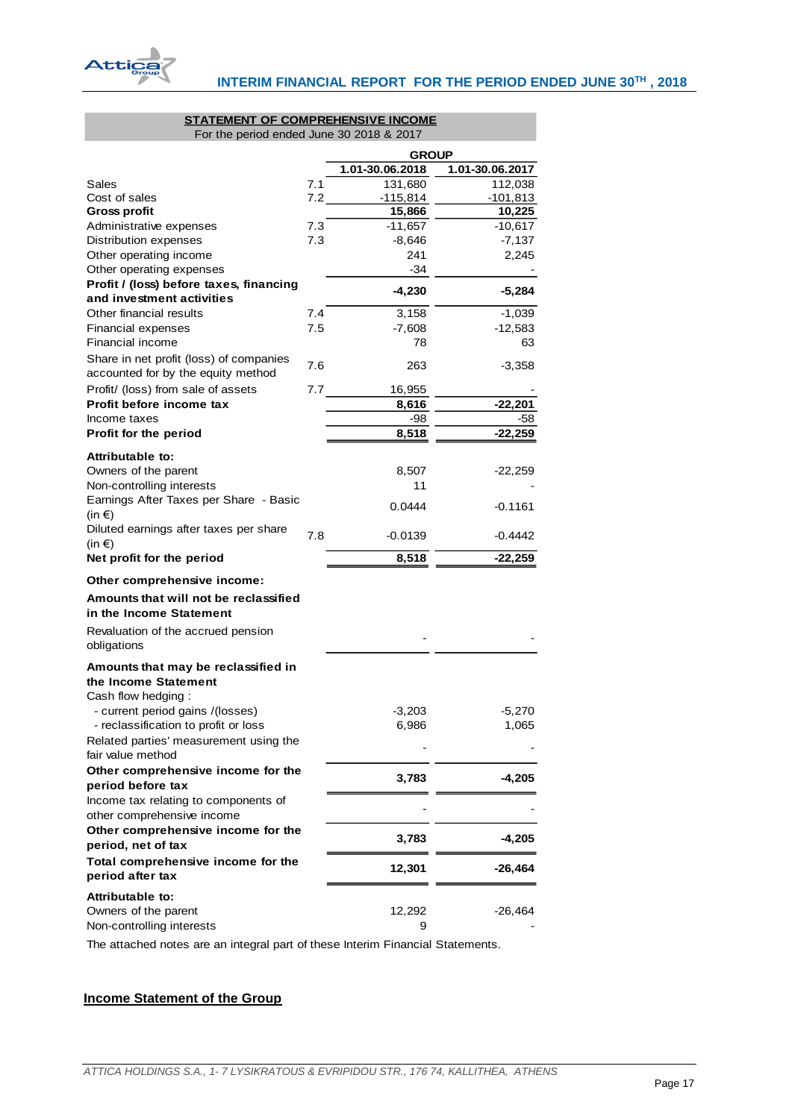

# **STATEMENT OF COMPREHENSIVE INCOME**

For the period ended June 30 2018 & 2017

|                                                                               |     | <b>GROUP</b>    |                 |  |  |
|-------------------------------------------------------------------------------|-----|-----------------|-----------------|--|--|
|                                                                               |     | 1.01-30.06.2018 | 1.01-30.06.2017 |  |  |
| Sales                                                                         | 7.1 | 131,680         | 112,038         |  |  |
| Cost of sales                                                                 | 7.2 | $-115,814$      | $-101,813$      |  |  |
| <b>Gross profit</b>                                                           |     | 15,866          | 10,225          |  |  |
| Administrative expenses                                                       | 7.3 | $-11,657$       | $-10,617$       |  |  |
| Distribution expenses                                                         | 7.3 | $-8,646$        | $-7,137$        |  |  |
| Other operating income                                                        |     | 241             | 2,245           |  |  |
| Other operating expenses                                                      |     | -34             |                 |  |  |
| Profit / (loss) before taxes, financing                                       |     | $-4,230$        | $-5,284$        |  |  |
| and investment activities                                                     |     |                 |                 |  |  |
| Other financial results                                                       | 7.4 | 3,158           | $-1,039$        |  |  |
| Financial expenses                                                            | 7.5 | $-7,608$        | $-12,583$       |  |  |
| Financial income                                                              |     | 78              | 63              |  |  |
| Share in net profit (loss) of companies<br>accounted for by the equity method | 7.6 | 263             | $-3,358$        |  |  |
| Profit/ (loss) from sale of assets                                            | 7.7 | 16,955          |                 |  |  |
| Profit before income tax                                                      |     | 8,616           | $-22,201$       |  |  |
| Income taxes                                                                  |     | -98             | -58             |  |  |
| Profit for the period                                                         |     | 8,518           | -22,259         |  |  |
|                                                                               |     |                 |                 |  |  |
| Attributable to:                                                              |     |                 |                 |  |  |
| Owners of the parent                                                          |     | 8,507           | $-22,259$       |  |  |
| Non-controlling interests                                                     |     | 11              |                 |  |  |
| Earnings After Taxes per Share - Basic<br>(in $\epsilon$ )                    |     | 0.0444          | $-0.1161$       |  |  |
| Diluted earnings after taxes per share<br>(in $\epsilon$ )                    | 7.8 | $-0.0139$       | -0.4442         |  |  |
| Net profit for the period                                                     |     | 8,518           | $-22,259$       |  |  |
| Other comprehensive income:                                                   |     |                 |                 |  |  |
| Amounts that will not be reclassified                                         |     |                 |                 |  |  |
| in the Income Statement                                                       |     |                 |                 |  |  |
| Revaluation of the accrued pension                                            |     |                 |                 |  |  |
| obligations                                                                   |     |                 |                 |  |  |
| Amounts that may be reclassified in                                           |     |                 |                 |  |  |
| the Income Statement                                                          |     |                 |                 |  |  |
| Cash flow hedging:                                                            |     |                 |                 |  |  |
| - current period gains /(losses)                                              |     | $-3,203$        | $-5,270$        |  |  |
| - reclassification to profit or loss                                          |     | 6,986           | 1,065           |  |  |
| Related parties' measurement using the                                        |     |                 |                 |  |  |
| fair value method                                                             |     |                 |                 |  |  |
| Other comprehensive income for the                                            |     | 3,783           | -4,205          |  |  |
| period before tax                                                             |     |                 |                 |  |  |
| Income tax relating to components of<br>other comprehensive income            |     |                 |                 |  |  |
| Other comprehensive income for the<br>period, net of tax                      |     | 3,783           | $-4,205$        |  |  |
| Total comprehensive income for the<br>period after tax                        |     | 12,301          | $-26,464$       |  |  |
|                                                                               |     |                 |                 |  |  |
| Attributable to:                                                              |     |                 |                 |  |  |
| Owners of the parent                                                          |     | 12,292          | -26,464         |  |  |
| Non-controlling interests                                                     |     | 9               |                 |  |  |
|                                                                               |     |                 |                 |  |  |

The attached notes are an integral part of these Interim Financial Statements.

# <span id="page-17-0"></span>**Income Statement of the Group**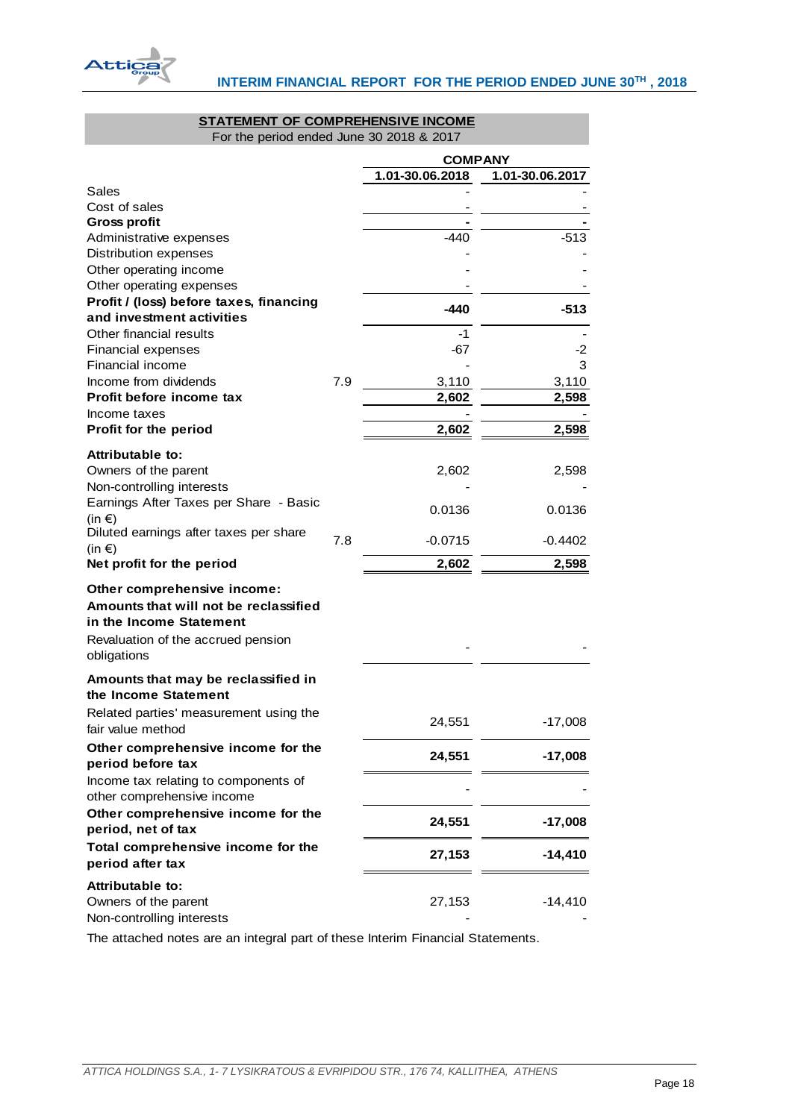

# **STATEMENT OF COMPREHENSIVE INCOME**

For the period ended June 30 2018 & 2017

|                                                                                                                                       |     | <b>COMPANY</b>  |                 |  |
|---------------------------------------------------------------------------------------------------------------------------------------|-----|-----------------|-----------------|--|
|                                                                                                                                       |     | 1.01-30.06.2018 | 1.01-30.06.2017 |  |
| Sales                                                                                                                                 |     |                 |                 |  |
| Cost of sales                                                                                                                         |     |                 |                 |  |
| <b>Gross profit</b>                                                                                                                   |     |                 |                 |  |
| Administrative expenses                                                                                                               |     | -440            | $-513$          |  |
| <b>Distribution expenses</b>                                                                                                          |     |                 |                 |  |
| Other operating income                                                                                                                |     |                 |                 |  |
| Other operating expenses                                                                                                              |     |                 |                 |  |
| Profit / (loss) before taxes, financing<br>and investment activities                                                                  |     | -440            | $-513$          |  |
| Other financial results                                                                                                               |     | $-1$            |                 |  |
| Financial expenses                                                                                                                    |     | -67             | -2              |  |
| Financial income                                                                                                                      |     |                 | 3               |  |
| Income from dividends                                                                                                                 | 7.9 | 3,110           | 3,110           |  |
| Profit before income tax                                                                                                              |     | 2,602           | 2,598           |  |
| Income taxes                                                                                                                          |     |                 |                 |  |
| Profit for the period                                                                                                                 |     | 2,602           | 2,598           |  |
| Attributable to:                                                                                                                      |     |                 |                 |  |
| Owners of the parent                                                                                                                  |     | 2,602           | 2,598           |  |
| Non-controlling interests                                                                                                             |     |                 |                 |  |
| Earnings After Taxes per Share - Basic                                                                                                |     |                 |                 |  |
| (in $\epsilon$ )                                                                                                                      |     | 0.0136          | 0.0136          |  |
| Diluted earnings after taxes per share<br>(in $\epsilon$ )                                                                            | 7.8 | $-0.0715$       | $-0.4402$       |  |
| Net profit for the period                                                                                                             |     | 2,602           | 2,598           |  |
| Other comprehensive income:<br>Amounts that will not be reclassified<br>in the Income Statement<br>Revaluation of the accrued pension |     |                 |                 |  |
| obligations                                                                                                                           |     |                 |                 |  |
| Amounts that may be reclassified in<br>the Income Statement                                                                           |     |                 |                 |  |
| Related parties' measurement using the<br>fair value method                                                                           |     | 24,551          | -17,008         |  |
| Other comprehensive income for the<br>period before tax                                                                               |     | 24,551          | $-17,008$       |  |
| Income tax relating to components of                                                                                                  |     |                 |                 |  |
| other comprehensive income                                                                                                            |     |                 |                 |  |
| Other comprehensive income for the                                                                                                    |     | 24,551          | $-17,008$       |  |
| period, net of tax                                                                                                                    |     |                 |                 |  |
| Total comprehensive income for the<br>period after tax                                                                                |     | 27,153          | $-14,410$       |  |
| Attributable to:<br>Owners of the parent<br>Non-controlling interests                                                                 |     | 27,153          | $-14,410$       |  |

<span id="page-18-0"></span>The attached notes are an integral part of these Interim Financial Statements.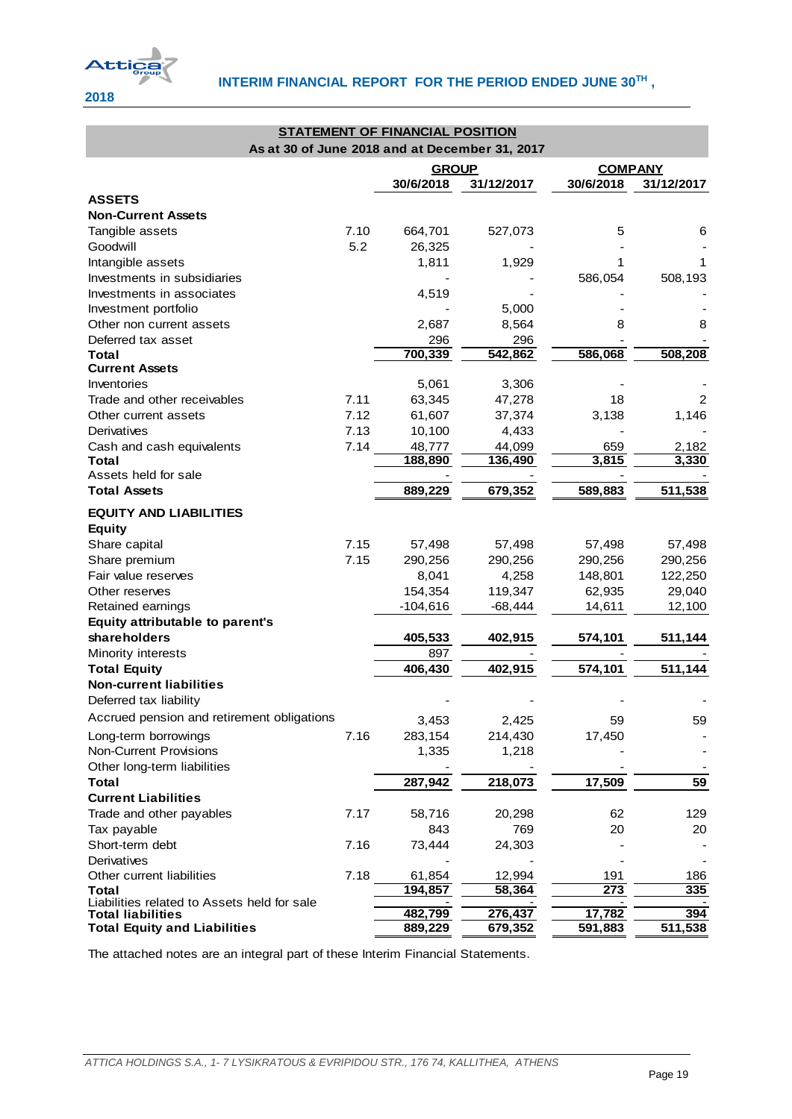

| <b>STATEMENT OF FINANCIAL POSITION</b><br>As at 30 of June 2018 and at December 31, 2017 |      |              |            |                  |            |  |  |  |
|------------------------------------------------------------------------------------------|------|--------------|------------|------------------|------------|--|--|--|
|                                                                                          |      |              |            |                  |            |  |  |  |
|                                                                                          |      | <b>GROUP</b> |            | <b>COMPANY</b>   |            |  |  |  |
|                                                                                          |      | 30/6/2018    | 31/12/2017 | 30/6/2018        | 31/12/2017 |  |  |  |
| <b>ASSETS</b>                                                                            |      |              |            |                  |            |  |  |  |
| <b>Non-Current Assets</b>                                                                |      |              |            |                  |            |  |  |  |
| Tangible assets                                                                          | 7.10 | 664,701      | 527,073    | 5                | 6          |  |  |  |
| Goodwill                                                                                 | 5.2  | 26,325       |            |                  |            |  |  |  |
| Intangible assets                                                                        |      | 1,811        | 1,929      |                  | 1          |  |  |  |
| Investments in subsidiaries                                                              |      |              |            | 586,054          | 508,193    |  |  |  |
| Investments in associates                                                                |      | 4,519        |            |                  |            |  |  |  |
| Investment portfolio                                                                     |      |              | 5,000      |                  |            |  |  |  |
| Other non current assets                                                                 |      | 2,687        | 8,564      | 8                | 8          |  |  |  |
| Deferred tax asset                                                                       |      | 296          | 296        |                  |            |  |  |  |
| Total                                                                                    |      | 700,339      | 542,862    | 586,068          | 508,208    |  |  |  |
| <b>Current Assets</b>                                                                    |      |              |            |                  |            |  |  |  |
| Inventories                                                                              |      | 5,061        | 3,306      |                  |            |  |  |  |
| Trade and other receivables                                                              | 7.11 | 63,345       | 47,278     | 18               | 2          |  |  |  |
| Other current assets                                                                     | 7.12 | 61,607       | 37,374     | 3,138            | 1,146      |  |  |  |
| Derivatives                                                                              | 7.13 | 10,100       | 4,433      |                  |            |  |  |  |
| Cash and cash equivalents                                                                | 7.14 | 48,777       | 44,099     | 659              | 2,182      |  |  |  |
| Total                                                                                    |      | 188,890      | 136,490    | 3,815            | 3,330      |  |  |  |
| Assets held for sale                                                                     |      |              |            |                  |            |  |  |  |
| <b>Total Assets</b>                                                                      |      | 889,229      | 679,352    | 589,883          | 511,538    |  |  |  |
| <b>EQUITY AND LIABILITIES</b>                                                            |      |              |            |                  |            |  |  |  |
| <b>Equity</b>                                                                            |      |              |            |                  |            |  |  |  |
| Share capital                                                                            | 7.15 | 57,498       | 57,498     | 57,498           | 57,498     |  |  |  |
| Share premium                                                                            | 7.15 | 290,256      | 290,256    | 290,256          | 290,256    |  |  |  |
| Fair value reserves                                                                      |      | 8,041        | 4,258      | 148,801          | 122,250    |  |  |  |
| Other reserves                                                                           |      | 154,354      | 119,347    | 62,935           | 29,040     |  |  |  |
| Retained earnings                                                                        |      | $-104,616$   | -68,444    | 14,611           | 12,100     |  |  |  |
| Equity attributable to parent's                                                          |      |              |            |                  |            |  |  |  |
| shareholders                                                                             |      | 405,533      | 402,915    | 574,101          | 511,144    |  |  |  |
| Minority interests                                                                       |      | 897          |            |                  |            |  |  |  |
| <b>Total Equity</b>                                                                      |      | 406,430      | 402,915    | 574,101          | 511,144    |  |  |  |
| <b>Non-current liabilities</b>                                                           |      |              |            |                  |            |  |  |  |
| Deferred tax liability                                                                   |      |              |            |                  |            |  |  |  |
| Accrued pension and retirement obligations                                               |      | 3,453        | 2,425      | 59               | 59         |  |  |  |
| Long-term borrowings                                                                     | 7.16 | 283,154      | 214,430    | 17,450           |            |  |  |  |
| <b>Non-Current Provisions</b>                                                            |      | 1,335        | 1,218      |                  |            |  |  |  |
| Other long-term liabilities                                                              |      |              |            |                  |            |  |  |  |
| <b>Total</b>                                                                             |      | 287,942      | 218,073    | 17,509           | 59         |  |  |  |
| <b>Current Liabilities</b>                                                               |      |              |            |                  |            |  |  |  |
| Trade and other payables                                                                 | 7.17 | 58,716       | 20,298     | 62               | 129        |  |  |  |
| Tax payable                                                                              |      | 843          | 769        | 20               | 20         |  |  |  |
| Short-term debt                                                                          | 7.16 | 73,444       | 24,303     |                  |            |  |  |  |
| Derivatives                                                                              |      |              |            |                  |            |  |  |  |
| Other current liabilities                                                                | 7.18 | 61,854       | 12,994     | 191              | 186        |  |  |  |
| Total                                                                                    |      | 194,857      | 58,364     | $\overline{273}$ | 335        |  |  |  |
| Liabilities related to Assets held for sale                                              |      |              |            |                  |            |  |  |  |
| <b>Total liabilities</b>                                                                 |      | 482,799      | 276,437    | 17,782           | 394        |  |  |  |
| <b>Total Equity and Liabilities</b>                                                      |      | 889,229      | 679,352    | 591,883          | 511,538    |  |  |  |

<span id="page-19-0"></span>The attached notes are an integral part of these Interim Financial Statements.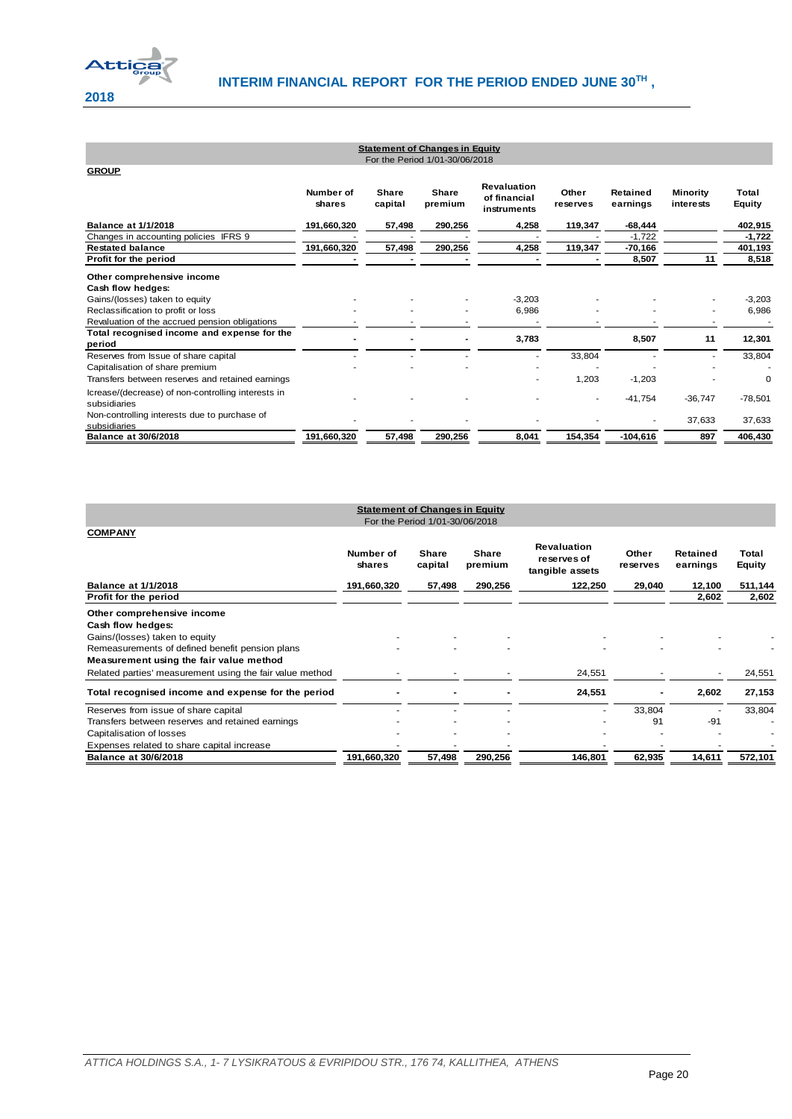

| <b>Statement of Changes in Equity</b><br>For the Period 1/01-30/06/2018 |                     |                  |                         |                                                   |                   |                      |                              |                        |
|-------------------------------------------------------------------------|---------------------|------------------|-------------------------|---------------------------------------------------|-------------------|----------------------|------------------------------|------------------------|
| <b>GROUP</b>                                                            |                     |                  |                         |                                                   |                   |                      |                              |                        |
|                                                                         | Number of<br>shares | Share<br>capital | <b>Share</b><br>premium | <b>Revaluation</b><br>of financial<br>instruments | Other<br>reserves | Retained<br>earnings | <b>Minority</b><br>interests | Total<br><b>Equity</b> |
| <b>Balance at 1/1/2018</b>                                              | 191,660,320         | 57,498           | 290,256                 | 4,258                                             | 119,347           | $-68,444$            |                              | 402,915                |
| Changes in accounting policies IFRS 9                                   |                     |                  |                         |                                                   |                   | $-1,722$             |                              | $-1,722$               |
| <b>Restated balance</b>                                                 | 191,660,320         | 57,498           | 290,256                 | 4,258                                             | 119,347           | $-70,166$            |                              | 401,193                |
| Profit for the period                                                   |                     |                  |                         |                                                   |                   | 8,507                | 11                           | 8,518                  |
| Other comprehensive income                                              |                     |                  |                         |                                                   |                   |                      |                              |                        |
| Cash flow hedges:                                                       |                     |                  |                         |                                                   |                   |                      |                              |                        |
| Gains/(losses) taken to equity                                          |                     |                  |                         | $-3,203$                                          |                   |                      |                              | $-3,203$               |
| Reclassification to profit or loss                                      |                     |                  |                         | 6,986                                             |                   |                      |                              | 6,986                  |
| Revaluation of the accrued pension obligations                          |                     |                  |                         |                                                   |                   |                      |                              |                        |
| Total recognised income and expense for the<br>period                   |                     |                  |                         | 3,783                                             |                   | 8,507                | 11                           | 12,301                 |
| Reserves from Issue of share capital                                    |                     |                  |                         |                                                   | 33,804            |                      |                              | 33,804                 |
| Capitalisation of share premium                                         |                     |                  |                         |                                                   |                   |                      |                              |                        |
| Transfers between reserves and retained earnings                        |                     |                  |                         | ٠                                                 | 1,203             | $-1,203$             |                              | 0                      |
| Icrease/(decrease) of non-controlling interests in                      |                     |                  |                         |                                                   |                   | $-41,754$            | $-36,747$                    | $-78,501$              |
| subsidiaries                                                            |                     |                  |                         |                                                   |                   |                      |                              |                        |
| Non-controlling interests due to purchase of<br>subsidiaries            |                     |                  |                         |                                                   |                   |                      | 37,633                       | 37,633                 |
| <b>Balance at 30/6/2018</b>                                             | 191,660,320         | 57,498           | 290.256                 | 8,041                                             | 154,354           | $-104.616$           | 897                          | 406,430                |

<span id="page-20-1"></span><span id="page-20-0"></span>

| <b>Statement of Changes in Equity</b><br>For the Period 1/01-30/06/2018 |                     |                         |                         |                                                      |                   |                      |                        |  |
|-------------------------------------------------------------------------|---------------------|-------------------------|-------------------------|------------------------------------------------------|-------------------|----------------------|------------------------|--|
| <b>COMPANY</b>                                                          |                     |                         |                         |                                                      |                   |                      |                        |  |
|                                                                         | Number of<br>shares | <b>Share</b><br>capital | <b>Share</b><br>premium | <b>Revaluation</b><br>reserves of<br>tangible assets | Other<br>reserves | Retained<br>earnings | Total<br><b>Equity</b> |  |
| <b>Balance at 1/1/2018</b>                                              | 191,660,320         | 57,498                  | 290,256                 | 122,250                                              | 29,040            | 12,100               | 511,144                |  |
| Profit for the period                                                   |                     |                         |                         |                                                      |                   | 2,602                | 2,602                  |  |
| Other comprehensive income                                              |                     |                         |                         |                                                      |                   |                      |                        |  |
| Cash flow hedges:                                                       |                     |                         |                         |                                                      |                   |                      |                        |  |
| Gains/(losses) taken to equity                                          |                     |                         |                         |                                                      |                   |                      |                        |  |
| Remeasurements of defined benefit pension plans                         |                     |                         |                         |                                                      |                   |                      |                        |  |
| Measurement using the fair value method                                 |                     |                         |                         |                                                      |                   |                      |                        |  |
| Related parties' measurement using the fair value method                |                     |                         |                         | 24,551                                               |                   | ٠                    | 24,551                 |  |
| Total recognised income and expense for the period                      |                     |                         |                         | 24,551                                               |                   | 2,602                | 27,153                 |  |
| Reserves from issue of share capital                                    |                     |                         |                         |                                                      | 33,804            |                      | 33,804                 |  |
| Transfers between reserves and retained earnings                        |                     |                         |                         |                                                      | 91                | $-91$                |                        |  |
| Capitalisation of losses                                                |                     |                         |                         |                                                      |                   |                      |                        |  |
| Expenses related to share capital increase                              |                     |                         |                         |                                                      |                   |                      |                        |  |
| <b>Balance at 30/6/2018</b>                                             | 191,660,320         | 57,498                  | 290,256                 | 146,801                                              | 62,935            | 14,611               | 572,101                |  |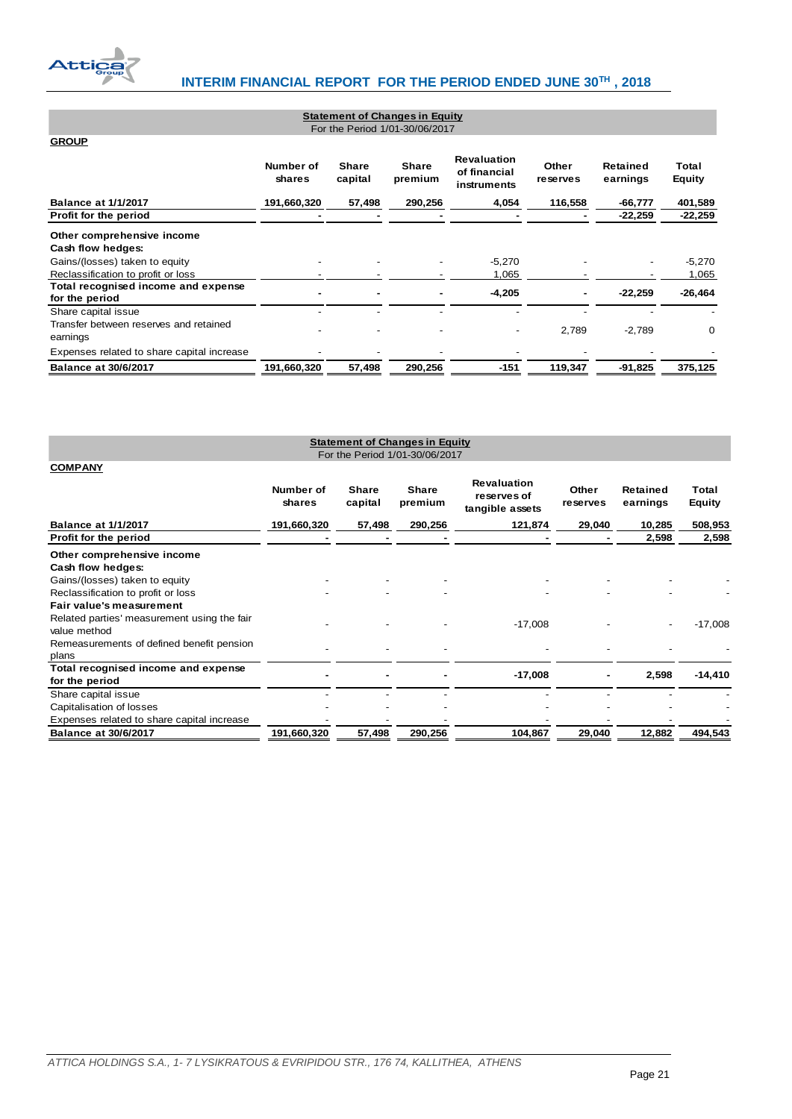

| <b>Statement of Changes in Equity</b><br>For the Period 1/01-30/06/2017   |                     |                         |                         |                                                   |                   |                      |                        |  |
|---------------------------------------------------------------------------|---------------------|-------------------------|-------------------------|---------------------------------------------------|-------------------|----------------------|------------------------|--|
| <b>GROUP</b>                                                              |                     |                         |                         |                                                   |                   |                      |                        |  |
|                                                                           | Number of<br>shares | <b>Share</b><br>capital | <b>Share</b><br>premium | <b>Revaluation</b><br>of financial<br>instruments | Other<br>reserves | Retained<br>earnings | Total<br><b>Equity</b> |  |
| <b>Balance at 1/1/2017</b>                                                | 191,660,320         | 57,498                  | 290,256                 | 4,054                                             | 116,558           | $-66,777$            | 401,589                |  |
| Profit for the period                                                     |                     |                         |                         |                                                   |                   | $-22,259$            | $-22,259$              |  |
| Other comprehensive income<br>Cash flow hedges:                           |                     |                         |                         |                                                   |                   |                      |                        |  |
| Gains/(losses) taken to equity<br>Reclassification to profit or loss      |                     |                         |                         | $-5,270$<br>1,065                                 |                   |                      | $-5,270$<br>1,065      |  |
| Total recognised income and expense<br>for the period                     |                     |                         |                         | $-4,205$                                          |                   | $-22,259$            | $-26,464$              |  |
| Share capital issue<br>Transfer between reserves and retained<br>earnings |                     |                         |                         | -                                                 | 2,789             | $-2,789$             | 0                      |  |
| Expenses related to share capital increase                                |                     |                         |                         |                                                   |                   |                      |                        |  |
| <b>Balance at 30/6/2017</b>                                               | 191,660,320         | 57,498                  | 290,256                 | -151                                              | 119,347           | $-91,825$            | 375,125                |  |

<span id="page-21-1"></span><span id="page-21-0"></span>

| <b>Statement of Changes in Equity</b><br>For the Period 1/01-30/06/2017 |                     |                         |                         |                                                      |                   |                      |                 |  |  |
|-------------------------------------------------------------------------|---------------------|-------------------------|-------------------------|------------------------------------------------------|-------------------|----------------------|-----------------|--|--|
| <b>COMPANY</b>                                                          |                     |                         |                         |                                                      |                   |                      |                 |  |  |
|                                                                         | Number of<br>shares | <b>Share</b><br>capital | <b>Share</b><br>premium | <b>Revaluation</b><br>reserves of<br>tangible assets | Other<br>reserves | Retained<br>earnings | Total<br>Equity |  |  |
| <b>Balance at 1/1/2017</b>                                              | 191,660,320         | 57,498                  | 290,256                 | 121,874                                              | 29,040            | 10,285               | 508,953         |  |  |
| Profit for the period                                                   |                     |                         |                         |                                                      |                   | 2,598                | 2,598           |  |  |
| Other comprehensive income                                              |                     |                         |                         |                                                      |                   |                      |                 |  |  |
| Cash flow hedges:                                                       |                     |                         |                         |                                                      |                   |                      |                 |  |  |
| Gains/(losses) taken to equity                                          |                     |                         |                         |                                                      |                   |                      |                 |  |  |
| Reclassification to profit or loss                                      |                     |                         |                         |                                                      |                   |                      |                 |  |  |
| Fair value's measurement                                                |                     |                         |                         |                                                      |                   |                      |                 |  |  |
| Related parties' measurement using the fair<br>value method             |                     |                         |                         | $-17,008$                                            |                   |                      | $-17,008$       |  |  |
| Remeasurements of defined benefit pension                               |                     |                         |                         |                                                      |                   |                      |                 |  |  |
| plans                                                                   |                     |                         |                         |                                                      |                   |                      |                 |  |  |
| Total recognised income and expense<br>for the period                   |                     |                         |                         | $-17,008$                                            |                   | 2,598                | $-14,410$       |  |  |
| Share capital issue                                                     |                     |                         |                         |                                                      |                   |                      |                 |  |  |
| Capitalisation of losses                                                |                     |                         |                         |                                                      |                   |                      |                 |  |  |
| Expenses related to share capital increase                              |                     |                         |                         |                                                      |                   |                      |                 |  |  |
| <b>Balance at 30/6/2017</b>                                             | 191,660,320         | 57,498                  | 290,256                 | 104,867                                              | 29,040            | 12,882               | 494.543         |  |  |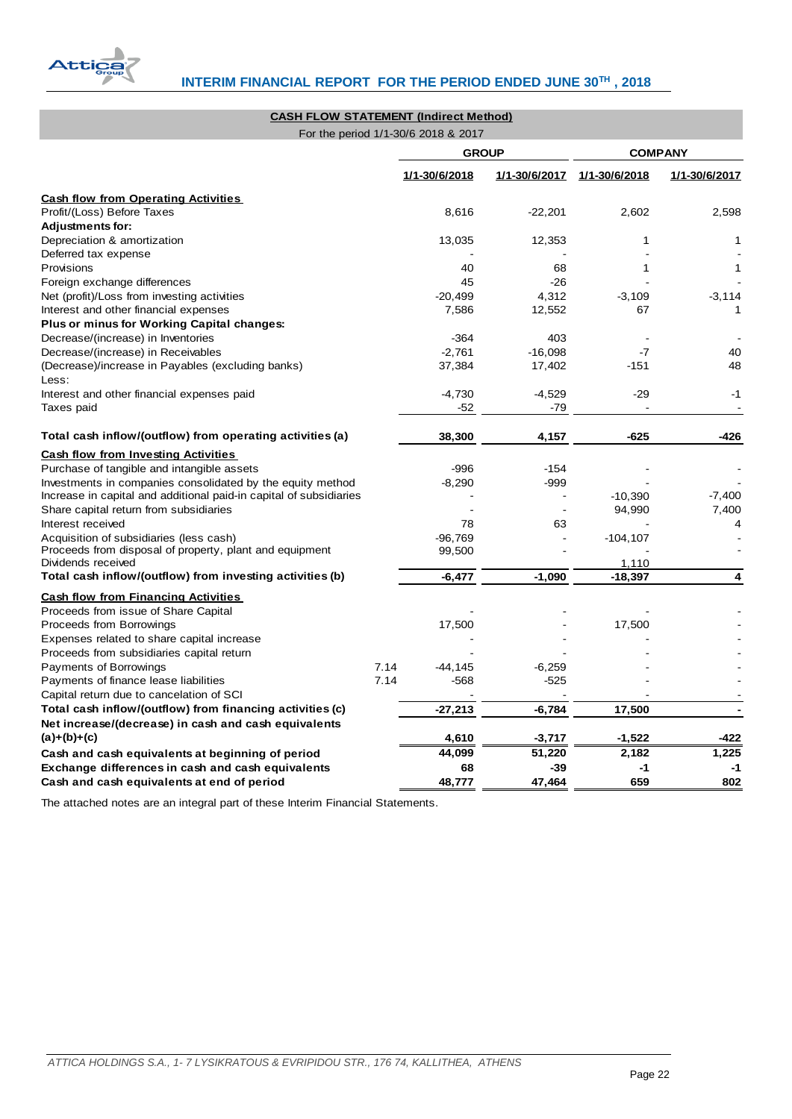

# **CASH FLOW STATEMENT (Indirect Method)**

For the period 1/1-30/6 2018 & 2017

|                                                                               |      | <b>GROUP</b>  |               | <b>COMPANY</b> |               |  |
|-------------------------------------------------------------------------------|------|---------------|---------------|----------------|---------------|--|
|                                                                               |      | 1/1-30/6/2018 | 1/1-30/6/2017 | 1/1-30/6/2018  | 1/1-30/6/2017 |  |
| <b>Cash flow from Operating Activities</b>                                    |      |               |               |                |               |  |
| Profit/(Loss) Before Taxes                                                    |      | 8,616         | $-22,201$     | 2,602          | 2,598         |  |
| <b>Adjustments for:</b>                                                       |      |               |               |                |               |  |
| Depreciation & amortization                                                   |      | 13,035        | 12,353        | 1              | 1             |  |
| Deferred tax expense                                                          |      |               |               |                |               |  |
| Provisions                                                                    |      | 40            | 68            | 1              | 1             |  |
| Foreign exchange differences                                                  |      | 45            | $-26$         |                |               |  |
| Net (profit)/Loss from investing activities                                   |      | $-20,499$     | 4,312         | $-3,109$       | $-3,114$      |  |
| Interest and other financial expenses                                         |      | 7,586         | 12,552        | 67             | 1             |  |
| Plus or minus for Working Capital changes:                                    |      |               |               |                |               |  |
| Decrease/(increase) in Inventories                                            |      | -364          | 403           |                |               |  |
| Decrease/(increase) in Receivables                                            |      | $-2,761$      | $-16,098$     | -7             | 40            |  |
| (Decrease)/increase in Payables (excluding banks)<br>Less:                    |      | 37,384        | 17,402        | $-151$         | 48            |  |
| Interest and other financial expenses paid                                    |      | $-4,730$      | $-4,529$      | $-29$          | $-1$          |  |
| Taxes paid                                                                    |      | -52           | $-79$         |                |               |  |
| Total cash inflow/(outflow) from operating activities (a)                     |      | 38,300        | 4,157         | $-625$         | $-426$        |  |
| <b>Cash flow from Investing Activities</b>                                    |      |               |               |                |               |  |
| Purchase of tangible and intangible assets                                    |      | $-996$        | $-154$        |                |               |  |
| Investments in companies consolidated by the equity method                    |      | $-8,290$      | $-999$        |                |               |  |
| Increase in capital and additional paid-in capital of subsidiaries            |      |               |               | $-10,390$      | $-7,400$      |  |
| Share capital return from subsidiaries                                        |      |               |               | 94,990         | 7,400         |  |
| Interest received                                                             |      | 78            | 63            |                | 4             |  |
| Acquisition of subsidiaries (less cash)                                       |      | $-96,769$     |               | $-104, 107$    |               |  |
| Proceeds from disposal of property, plant and equipment<br>Dividends received |      | 99,500        |               | 1,110          |               |  |
| Total cash inflow/(outflow) from investing activities (b)                     |      | $-6,477$      | $-1,090$      | $-18,397$      | 4             |  |
| <b>Cash flow from Financing Activities</b>                                    |      |               |               |                |               |  |
| Proceeds from issue of Share Capital                                          |      |               |               |                |               |  |
| Proceeds from Borrowings                                                      |      | 17,500        |               | 17,500         |               |  |
| Expenses related to share capital increase                                    |      |               |               |                |               |  |
| Proceeds from subsidiaries capital return                                     |      |               |               |                |               |  |
| Payments of Borrowings                                                        | 7.14 | $-44, 145$    | $-6,259$      |                |               |  |
| Payments of finance lease liabilities                                         | 7.14 | $-568$        | $-525$        |                |               |  |
| Capital return due to cancelation of SCI                                      |      |               |               |                |               |  |
| Total cash inflow/(outflow) from financing activities (c)                     |      | $-27,213$     | $-6,784$      | 17,500         |               |  |
| Net increase/(decrease) in cash and cash equivalents                          |      |               |               |                |               |  |
| $(a)+(b)+(c)$                                                                 |      | 4,610         | $-3,717$      | $-1,522$       | -422          |  |
| Cash and cash equivalents at beginning of period                              |      | 44,099        | 51,220        | 2,182          | 1,225         |  |
| Exchange differences in cash and cash equivalents                             |      | 68            | -39           | -1             | -1            |  |
| Cash and cash equivalents at end of period                                    |      | 48,777        | 47,464        | 659            | 802           |  |

<span id="page-22-0"></span>The attached notes are an integral part of these Interim Financial Statements.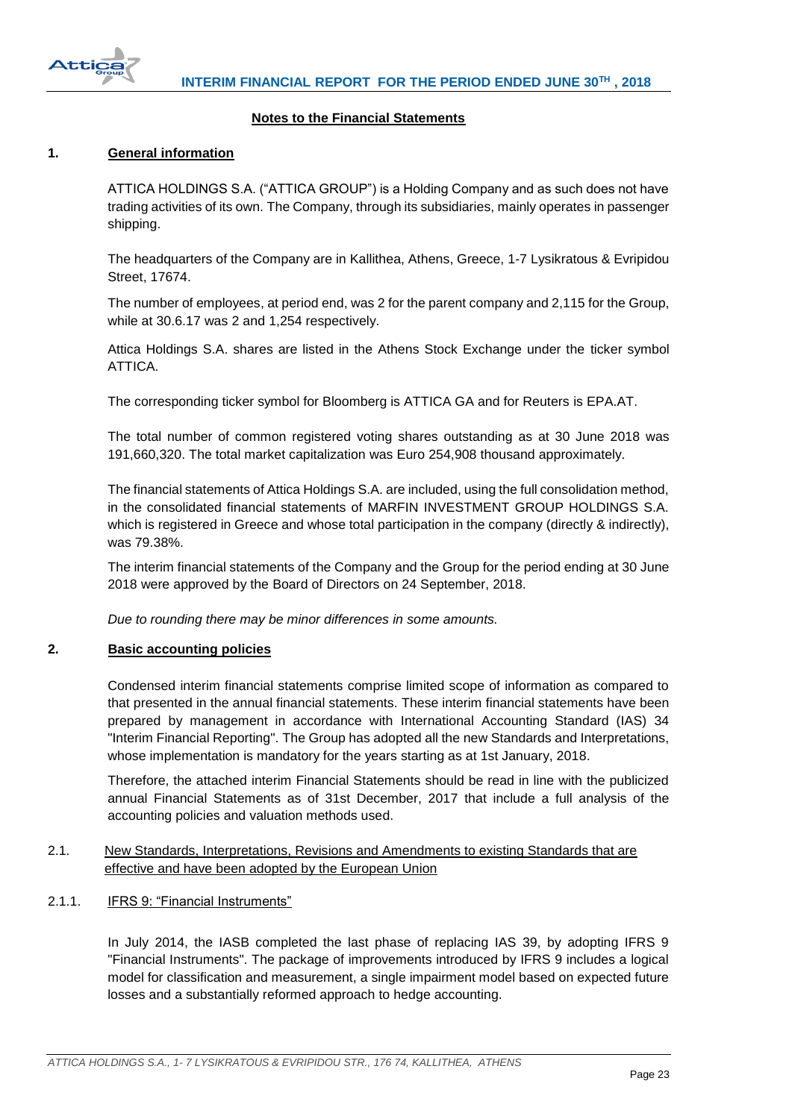

## **Notes to the Financial Statements**

## <span id="page-23-1"></span><span id="page-23-0"></span>**1. General information**

ATTICA HOLDINGS S.A. ("ATTICA GROUP") is a Holding Company and as such does not have trading activities of its own. The Company, through its subsidiaries, mainly operates in passenger shipping.

The headquarters of the Company are in Kallithea, Athens, Greece, 1-7 Lysikratous & Evripidou Street, 17674.

The number of employees, at period end, was 2 for the parent company and 2,115 for the Group, while at 30.6.17 was 2 and 1,254 respectively.

Attica Holdings S.A. shares are listed in the Athens Stock Exchange under the ticker symbol ATTICA.

The corresponding ticker symbol for Bloomberg is ATTICA GA and for Reuters is EPA.AT.

The total number of common registered voting shares outstanding as at 30 June 2018 was 191,660,320. The total market capitalization was Euro 254,908 thousand approximately.

The financial statements of Attica Holdings S.A. are included, using the full consolidation method, in the consolidated financial statements of MARFIN INVESTMENT GROUP HOLDINGS S.A. which is registered in Greece and whose total participation in the company (directly & indirectly), was 79.38%.

The interim financial statements of the Company and the Group for the period ending at 30 June 2018 were approved by the Board of Directors on 24 September, 2018.

*Due to rounding there may be minor differences in some amounts.*

## <span id="page-23-2"></span>**2. Basic accounting policies**

Condensed interim financial statements comprise limited scope of information as compared to that presented in the annual financial statements. These interim financial statements have been prepared by management in accordance with International Accounting Standard (IAS) 34 "Interim Financial Reporting". The Group has adopted all the new Standards and Interpretations, whose implementation is mandatory for the years starting as at 1st January, 2018.

Therefore, the attached interim Financial Statements should be read in line with the publicized annual Financial Statements as of 31st December, 2017 that include a full analysis of the accounting policies and valuation methods used.

# <span id="page-23-3"></span>2.1. New Standards, Interpretations, Revisions and Amendments to existing Standards that are effective and have been adopted by the European Union

<span id="page-23-4"></span>2.1.1. IFRS 9: "Financial Instruments"

In July 2014, the IASB completed the last phase of replacing IAS 39, by adopting IFRS 9 "Financial Instruments". The package of improvements introduced by IFRS 9 includes a logical model for classification and measurement, a single impairment model based on expected future losses and a substantially reformed approach to hedge accounting.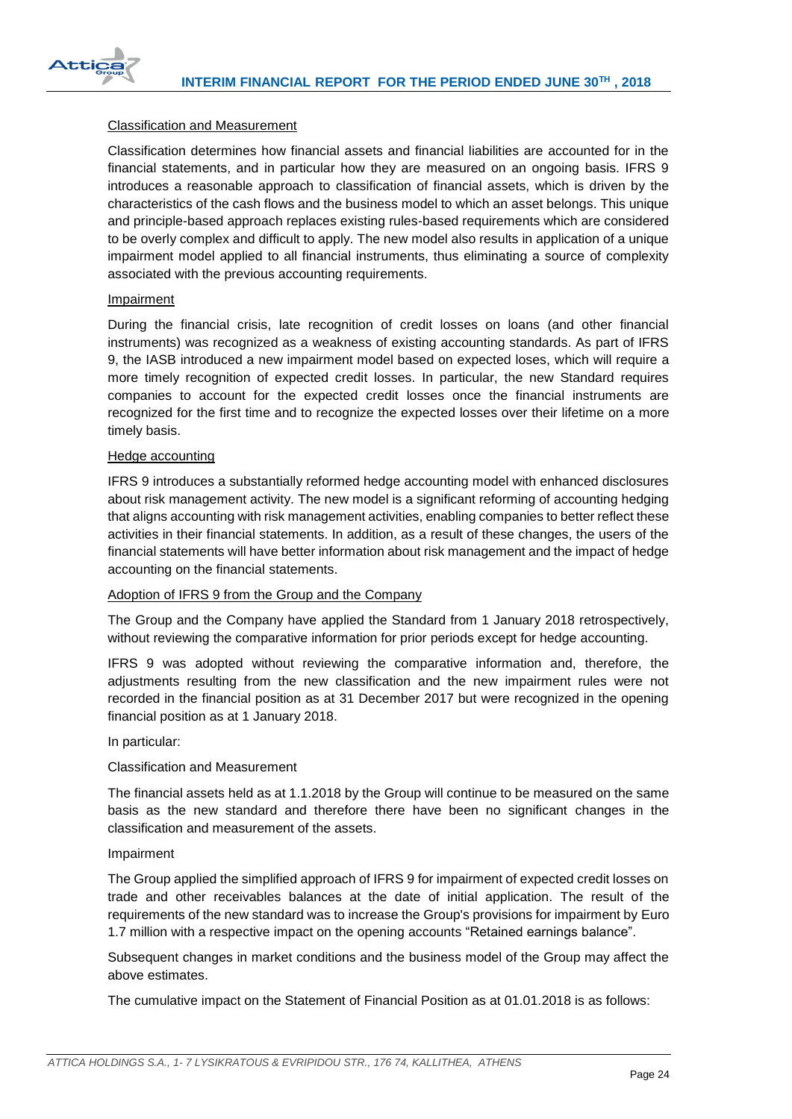

## Classification and Measurement

Classification determines how financial assets and financial liabilities are accounted for in the financial statements, and in particular how they are measured on an ongoing basis. IFRS 9 introduces a reasonable approach to classification of financial assets, which is driven by the characteristics of the cash flows and the business model to which an asset belongs. This unique and principle-based approach replaces existing rules-based requirements which are considered to be overly complex and difficult to apply. The new model also results in application of a unique impairment model applied to all financial instruments, thus eliminating a source of complexity associated with the previous accounting requirements.

## Impairment

During the financial crisis, late recognition of credit losses on loans (and other financial instruments) was recognized as a weakness of existing accounting standards. As part of IFRS 9, the IASB introduced a new impairment model based on expected loses, which will require a more timely recognition of expected credit losses. In particular, the new Standard requires companies to account for the expected credit losses once the financial instruments are recognized for the first time and to recognize the expected losses over their lifetime on a more timely basis.

### Hedge accounting

IFRS 9 introduces a substantially reformed hedge accounting model with enhanced disclosures about risk management activity. The new model is a significant reforming of accounting hedging that aligns accounting with risk management activities, enabling companies to better reflect these activities in their financial statements. In addition, as a result of these changes, the users of the financial statements will have better information about risk management and the impact of hedge accounting on the financial statements.

## Adoption of IFRS 9 from the Group and the Company

The Group and the Company have applied the Standard from 1 January 2018 retrospectively, without reviewing the comparative information for prior periods except for hedge accounting.

IFRS 9 was adopted without reviewing the comparative information and, therefore, the adjustments resulting from the new classification and the new impairment rules were not recorded in the financial position as at 31 December 2017 but were recognized in the opening financial position as at 1 January 2018.

#### In particular:

## Classification and Measurement

The financial assets held as at 1.1.2018 by the Group will continue to be measured on the same basis as the new standard and therefore there have been no significant changes in the classification and measurement of the assets.

#### Impairment

The Group applied the simplified approach of IFRS 9 for impairment of expected credit losses on trade and other receivables balances at the date of initial application. The result of the requirements of the new standard was to increase the Group's provisions for impairment by Euro 1.7 million with a respective impact on the opening accounts "Retained earnings balance".

Subsequent changes in market conditions and the business model of the Group may affect the above estimates.

The cumulative impact on the Statement of Financial Position as at 01.01.2018 is as follows: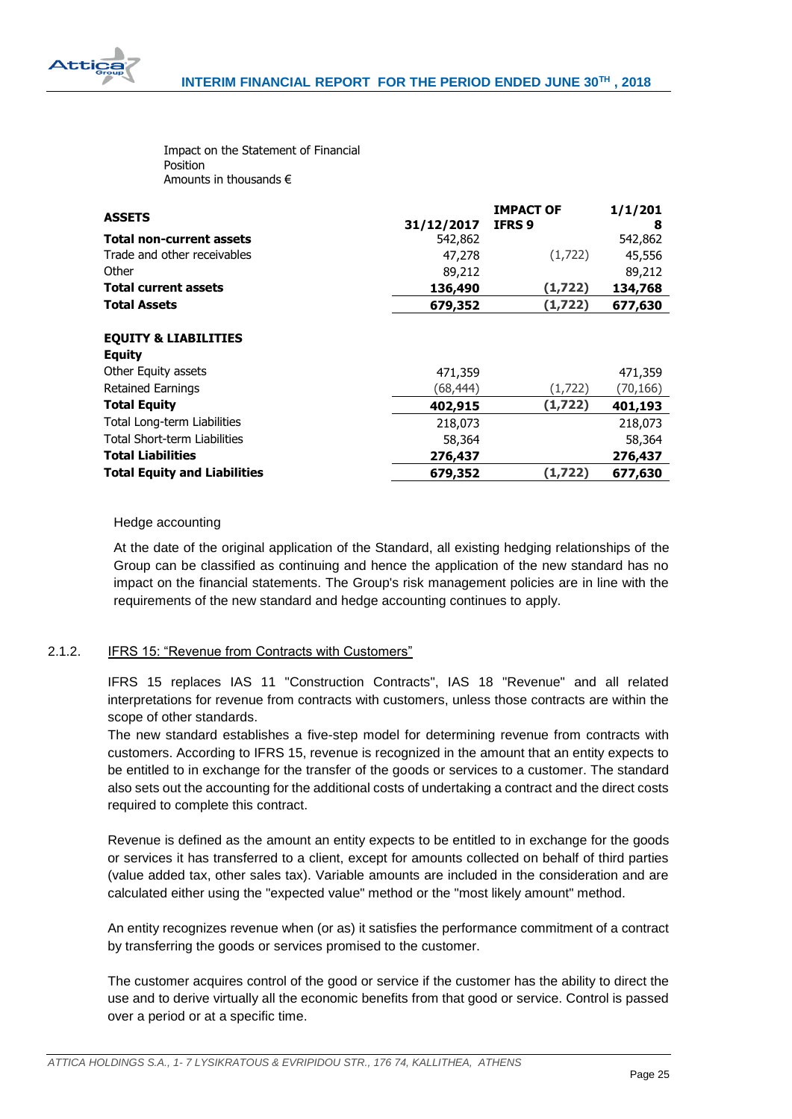

Impact on the Statement of Financial Position Amounts in thousands €

| <b>ASSETS</b>                                                                                       | 31/12/2017          | <b>IMPACT OF</b><br>IFRS 9 | 1/1/201<br>8        |
|-----------------------------------------------------------------------------------------------------|---------------------|----------------------------|---------------------|
| <b>Total non-current assets</b>                                                                     | 542,862             |                            | 542,862             |
| Trade and other receivables                                                                         | 47,278              | (1,722)                    | 45,556              |
| Other                                                                                               | 89,212              |                            | 89,212              |
| <b>Total current assets</b>                                                                         | 136,490             | (1, 722)                   | 134,768             |
| <b>Total Assets</b>                                                                                 | 679,352             | (1,722)                    | 677,630             |
| <b>EQUITY &amp; LIABILITIES</b><br><b>Equity</b><br>Other Equity assets<br><b>Retained Earnings</b> | 471,359<br>(68,444) | (1,722)                    | 471,359<br>(70,166) |
| <b>Total Equity</b>                                                                                 | 402,915             | (1, 722)                   | 401,193             |
| Total Long-term Liabilities                                                                         | 218,073             |                            | 218,073             |
| Total Short-term Liabilities                                                                        | 58,364              |                            | 58,364              |
| <b>Total Liabilities</b>                                                                            | 276,437             |                            | 276,437             |
| <b>Total Equity and Liabilities</b>                                                                 | 679,352             | (1,722)                    | 677,630             |

## Hedge accounting

At the date of the original application of the Standard, all existing hedging relationships of the Group can be classified as continuing and hence the application of the new standard has no impact on the financial statements. The Group's risk management policies are in line with the requirements of the new standard and hedge accounting continues to apply.

# <span id="page-25-0"></span>2.1.2. IFRS 15: "Revenue from Contracts with Customers"

IFRS 15 replaces IAS 11 "Construction Contracts", IAS 18 "Revenue" and all related interpretations for revenue from contracts with customers, unless those contracts are within the scope of other standards.

The new standard establishes a five-step model for determining revenue from contracts with customers. According to IFRS 15, revenue is recognized in the amount that an entity expects to be entitled to in exchange for the transfer of the goods or services to a customer. The standard also sets out the accounting for the additional costs of undertaking a contract and the direct costs required to complete this contract.

Revenue is defined as the amount an entity expects to be entitled to in exchange for the goods or services it has transferred to a client, except for amounts collected on behalf of third parties (value added tax, other sales tax). Variable amounts are included in the consideration and are calculated either using the "expected value" method or the "most likely amount" method.

An entity recognizes revenue when (or as) it satisfies the performance commitment of a contract by transferring the goods or services promised to the customer.

The customer acquires control of the good or service if the customer has the ability to direct the use and to derive virtually all the economic benefits from that good or service. Control is passed over a period or at a specific time.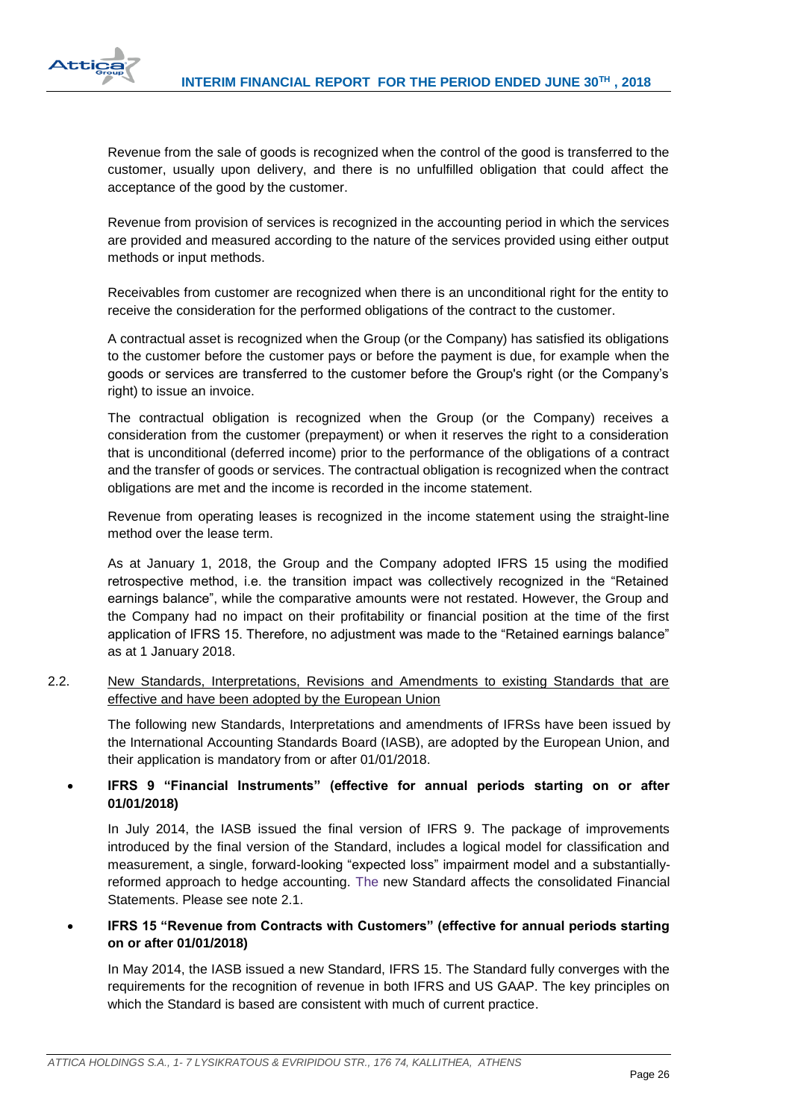

Revenue from the sale of goods is recognized when the control of the good is transferred to the customer, usually upon delivery, and there is no unfulfilled obligation that could affect the acceptance of the good by the customer.

Revenue from provision of services is recognized in the accounting period in which the services are provided and measured according to the nature of the services provided using either output methods or input methods.

Receivables from customer are recognized when there is an unconditional right for the entity to receive the consideration for the performed obligations of the contract to the customer.

A contractual asset is recognized when the Group (or the Company) has satisfied its obligations to the customer before the customer pays or before the payment is due, for example when the goods or services are transferred to the customer before the Group's right (or the Company's right) to issue an invoice.

The contractual obligation is recognized when the Group (or the Company) receives a consideration from the customer (prepayment) or when it reserves the right to a consideration that is unconditional (deferred income) prior to the performance of the obligations of a contract and the transfer of goods or services. The contractual obligation is recognized when the contract obligations are met and the income is recorded in the income statement.

Revenue from operating leases is recognized in the income statement using the straight-line method over the lease term.

As at January 1, 2018, the Group and the Company adopted IFRS 15 using the modified retrospective method, i.e. the transition impact was collectively recognized in the "Retained earnings balance", while the comparative amounts were not restated. However, the Group and the Company had no impact on their profitability or financial position at the time of the first application of IFRS 15. Therefore, no adjustment was made to the "Retained earnings balance" as at 1 January 2018.

<span id="page-26-0"></span>2.2. New Standards, Interpretations, Revisions and Amendments to existing Standards that are effective and have been adopted by the European Union

The following new Standards, Interpretations and amendments of IFRSs have been issued by the International Accounting Standards Board (IASB), are adopted by the European Union, and their application is mandatory from or after 01/01/2018.

# **IFRS 9 "Financial Instruments" (effective for annual periods starting on or after 01/01/2018)**

In July 2014, the IASB issued the final version of IFRS 9. The package of improvements introduced by the final version of the Standard, includes a logical model for classification and measurement, a single, forward-looking "expected loss" impairment model and a substantiallyreformed approach to hedge accounting. The new Standard affects the consolidated Financial Statements. Please see note 2.1.

 **IFRS 15 "Revenue from Contracts with Customers" (effective for annual periods starting on or after 01/01/2018)**

In May 2014, the IASB issued a new Standard, IFRS 15. The Standard fully converges with the requirements for the recognition of revenue in both IFRS and US GAAP. The key principles on which the Standard is based are consistent with much of current practice.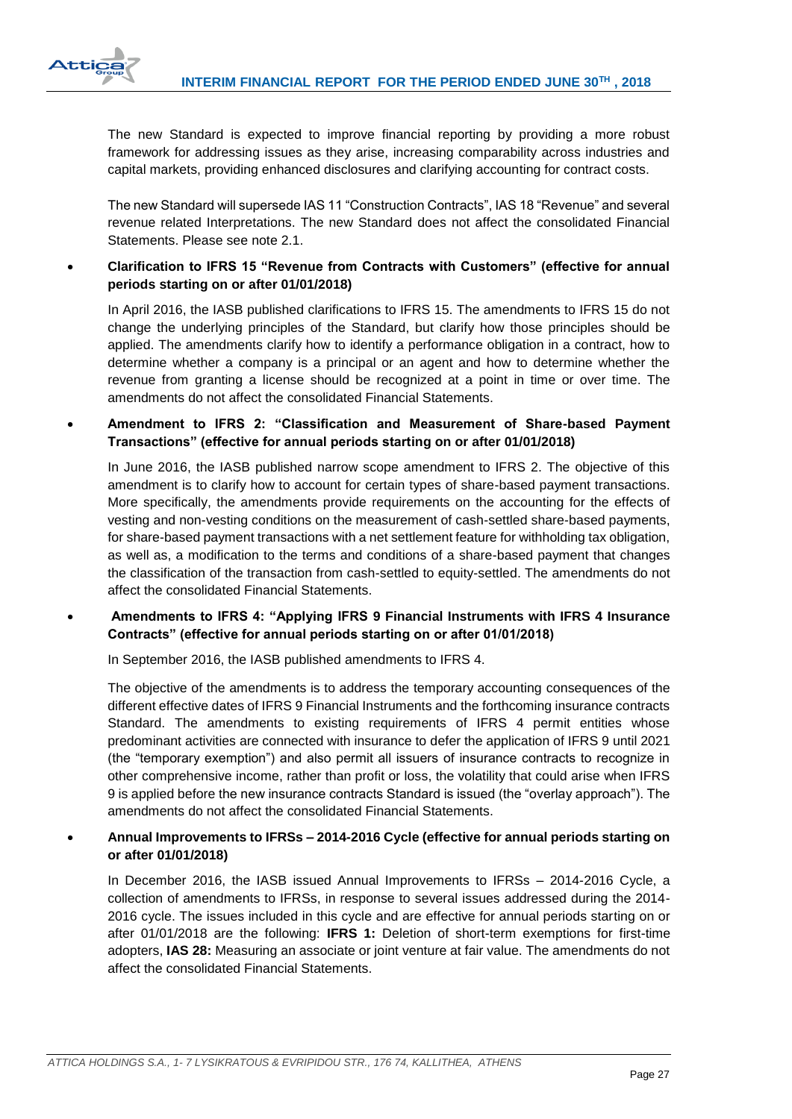

The new Standard is expected to improve financial reporting by providing a more robust framework for addressing issues as they arise, increasing comparability across industries and capital markets, providing enhanced disclosures and clarifying accounting for contract costs.

The new Standard will supersede IAS 11 "Construction Contracts", IAS 18 "Revenue" and several revenue related Interpretations. The new Standard does not affect the consolidated Financial Statements. Please see note 2.1.

# **Clarification to IFRS 15 "Revenue from Contracts with Customers" (effective for annual periods starting on or after 01/01/2018)**

In April 2016, the IASB published clarifications to IFRS 15. The amendments to IFRS 15 do not change the underlying principles of the Standard, but clarify how those principles should be applied. The amendments clarify how to identify a performance obligation in a contract, how to determine whether a company is a principal or an agent and how to determine whether the revenue from granting a license should be recognized at a point in time or over time. The amendments do not affect the consolidated Financial Statements.

 **Amendment to IFRS 2: "Classification and Measurement of Share-based Payment Transactions" (effective for annual periods starting on or after 01/01/2018)**

In June 2016, the IASB published narrow scope amendment to IFRS 2. The objective of this amendment is to clarify how to account for certain types of share-based payment transactions. More specifically, the amendments provide requirements on the accounting for the effects of vesting and non-vesting conditions on the measurement of cash-settled share-based payments, for share-based payment transactions with a net settlement feature for withholding tax obligation, as well as, a modification to the terms and conditions of a share-based payment that changes the classification of the transaction from cash-settled to equity-settled. The amendments do not affect the consolidated Financial Statements.

# **Amendments to IFRS 4: "Applying IFRS 9 Financial Instruments with IFRS 4 Insurance Contracts" (effective for annual periods starting on or after 01/01/2018)**

In September 2016, the IASB published amendments to IFRS 4.

The objective of the amendments is to address the temporary accounting consequences of the different effective dates of IFRS 9 Financial Instruments and the forthcoming insurance contracts Standard. The amendments to existing requirements of IFRS 4 permit entities whose predominant activities are connected with insurance to defer the application of IFRS 9 until 2021 (the "temporary exemption") and also permit all issuers of insurance contracts to recognize in other comprehensive income, rather than profit or loss, the volatility that could arise when IFRS 9 is applied before the new insurance contracts Standard is issued (the "overlay approach"). The amendments do not affect the consolidated Financial Statements.

# **Annual Improvements to IFRSs – 2014-2016 Cycle (effective for annual periods starting on or after 01/01/2018)**

In December 2016, the IASB issued Annual Improvements to IFRSs – 2014-2016 Cycle, a collection of amendments to IFRSs, in response to several issues addressed during the 2014- 2016 cycle. The issues included in this cycle and are effective for annual periods starting on or after 01/01/2018 are the following: **IFRS 1:** Deletion of short-term exemptions for first-time adopters, **IAS 28:** Measuring an associate or joint venture at fair value. The amendments do not affect the consolidated Financial Statements.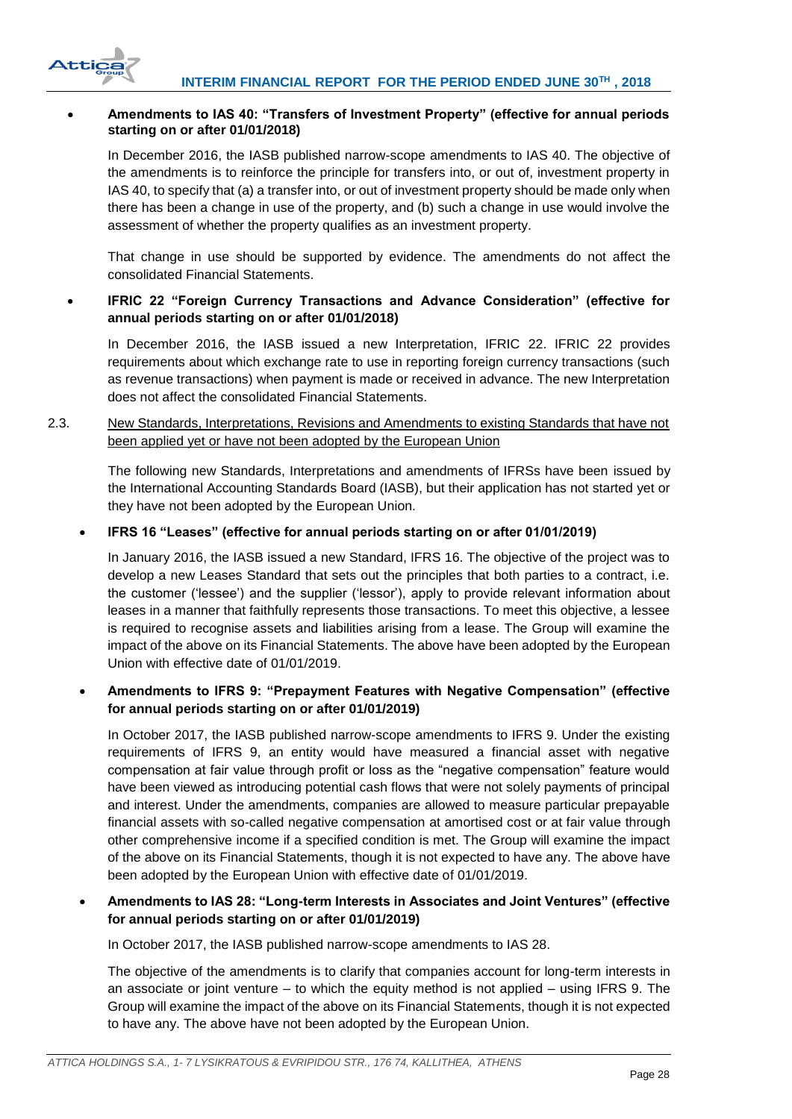

## **Amendments to IAS 40: "Transfers of Investment Property" (effective for annual periods starting on or after 01/01/2018)**

In December 2016, the IASB published narrow-scope amendments to IAS 40. The objective of the amendments is to reinforce the principle for transfers into, or out of, investment property in IAS 40, to specify that (a) a transfer into, or out of investment property should be made only when there has been a change in use of the property, and (b) such a change in use would involve the assessment of whether the property qualifies as an investment property.

That change in use should be supported by evidence. The amendments do not affect the consolidated Financial Statements.

# **IFRIC 22 "Foreign Currency Transactions and Advance Consideration" (effective for annual periods starting on or after 01/01/2018)**

In December 2016, the IASB issued a new Interpretation, IFRIC 22. IFRIC 22 provides requirements about which exchange rate to use in reporting foreign currency transactions (such as revenue transactions) when payment is made or received in advance. The new Interpretation does not affect the consolidated Financial Statements.

<span id="page-28-0"></span>2.3. New Standards, Interpretations, Revisions and Amendments to existing Standards that have not been applied yet or have not been adopted by the European Union

The following new Standards, Interpretations and amendments of IFRSs have been issued by the International Accounting Standards Board (IASB), but their application has not started yet or they have not been adopted by the European Union.

## **IFRS 16 "Leases" (effective for annual periods starting on or after 01/01/2019)**

In January 2016, the IASB issued a new Standard, IFRS 16. The objective of the project was to develop a new Leases Standard that sets out the principles that both parties to a contract, i.e. the customer ('lessee') and the supplier ('lessor'), apply to provide relevant information about leases in a manner that faithfully represents those transactions. To meet this objective, a lessee is required to recognise assets and liabilities arising from a lease. The Group will examine the impact of the above on its Financial Statements. The above have been adopted by the European Union with effective date of 01/01/2019.

# **Amendments to IFRS 9: "Prepayment Features with Negative Compensation" (effective for annual periods starting on or after 01/01/2019)**

In October 2017, the IASB published narrow-scope amendments to IFRS 9. Under the existing requirements of IFRS 9, an entity would have measured a financial asset with negative compensation at fair value through profit or loss as the "negative compensation" feature would have been viewed as introducing potential cash flows that were not solely payments of principal and interest. Under the amendments, companies are allowed to measure particular prepayable financial assets with so-called negative compensation at amortised cost or at fair value through other comprehensive income if a specified condition is met. The Group will examine the impact of the above on its Financial Statements, though it is not expected to have any. The above have been adopted by the European Union with effective date of 01/01/2019.

# **Amendments to IAS 28: "Long-term Interests in Associates and Joint Ventures" (effective for annual periods starting on or after 01/01/2019)**

In October 2017, the IASB published narrow-scope amendments to IAS 28.

The objective of the amendments is to clarify that companies account for long-term interests in an associate or joint venture – to which the equity method is not applied – using IFRS 9. The Group will examine the impact of the above on its Financial Statements, though it is not expected to have any. The above have not been adopted by the European Union.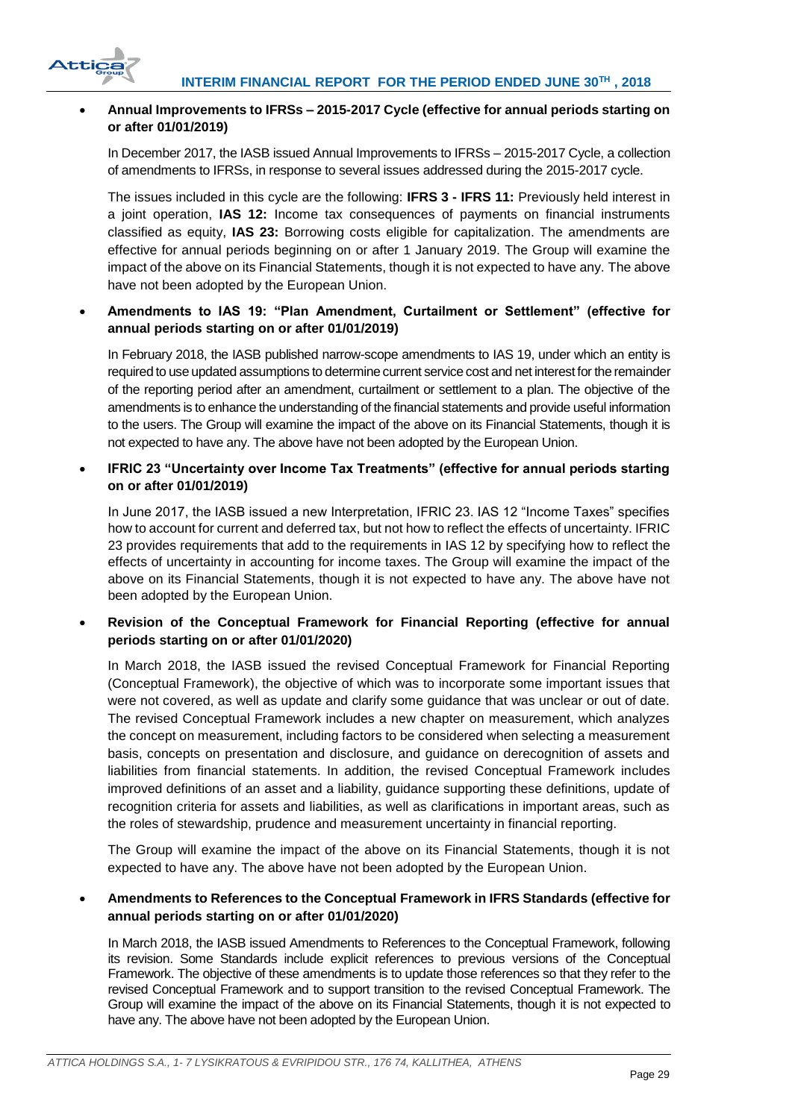

# **Annual Improvements to IFRSs – 2015-2017 Cycle (effective for annual periods starting on or after 01/01/2019)**

In December 2017, the IASB issued Annual Improvements to IFRSs – 2015-2017 Cycle, a collection of amendments to IFRSs, in response to several issues addressed during the 2015-2017 cycle.

The issues included in this cycle are the following: **IFRS 3 - IFRS 11:** Previously held interest in a joint operation, **IAS 12:** Income tax consequences of payments on financial instruments classified as equity, **IAS 23:** Borrowing costs eligible for capitalization. The amendments are effective for annual periods beginning on or after 1 January 2019. The Group will examine the impact of the above on its Financial Statements, though it is not expected to have any. The above have not been adopted by the European Union.

# **Amendments to IAS 19: "Plan Amendment, Curtailment or Settlement" (effective for annual periods starting on or after 01/01/2019)**

In February 2018, the IASB published narrow-scope amendments to IAS 19, under which an entity is required to use updated assumptions to determine current service cost and net interest for the remainder of the reporting period after an amendment, curtailment or settlement to a plan. The objective of the amendments is to enhance the understanding of the financial statements and provide useful information to the users. The Group will examine the impact of the above on its Financial Statements, though it is not expected to have any. The above have not been adopted by the European Union.

# **IFRIC 23 "Uncertainty over Income Tax Treatments" (effective for annual periods starting on or after 01/01/2019)**

In June 2017, the IASB issued a new Interpretation, IFRIC 23. IAS 12 "Income Taxes" specifies how to account for current and deferred tax, but not how to reflect the effects of uncertainty. IFRIC 23 provides requirements that add to the requirements in IAS 12 by specifying how to reflect the effects of uncertainty in accounting for income taxes. The Group will examine the impact of the above on its Financial Statements, though it is not expected to have any. The above have not been adopted by the European Union.

# **Revision of the Conceptual Framework for Financial Reporting (effective for annual periods starting on or after 01/01/2020)**

In March 2018, the IASB issued the revised Conceptual Framework for Financial Reporting (Conceptual Framework), the objective of which was to incorporate some important issues that were not covered, as well as update and clarify some guidance that was unclear or out of date. The revised Conceptual Framework includes a new chapter on measurement, which analyzes the concept on measurement, including factors to be considered when selecting a measurement basis, concepts on presentation and disclosure, and guidance on derecognition of assets and liabilities from financial statements. In addition, the revised Conceptual Framework includes improved definitions of an asset and a liability, guidance supporting these definitions, update of recognition criteria for assets and liabilities, as well as clarifications in important areas, such as the roles of stewardship, prudence and measurement uncertainty in financial reporting.

The Group will examine the impact of the above on its Financial Statements, though it is not expected to have any. The above have not been adopted by the European Union.

# **Amendments to References to the Conceptual Framework in IFRS Standards (effective for annual periods starting on or after 01/01/2020)**

In March 2018, the IASB issued Amendments to References to the Conceptual Framework, following its revision. Some Standards include explicit references to previous versions of the Conceptual Framework. The objective of these amendments is to update those references so that they refer to the revised Conceptual Framework and to support transition to the revised Conceptual Framework. The Group will examine the impact of the above on its Financial Statements, though it is not expected to have any. The above have not been adopted by the European Union.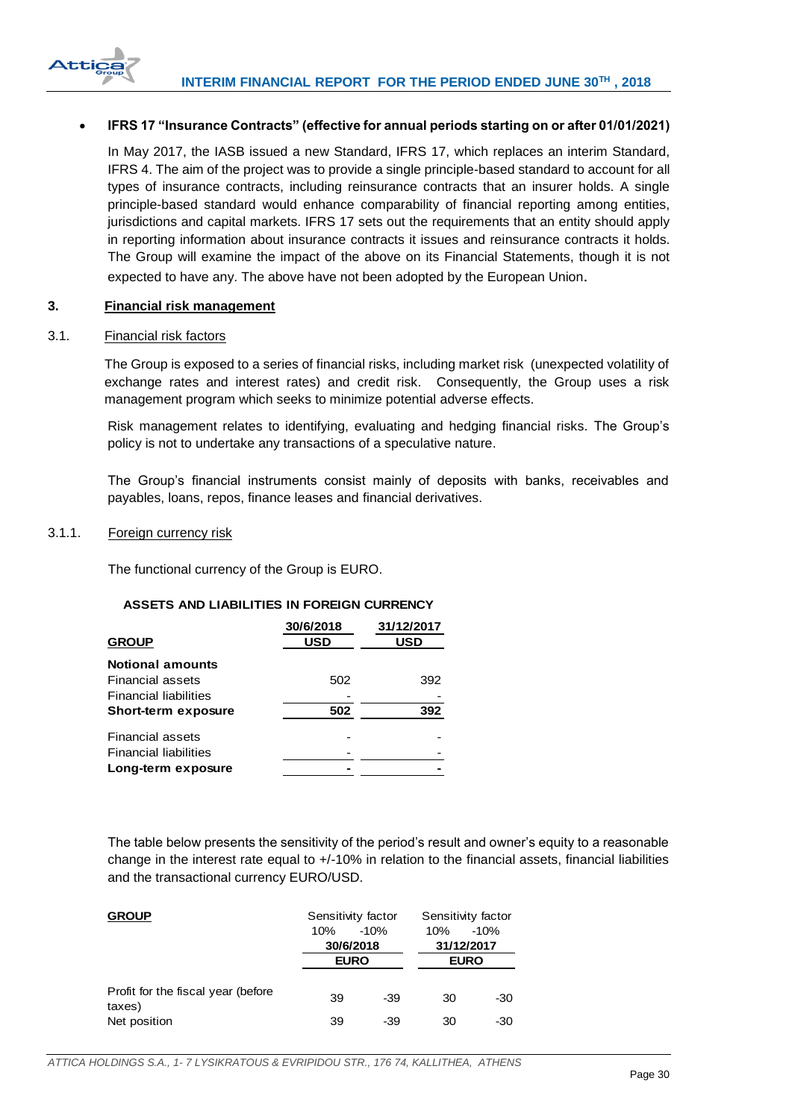

## **IFRS 17 "Insurance Contracts" (effective for annual periods starting on or after 01/01/2021)**

In May 2017, the IASB issued a new Standard, IFRS 17, which replaces an interim Standard, IFRS 4. The aim of the project was to provide a single principle-based standard to account for all types of insurance contracts, including reinsurance contracts that an insurer holds. A single principle-based standard would enhance comparability of financial reporting among entities, jurisdictions and capital markets. IFRS 17 sets out the requirements that an entity should apply in reporting information about insurance contracts it issues and reinsurance contracts it holds. The Group will examine the impact of the above on its Financial Statements, though it is not expected to have any. The above have not been adopted by the European Union.

## <span id="page-30-0"></span>**3. Financial risk management**

#### <span id="page-30-1"></span>3.1. Financial risk factors

The Group is exposed to a series of financial risks, including market risk (unexpected volatility of exchange rates and interest rates) and credit risk. Consequently, the Group uses a risk management program which seeks to minimize potential adverse effects.

Risk management relates to identifying, evaluating and hedging financial risks. The Group's policy is not to undertake any transactions of a speculative nature.

The Group's financial instruments consist mainly of deposits with banks, receivables and payables, loans, repos, finance leases and financial derivatives.

### <span id="page-30-2"></span>3.1.1. Foreign currency risk

The functional currency of the Group is EURO.

## **ASSETS AND LIABILITIES IN FOREIGN CURRENCY**

|                              | 30/6/2018  | 31/12/2017 |
|------------------------------|------------|------------|
| <b>GROUP</b>                 | <b>USD</b> | <b>USD</b> |
| <b>Notional amounts</b>      |            |            |
| Financial assets             | 502        | 392        |
| <b>Financial liabilities</b> |            |            |
| <b>Short-term exposure</b>   | 502        | 392        |
| <b>Financial assets</b>      |            |            |
| <b>Financial liabilities</b> |            |            |
| Long-term exposure           |            |            |

The table below presents the sensitivity of the period's result and owner's equity to a reasonable change in the interest rate equal to +/-10% in relation to the financial assets, financial liabilities and the transactional currency EURO/USD.

| <b>GROUP</b>                                  | 10% | Sensitivity factor<br>$-10%$<br>30/6/2018<br><b>EURO</b> | 10% | Sensitivity factor<br>$-10%$<br>31/12/2017<br><b>EURO</b> |
|-----------------------------------------------|-----|----------------------------------------------------------|-----|-----------------------------------------------------------|
| Profit for the fiscal year (before)<br>taxes) | 39  | -39                                                      | 30  | -30                                                       |
| Net position                                  | 39  | -39                                                      | 30  | -30                                                       |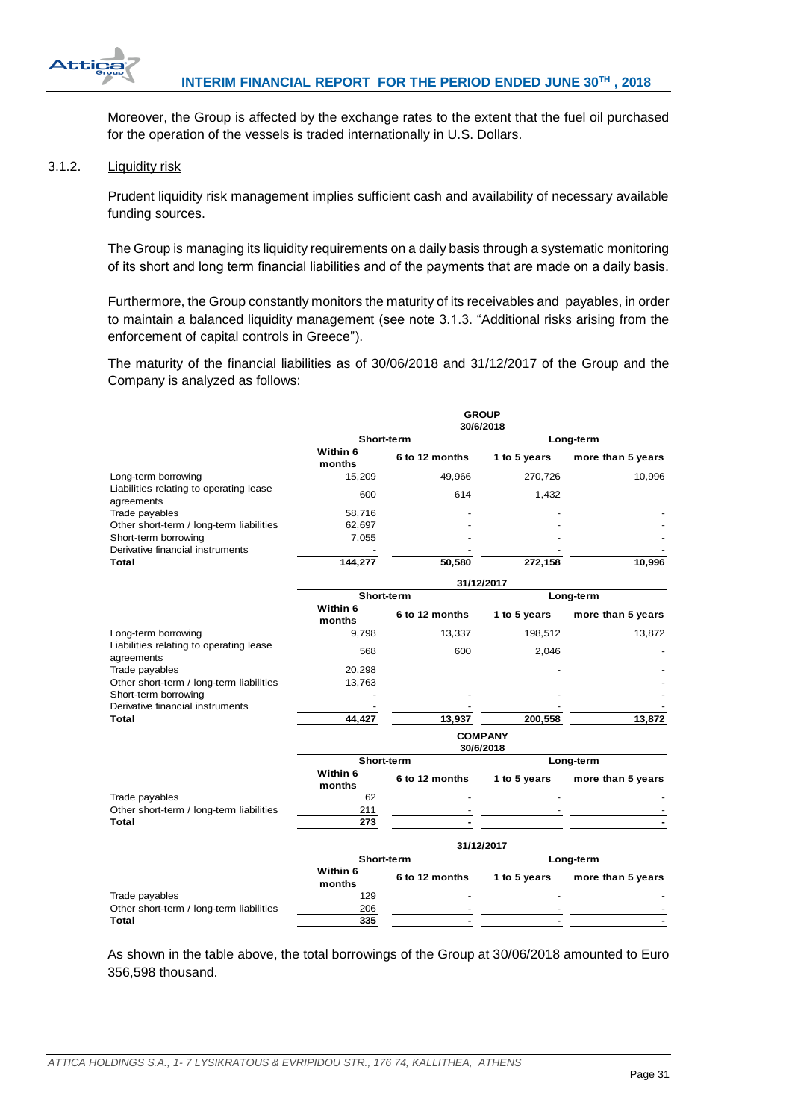

Moreover, the Group is affected by the exchange rates to the extent that the fuel oil purchased for the operation of the vessels is traded internationally in U.S. Dollars.

## <span id="page-31-0"></span>3.1.2. Liquidity risk

Prudent liquidity risk management implies sufficient cash and availability of necessary available funding sources.

The Group is managing its liquidity requirements on a daily basis through a systematic monitoring οf its short and long term financial liabilities and of the payments that are made on a daily basis.

Furthermore, the Group constantly monitors the maturity of its receivables and payables, in order to maintain a balanced liquidity management (see note 3.1.3. "Additional risks arising from the enforcement of capital controls in Greece").

The maturity of the financial liabilities as of 30/06/2018 and 31/12/2017 of the Group and the Company is analyzed as follows:

|                                                       | <b>GROUP</b><br>30/6/2018   |                |              |                   |  |  |
|-------------------------------------------------------|-----------------------------|----------------|--------------|-------------------|--|--|
|                                                       |                             | Short-term     |              | Long-term         |  |  |
|                                                       | Within 6<br>months          | 6 to 12 months | 1 to 5 years | more than 5 years |  |  |
| Long-term borrowing                                   | 15,209                      | 49,966         | 270,726      | 10,996            |  |  |
| Liabilities relating to operating lease<br>agreements | 600                         | 614            | 1,432        |                   |  |  |
| Trade payables                                        | 58,716                      |                |              |                   |  |  |
| Other short-term / long-term liabilities              | 62,697                      |                |              |                   |  |  |
| Short-term borrowing                                  | 7,055                       |                |              |                   |  |  |
| Derivative financial instruments                      |                             |                |              |                   |  |  |
| Total                                                 | 144,277                     | 50,580         | 272,158      | 10,996            |  |  |
|                                                       | 31/12/2017                  |                |              |                   |  |  |
|                                                       |                             | Short-term     |              | Long-term         |  |  |
|                                                       | Within 6<br>months          | 6 to 12 months | 1 to 5 years | more than 5 years |  |  |
| Long-term borrowing                                   | 9.798                       | 13,337         | 198,512      | 13,872            |  |  |
| Liabilities relating to operating lease<br>agreements | 568                         | 600            | 2,046        |                   |  |  |
| Trade payables                                        | 20,298                      |                |              |                   |  |  |
| Other short-term / long-term liabilities              | 13,763                      |                |              |                   |  |  |
| Short-term borrowing                                  |                             |                |              |                   |  |  |
| Derivative financial instruments                      |                             |                |              |                   |  |  |
| Total                                                 | 44,427                      | 13,937         | 200,558      | 13,872            |  |  |
|                                                       | <b>COMPANY</b><br>30/6/2018 |                |              |                   |  |  |
|                                                       |                             | Short-term     |              | Long-term         |  |  |
|                                                       | Within 6<br>months          | 6 to 12 months | 1 to 5 years | more than 5 years |  |  |
| Trade payables                                        | 62                          |                |              |                   |  |  |
| Other short-term / long-term liabilities              | 211                         |                |              |                   |  |  |
| Total                                                 | 273                         |                |              |                   |  |  |
|                                                       | 31/12/2017                  |                |              |                   |  |  |
|                                                       |                             | Short-term     |              | Long-term         |  |  |
|                                                       | Within 6<br>months          | 6 to 12 months | 1 to 5 years | more than 5 years |  |  |
| Trade payables                                        | 129                         |                |              |                   |  |  |
| Other short-term / long-term liabilities              | 206                         |                |              |                   |  |  |
| Total                                                 | 335                         |                |              |                   |  |  |

As shown in the table above, the total borrowings of the Group at 30/06/2018 amounted to Euro 356,598 thousand.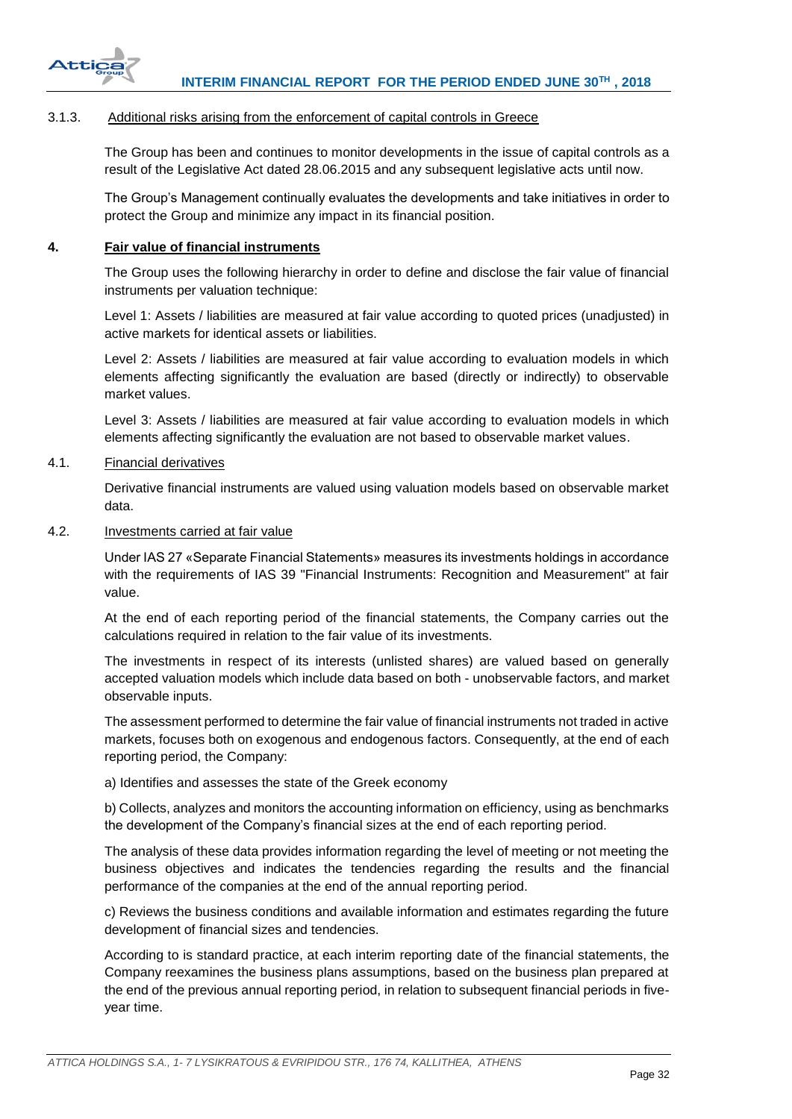

## <span id="page-32-0"></span>3.1.3. Additional risks arising from the enforcement of capital controls in Greece

The Group has been and continues to monitor developments in the issue of capital controls as a result of the Legislative Act dated 28.06.2015 and any subsequent legislative acts until now.

The Group's Management continually evaluates the developments and take initiatives in order to protect the Group and minimize any impact in its financial position.

## <span id="page-32-1"></span>**4. Fair value of financial instruments**

The Group uses the following hierarchy in order to define and disclose the fair value of financial instruments per valuation technique:

Level 1: Assets / liabilities are measured at fair value according to quoted prices (unadjusted) in active markets for identical assets or liabilities.

Level 2: Assets / liabilities are measured at fair value according to evaluation models in which elements affecting significantly the evaluation are based (directly or indirectly) to observable market values.

Level 3: Assets / liabilities are measured at fair value according to evaluation models in which elements affecting significantly the evaluation are not based to observable market values.

## <span id="page-32-2"></span>4.1. Financial derivatives

Derivative financial instruments are valued using valuation models based on observable market data.

# <span id="page-32-3"></span>4.2. Investments carried at fair value

Under IAS 27 «Separate Financial Statements» measures its investments holdings in accordance with the requirements of IAS 39 "Financial Instruments: Recognition and Measurement" at fair value.

At the end of each reporting period of the financial statements, the Company carries out the calculations required in relation to the fair value of its investments.

The investments in respect of its interests (unlisted shares) are valued based on generally accepted valuation models which include data based on both - unobservable factors, and market observable inputs.

The assessment performed to determine the fair value of financial instruments not traded in active markets, focuses both on exogenous and endogenous factors. Consequently, at the end of each reporting period, the Company:

a) Identifies and assesses the state of the Greek economy

b) Collects, analyzes and monitors the accounting information on efficiency, using as benchmarks the development of the Company's financial sizes at the end of each reporting period.

The analysis of these data provides information regarding the level of meeting or not meeting the business objectives and indicates the tendencies regarding the results and the financial performance of the companies at the end of the annual reporting period.

c) Reviews the business conditions and available information and estimates regarding the future development of financial sizes and tendencies.

According to is standard practice, at each interim reporting date of the financial statements, the Company reexamines the business plans assumptions, based on the business plan prepared at the end of the previous annual reporting period, in relation to subsequent financial periods in fiveyear time.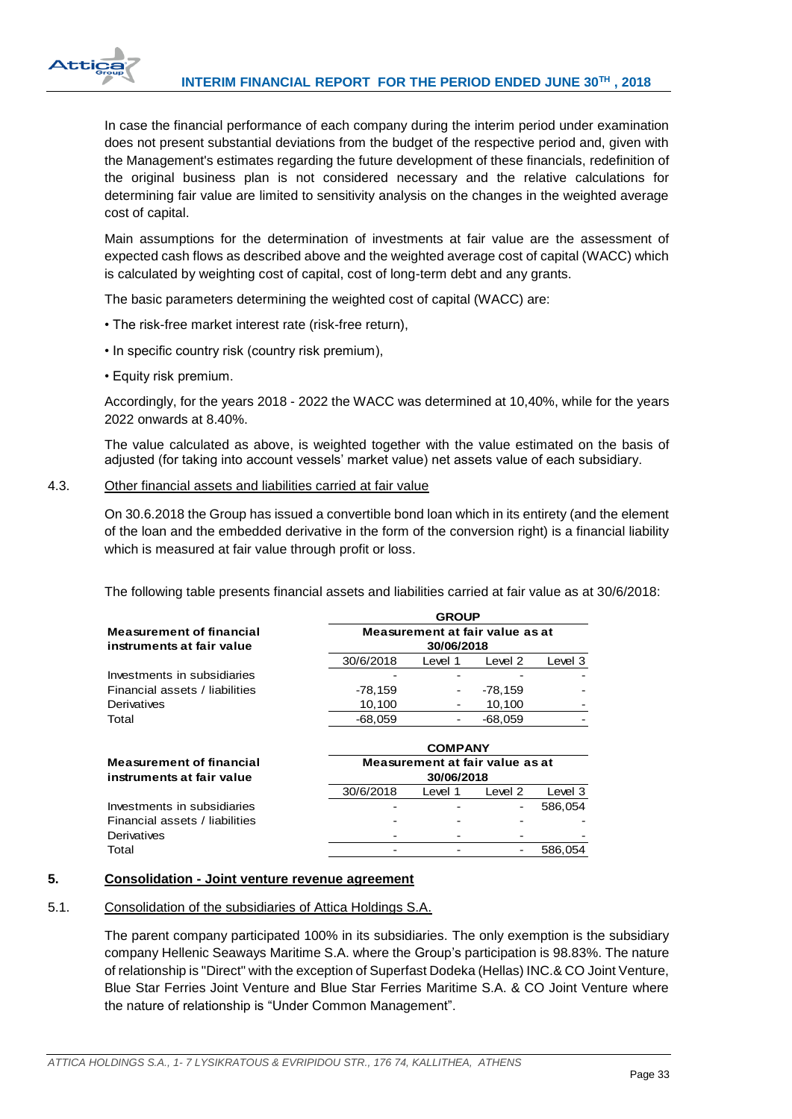

In case the financial performance of each company during the interim period under examination does not present substantial deviations from the budget of the respective period and, given with the Management's estimates regarding the future development of these financials, redefinition of the original business plan is not considered necessary and the relative calculations for determining fair value are limited to sensitivity analysis on the changes in the weighted average cost of capital.

Main assumptions for the determination of investments at fair value are the assessment of expected cash flows as described above and the weighted average cost of capital (WACC) which is calculated by weighting cost of capital, cost of long-term debt and any grants.

The basic parameters determining the weighted cost of capital (WACC) are:

- The risk-free market interest rate (risk-free return),
- In specific country risk (country risk premium),
- Equity risk premium.

Accordingly, for the years 2018 - 2022 the WACC was determined at 10,40%, while for the years 2022 onwards at 8.40%.

The value calculated as above, is weighted together with the value estimated on the basis of adjusted (for taking into account vessels' market value) net assets value of each subsidiary.

## <span id="page-33-0"></span>4.3. Other financial assets and liabilities carried at fair value

On 30.6.2018 the Group has issued a convertible bond loan which in its entirety (and the element of the loan and the embedded derivative in the form of the conversion right) is a financial liability which is measured at fair value through profit or loss.

The following table presents financial assets and liabilities carried at fair value as at 30/6/2018:

|                                 |                                 | <b>GROUP</b>   |           |         |  |
|---------------------------------|---------------------------------|----------------|-----------|---------|--|
| <b>Measurement of financial</b> | Measurement at fair value as at |                |           |         |  |
| instruments at fair value       | 30/06/2018                      |                |           |         |  |
|                                 | 30/6/2018                       | Level 1        | Level 2   | Level 3 |  |
| Investments in subsidiaries     |                                 |                |           |         |  |
| Financial assets / liabilities  | $-78.159$                       |                | -78.159   |         |  |
| Derivatives                     | 10,100                          |                | 10.100    |         |  |
| Total                           | $-68,059$                       |                | $-68.059$ |         |  |
|                                 |                                 | <b>COMPANY</b> |           |         |  |
| <b>Measurement of financial</b> | Measurement at fair value as at |                |           |         |  |
| instruments at fair value       | 30/06/2018                      |                |           |         |  |

|                                | 30/6/2018                | Level 1 | Level 2                  | Level 3 |
|--------------------------------|--------------------------|---------|--------------------------|---------|
| Investments in subsidiaries    | $\overline{\phantom{a}}$ |         |                          | 586.054 |
| Financial assets / liabilities | $\overline{\phantom{0}}$ |         | $\overline{\phantom{0}}$ |         |
| Derivatives                    | -                        |         | $\overline{\phantom{0}}$ |         |
| Total                          |                          |         |                          | 586.054 |

# <span id="page-33-1"></span>**5. Consolidation - Joint venture revenue agreement**

# <span id="page-33-2"></span>5.1. Consolidation of the subsidiaries of Attica Holdings S.A.

The parent company participated 100% in its subsidiaries. The only exemption is the subsidiary company Hellenic Seaways Maritime S.A. where the Group's participation is 98.83%. The nature of relationship is "Direct" with the exception of Superfast Dodeka (Hellas) INC.& CO Joint Venture, Blue Star Ferries Joint Venture and Blue Star Ferries Maritime S.A. & CO Joint Venture where the nature of relationship is "Under Common Management".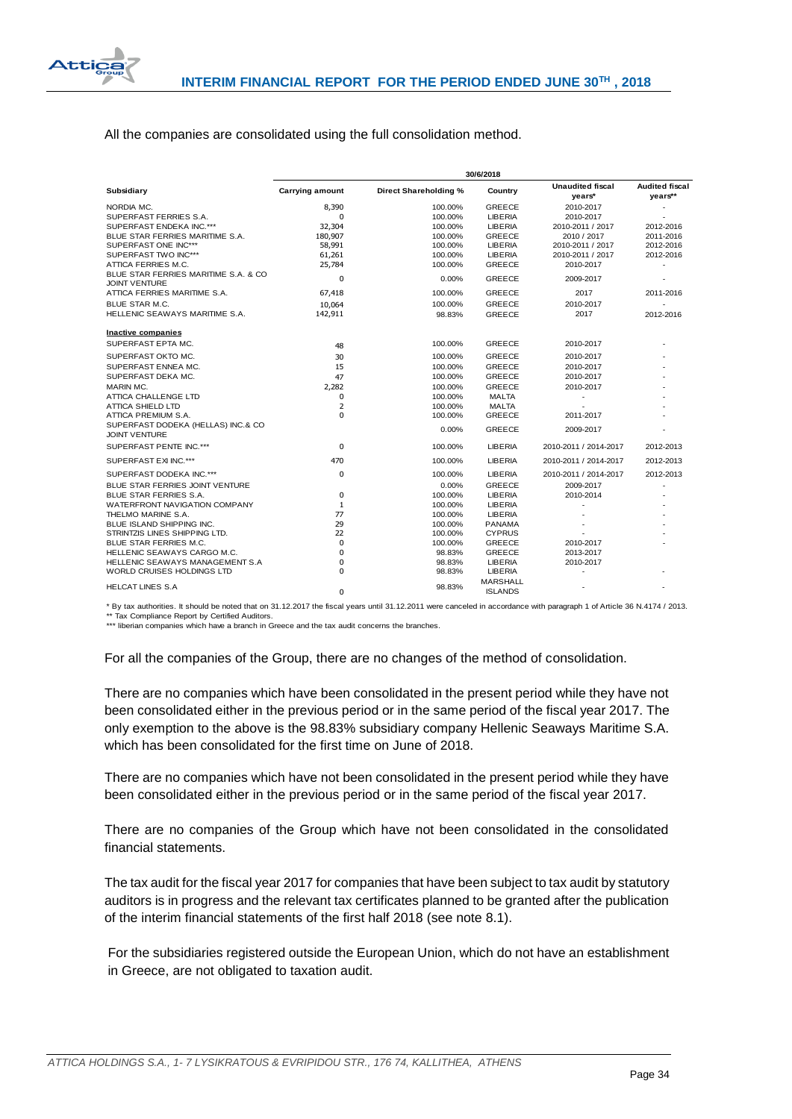

## All the companies are consolidated using the full consolidation method.

|                                                              | 30/6/2018       |                       |                                   |                                   |                                  |
|--------------------------------------------------------------|-----------------|-----------------------|-----------------------------------|-----------------------------------|----------------------------------|
| Subsidiary                                                   | Carrying amount | Direct Shareholding % | Country                           | <b>Unaudited fiscal</b><br>years* | <b>Audited fiscal</b><br>years** |
| NORDIA MC.                                                   | 8,390           | 100.00%               | <b>GREECE</b>                     | 2010-2017                         |                                  |
| SUPERFAST FERRIES S.A.                                       | 0               | 100.00%               | <b>LIBERIA</b>                    | 2010-2017                         |                                  |
| SUPERFAST ENDEKA INC.***                                     | 32,304          | 100.00%               | <b>LIBERIA</b>                    | 2010-2011 / 2017                  | 2012-2016                        |
| BLUE STAR FERRIES MARITIME S.A.                              | 180,907         | 100.00%               | <b>GREECE</b>                     | 2010 / 2017                       | 2011-2016                        |
| SUPERFAST ONE INC***                                         | 58,991          | 100.00%               | LIBERIA                           | 2010-2011 / 2017                  | 2012-2016                        |
| SUPERFAST TWO INC***                                         | 61,261          | 100.00%               | <b>LIBERIA</b>                    | 2010-2011 / 2017                  | 2012-2016                        |
| ATTICA FERRIES M.C.                                          | 25,784          | 100.00%               | <b>GREECE</b>                     | 2010-2017                         | $\sim$                           |
| BLUE STAR FERRIES MARITIME S.A. & CO<br><b>JOINT VENTURE</b> | $\Omega$        | 0.00%                 | <b>GREECE</b>                     | 2009-2017                         |                                  |
| ATTICA FERRIES MARITIME S.A.                                 | 67,418          | 100.00%               | <b>GREECE</b>                     | 2017                              | 2011-2016                        |
| <b>BLUE STAR M.C.</b>                                        | 10,064          | 100.00%               | <b>GREECE</b>                     | 2010-2017                         |                                  |
| HELLENIC SEAWAYS MARITIME S.A.                               | 142,911         | 98.83%                | <b>GREECE</b>                     | 2017                              | 2012-2016                        |
| Inactive companies                                           |                 |                       |                                   |                                   |                                  |
| SUPERFAST EPTA MC.                                           | 48              | 100.00%               | <b>GREECE</b>                     | 2010-2017                         |                                  |
| SUPERFAST OKTO MC.                                           | 30              | 100.00%               | <b>GREECE</b>                     | 2010-2017                         |                                  |
| SUPERFAST ENNEA MC.                                          | 15              | 100.00%               | <b>GREECE</b>                     | 2010-2017                         |                                  |
| SUPERFAST DEKA MC.                                           | 47              | 100.00%               | <b>GREECE</b>                     | 2010-2017                         |                                  |
| MARIN MC.                                                    | 2,282           | 100.00%               | <b>GREECE</b>                     | 2010-2017                         |                                  |
| ATTICA CHALLENGE LTD                                         | 0               | 100.00%               | <b>MALTA</b>                      | ٠                                 |                                  |
| ATTICA SHIELD LTD                                            | $\overline{2}$  | 100.00%               | <b>MALTA</b>                      |                                   |                                  |
| ATTICA PREMIUM S.A.                                          | $\Omega$        | 100.00%               | <b>GREECE</b>                     | 2011-2017                         |                                  |
| SUPERFAST DODEKA (HELLAS) INC.& CO<br><b>JOINT VENTURE</b>   |                 | 0.00%                 | <b>GREECE</b>                     | 2009-2017                         |                                  |
| SUPERFAST PENTE INC.***                                      | 0               | 100.00%               | <b>LIBERIA</b>                    | 2010-2011 / 2014-2017             | 2012-2013                        |
| SUPERFAST EXI INC.***                                        | 470             | 100.00%               | <b>LIBERIA</b>                    | 2010-2011 / 2014-2017             | 2012-2013                        |
| SUPERFAST DODEKA INC.***                                     | 0               | 100.00%               | <b>LIBERIA</b>                    | 2010-2011 / 2014-2017             | 2012-2013                        |
| BLUE STAR FERRIES JOINT VENTURE                              |                 | 0.00%                 | <b>GREECE</b>                     | 2009-2017                         |                                  |
| <b>BLUE STAR FERRIES S.A.</b>                                | 0               | 100.00%               | <b>LIBERIA</b>                    | 2010-2014                         |                                  |
| WATERFRONT NAVIGATION COMPANY                                | $\mathbf{1}$    | 100.00%               | <b>LIBERIA</b>                    | ä,                                |                                  |
| THELMO MARINE S.A.                                           | 77              | 100.00%               | <b>LIBERIA</b>                    |                                   |                                  |
| <b>BLUE ISLAND SHIPPING INC.</b>                             | 29              | 100.00%               | <b>PANAMA</b>                     |                                   |                                  |
| STRINTZIS LINES SHIPPING LTD.                                | 22              | 100.00%               | <b>CYPRUS</b>                     |                                   |                                  |
| BLUE STAR FERRIES M.C.                                       | 0               | 100.00%               | <b>GREECE</b>                     | 2010-2017                         |                                  |
| HELLENIC SEAWAYS CARGO M.C.                                  | $\mathbf 0$     | 98.83%                | <b>GREECE</b>                     | 2013-2017                         |                                  |
| HELLENIC SEAWAYS MANAGEMENT S.A                              | $\mathbf 0$     | 98.83%                | <b>LIBERIA</b>                    | 2010-2017                         |                                  |
| WORLD CRUISES HOLDINGS LTD                                   | $\Omega$        | 98.83%                | <b>LIBERIA</b>                    |                                   |                                  |
| <b>HELCAT LINES S.A</b>                                      | $\Omega$        | 98.83%                | <b>MARSHALL</b><br><b>ISLANDS</b> |                                   |                                  |

\* By tax authorities. It should be noted that on 31.12.2017 the fiscal years until 31.12.2011 were canceled in accordance with paragraph 1 of Article 36 N.4174 / 2013. \*\* Tax Compliance Report by Certified Auditors.

\*\*\* liberian companies which have a branch in Greece and the tax audit concerns the branches

For all the companies of the Group, there are no changes of the method of consolidation.

There are no companies which have been consolidated in the present period while they have not been consolidated either in the previous period or in the same period of the fiscal year 2017. The only exemption to the above is the 98.83% subsidiary company Hellenic Seaways Maritime S.A. which has been consolidated for the first time on June of 2018.

There are no companies which have not been consolidated in the present period while they have been consolidated either in the previous period or in the same period of the fiscal year 2017.

There are no companies of the Group which have not been consolidated in the consolidated financial statements.

The tax audit for the fiscal year 2017 for companies that have been subject to tax audit by statutory auditors is in progress and the relevant tax certificates planned to be granted after the publication of the interim financial statements of the first half 2018 (see note 8.1).

For the subsidiaries registered outside the European Union, which do not have an establishment in Greece, are not obligated to taxation audit.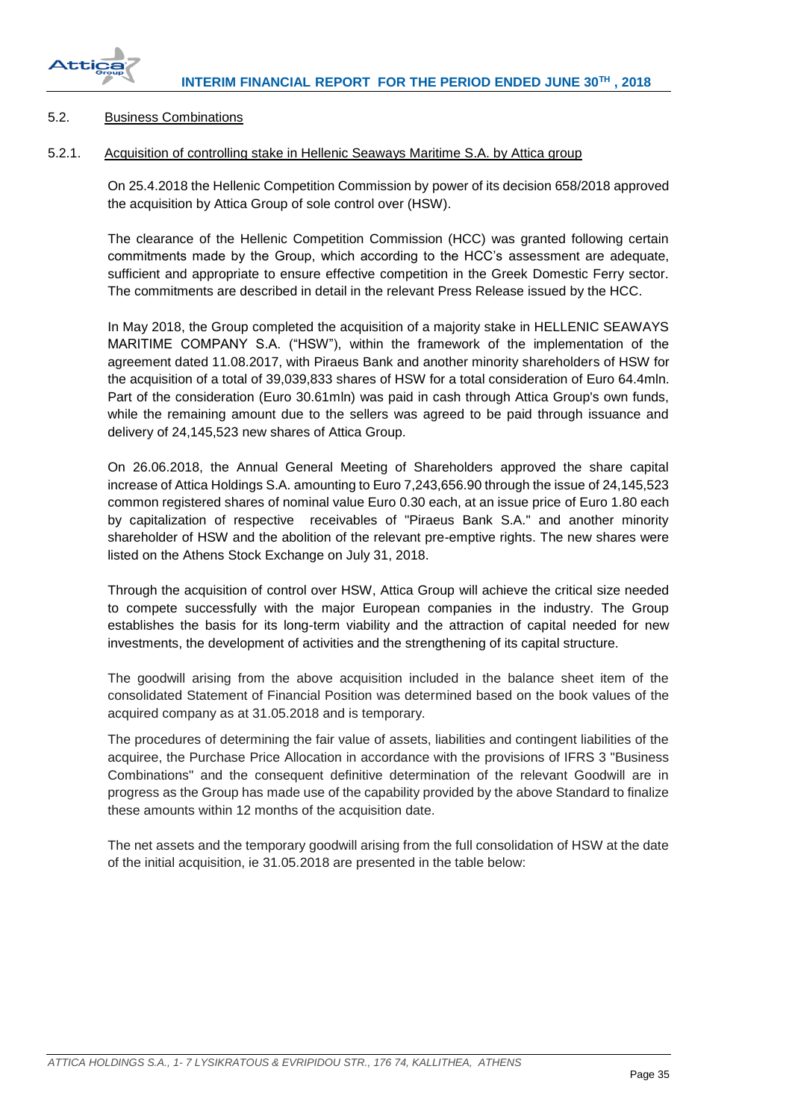

## <span id="page-35-0"></span>5.2. Business Combinations

## <span id="page-35-1"></span>5.2.1. Acquisition of controlling stake in Hellenic Seaways Maritime S.A. by Attica group

On 25.4.2018 the Hellenic Competition Commission by power of its decision 658/2018 approved the acquisition by Attica Group of sole control over (HSW).

The clearance of the Hellenic Competition Commission (HCC) was granted following certain commitments made by the Group, which according to the HCC's assessment are adequate, sufficient and appropriate to ensure effective competition in the Greek Domestic Ferry sector. The commitments are described in detail in the relevant Press Release issued by the HCC.

In May 2018, the Group completed the acquisition of a majority stake in HELLENIC SEAWAYS MARITIME COMPANY S.A. ("HSW"), within the framework of the implementation of the agreement dated 11.08.2017, with Piraeus Bank and another minority shareholders of HSW for the acquisition of a total of 39,039,833 shares of HSW for a total consideration of Euro 64.4mln. Part of the consideration (Euro 30.61mln) was paid in cash through Attica Group's own funds, while the remaining amount due to the sellers was agreed to be paid through issuance and delivery of 24,145,523 new shares of Attica Group.

On 26.06.2018, the Annual General Meeting of Shareholders approved the share capital increase of Attica Holdings S.A. amounting to Euro 7,243,656.90 through the issue of 24,145,523 common registered shares of nominal value Euro 0.30 each, at an issue price of Euro 1.80 each by capitalization of respective receivables of "Piraeus Bank S.A." and another minority shareholder of HSW and the abolition of the relevant pre-emptive rights. The new shares were listed on the Athens Stock Exchange on July 31, 2018.

Through the acquisition of control over HSW, Attica Group will achieve the critical size needed to compete successfully with the major European companies in the industry. The Group establishes the basis for its long-term viability and the attraction of capital needed for new investments, the development of activities and the strengthening of its capital structure.

The goodwill arising from the above acquisition included in the balance sheet item of the consolidated Statement of Financial Position was determined based on the book values of the acquired company as at 31.05.2018 and is temporary.

The procedures of determining the fair value of assets, liabilities and contingent liabilities of the acquiree, the Purchase Price Allocation in accordance with the provisions of IFRS 3 "Business Combinations" and the consequent definitive determination of the relevant Goodwill are in progress as the Group has made use of the capability provided by the above Standard to finalize these amounts within 12 months of the acquisition date.

The net assets and the temporary goodwill arising from the full consolidation of HSW at the date of the initial acquisition, ie 31.05.2018 are presented in the table below: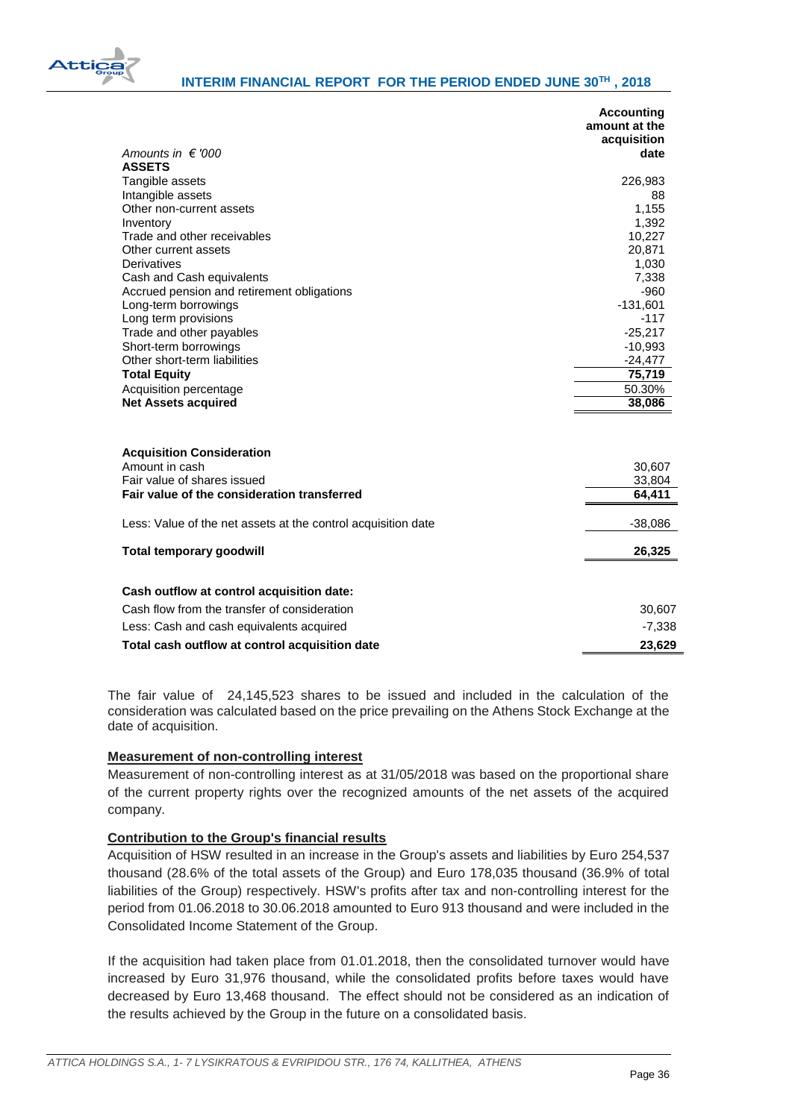

|                                                                    | <b>Accounting</b><br>amount at the<br>acquisition |
|--------------------------------------------------------------------|---------------------------------------------------|
| Amounts in $\in$ '000                                              | date                                              |
| <b>ASSETS</b><br>Tangible assets                                   | 226,983                                           |
| Intangible assets                                                  | 88                                                |
| Other non-current assets                                           | 1,155                                             |
| Inventory                                                          | 1,392                                             |
| Trade and other receivables                                        | 10,227                                            |
| Other current assets                                               | 20,871                                            |
| Derivatives                                                        | 1,030                                             |
| Cash and Cash equivalents                                          | 7,338                                             |
| Accrued pension and retirement obligations<br>Long-term borrowings | $-960$<br>$-131,601$                              |
| Long term provisions                                               | $-117$                                            |
| Trade and other payables                                           | $-25,217$                                         |
| Short-term borrowings                                              | $-10,993$                                         |
| Other short-term liabilities                                       | $-24,477$                                         |
| <b>Total Equity</b>                                                | 75,719                                            |
| Acquisition percentage                                             | 50.30%                                            |
| <b>Net Assets acquired</b>                                         | 38,086                                            |
| <b>Acquisition Consideration</b>                                   |                                                   |
| Amount in cash                                                     | 30,607                                            |
| Fair value of shares issued                                        | 33,804                                            |
| Fair value of the consideration transferred                        | 64,411                                            |
| Less: Value of the net assets at the control acquisition date      | $-38,086$                                         |
| <b>Total temporary goodwill</b>                                    | 26,325                                            |
| Cash outflow at control acquisition date:                          |                                                   |
| Cash flow from the transfer of consideration                       | 30,607                                            |
| Less: Cash and cash equivalents acquired                           | $-7,338$                                          |
| Total cash outflow at control acquisition date                     | 23,629                                            |

The fair value of 24,145,523 shares to be issued and included in the calculation of the consideration was calculated based on the price prevailing on the Athens Stock Exchange at the date of acquisition.

## **Measurement of non-controlling interest**

Measurement of non-controlling interest as at 31/05/2018 was based on the proportional share of the current property rights over the recognized amounts of the net assets of the acquired company.

## **Contribution to the Group's financial results**

Acquisition of HSW resulted in an increase in the Group's assets and liabilities by Euro 254,537 thousand (28.6% of the total assets of the Group) and Euro 178,035 thousand (36.9% of total liabilities of the Group) respectively. HSW's profits after tax and non-controlling interest for the period from 01.06.2018 to 30.06.2018 amounted to Euro 913 thousand and were included in the Consolidated Income Statement of the Group.

If the acquisition had taken place from 01.01.2018, then the consolidated turnover would have increased by Euro 31,976 thousand, while the consolidated profits before taxes would have decreased by Euro 13,468 thousand. The effect should not be considered as an indication of the results achieved by the Group in the future on a consolidated basis.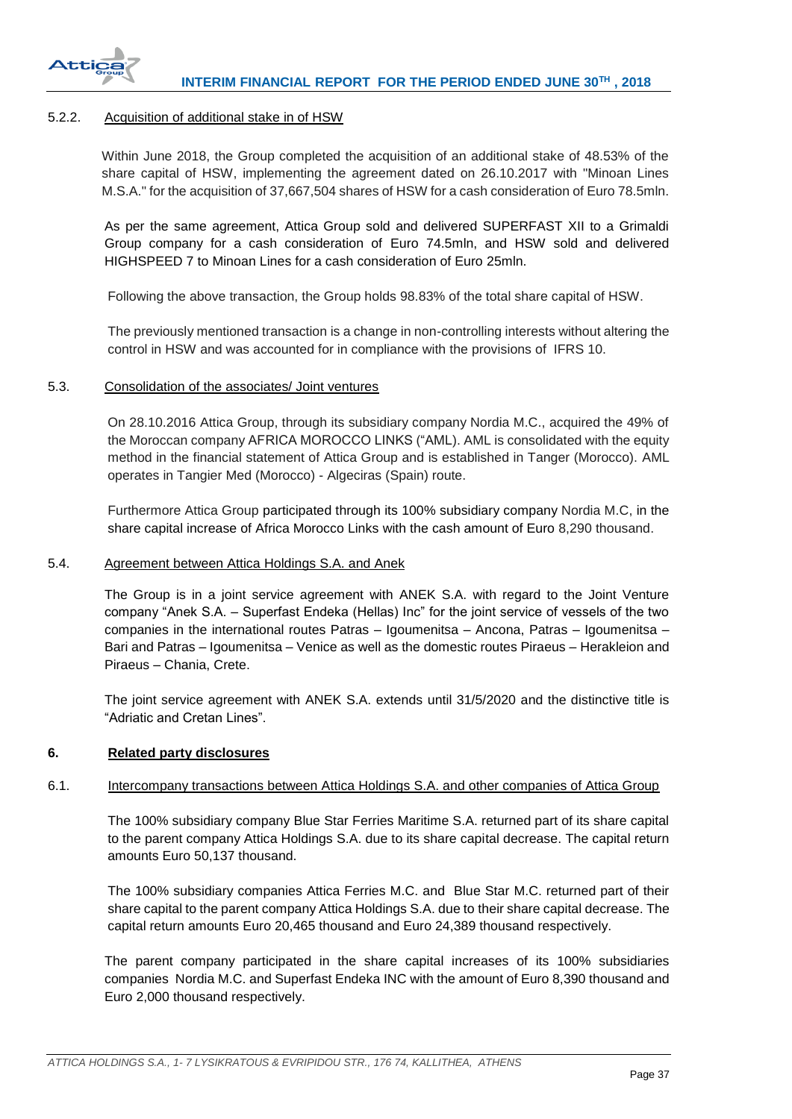

## <span id="page-37-0"></span>5.2.2. Acquisition of additional stake in of HSW

Within June 2018, the Group completed the acquisition of an additional stake of 48.53% of the share capital of HSW, implementing the agreement dated on 26.10.2017 with "Minoan Lines M.S.A." for the acquisition of 37,667,504 shares of HSW for a cash consideration of Euro 78.5mln.

As per the same agreement, Attica Group sold and delivered SUPERFAST XII to a Grimaldi Group company for a cash consideration of Euro 74.5mln, and HSW sold and delivered HIGHSPEED 7 to Minoan Lines for a cash consideration of Euro 25mln.

Following the above transaction, the Group holds 98.83% of the total share capital of HSW.

The previously mentioned transaction is a change in non-controlling interests without altering the control in HSW and was accounted for in compliance with the provisions of IFRS 10.

## <span id="page-37-1"></span>5.3. Consolidation of the associates/ Joint ventures

On 28.10.2016 Attica Group, through its subsidiary company Nordia M.C., acquired the 49% of the Moroccan company AFRICA MOROCCO LINKS ("AML). AML is consolidated with the equity method in the financial statement of Attica Group and is established in Tanger (Morocco). AML operates in Tangier Med (Morocco) - Algeciras (Spain) route.

Furthermore Attica Group participated through its 100% subsidiary company Nordia M.C, in the share capital increase of Africa Morocco Links with the cash amount of Euro 8,290 thousand.

## <span id="page-37-2"></span>5.4. Agreement between Attica Holdings S.A. and Anek

The Group is in a joint service agreement with ANEK S.A. with regard to the Joint Venture company "Anek S.A. – Superfast Endeka (Hellas) Inc" for the joint service of vessels of the two companies in the international routes Patras – Igoumenitsa – Ancona, Patras – Igoumenitsa – Bari and Patras – Igoumenitsa – Venice as well as the domestic routes Piraeus – Herakleion and Piraeus – Chania, Crete.

The joint service agreement with ANEK S.A. extends until 31/5/2020 and the distinctive title is "Adriatic and Cretan Lines".

## <span id="page-37-3"></span>**6. Related party disclosures**

## <span id="page-37-4"></span>6.1. Intercompany transactions between Attica Holdings S.A. and other companies of Attica Group

The 100% subsidiary company Blue Star Ferries Maritime S.A. returned part of its share capital to the parent company Attica Holdings S.A. due to its share capital decrease. The capital return amounts Euro 50,137 thousand.

The 100% subsidiary companies Attica Ferries M.C. and Blue Star M.C. returned part of their share capital to the parent company Attica Holdings S.A. due to their share capital decrease. The capital return amounts Euro 20,465 thousand and Euro 24,389 thousand respectively.

The parent company participated in the share capital increases of its 100% subsidiaries companies Nordia M.C. and Superfast Endeka INC with the amount of Euro 8,390 thousand and Euro 2,000 thousand respectively.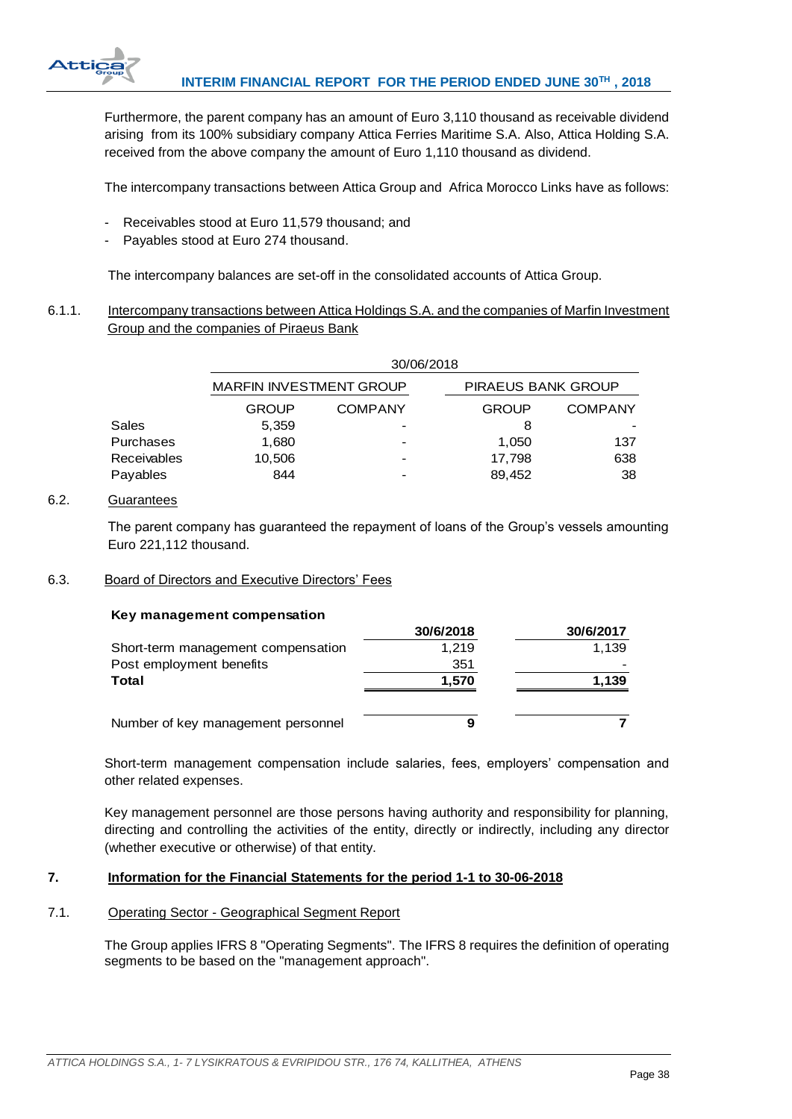

Furthermore, the parent company has an amount of Euro 3,110 thousand as receivable dividend arising from its 100% subsidiary company Attica Ferries Maritime S.A. Also, Attica Holding S.A. received from the above company the amount of Euro 1,110 thousand as dividend.

The intercompany transactions between Attica Group and Africa Morocco Links have as follows:

- Receivables stood at Euro 11,579 thousand; and
- Payables stood at Euro 274 thousand.

The intercompany balances are set-off in the consolidated accounts of Attica Group.

# <span id="page-38-0"></span>6.1.1. Intercompany transactions between Attica Holdings S.A. and the companies of Marfin Investment Group and the companies of Piraeus Bank

|                    | 30/06/2018                     |                |                           |                |  |
|--------------------|--------------------------------|----------------|---------------------------|----------------|--|
|                    | <b>MARFIN INVESTMENT GROUP</b> |                | <b>PIRAEUS BANK GROUP</b> |                |  |
|                    | <b>GROUP</b>                   | <b>COMPANY</b> | <b>GROUP</b>              | <b>COMPANY</b> |  |
| Sales              | 5,359                          |                | 8                         |                |  |
| Purchases          | 1.680                          |                | 1.050                     | 137            |  |
| <b>Receivables</b> | 10,506                         |                | 17,798                    | 638            |  |
| Payables           | 844                            |                | 89,452                    | 38             |  |

# <span id="page-38-1"></span>6.2. Guarantees

The parent company has guaranteed the repayment of loans of the Group's vessels amounting Euro 221,112 thousand.

## <span id="page-38-2"></span>6.3. Board of Directors and Executive Directors' Fees

#### **Key management compensation**

|                                    | 30/6/2018 | 30/6/2017 |
|------------------------------------|-----------|-----------|
| Short-term management compensation | 1.219     | 1.139     |
| Post employment benefits           | 351       |           |
| Total                              | 1,570     | 1,139     |
|                                    |           |           |
| Number of key management personnel | 9         |           |

Short-term management compensation include salaries, fees, employers' compensation and other related expenses.

Key management personnel are those persons having authority and responsibility for planning, directing and controlling the activities of the entity, directly or indirectly, including any director (whether executive or otherwise) of that entity.

## <span id="page-38-3"></span>**7. Information for the Financial Statements for the period 1-1 to 30-06-2018**

## <span id="page-38-4"></span>7.1. Operating Sector - Geographical Segment Report

The Group applies IFRS 8 "Operating Segments". The IFRS 8 requires the definition of operating segments to be based on the "management approach".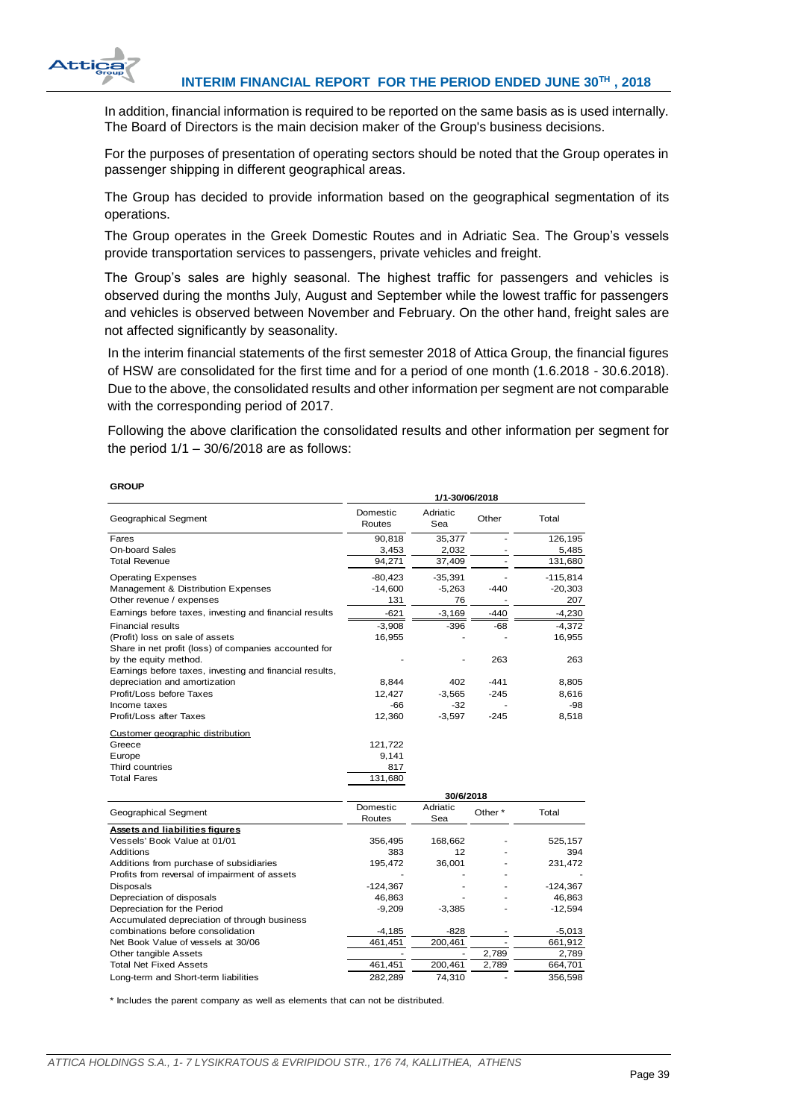

In addition, financial information is required to be reported on the same basis as is used internally. The Board of Directors is the main decision maker of the Group's business decisions.

For the purposes of presentation of operating sectors should be noted that the Group operates in passenger shipping in different geographical areas.

The Group has decided to provide information based on the geographical segmentation of its operations.

The Group operates in the Greek Domestic Routes and in Adriatic Sea. The Group's vessels provide transportation services to passengers, private vehicles and freight.

The Group's sales are highly seasonal. The highest traffic for passengers and vehicles is observed during the months July, August and September while the lowest traffic for passengers and vehicles is observed between November and February. On the other hand, freight sales are not affected significantly by seasonality.

In the interim financial statements of the first semester 2018 of Attica Group, the financial figures of HSW are consolidated for the first time and for a period of one month (1.6.2018 - 30.6.2018). Due to the above, the consolidated results and other information per segment are not comparable with the corresponding period of 2017.

Following the above clarification the consolidated results and other information per segment for the period  $1/1 - 30/6/2018$  are as follows:

| <b>GROUP</b>                                            |                    |                 |                    |            |
|---------------------------------------------------------|--------------------|-----------------|--------------------|------------|
|                                                         |                    | 1/1-30/06/2018  |                    |            |
| Geographical Segment                                    | Domestic<br>Routes | Adriatic<br>Sea | Other              | Total      |
| Fares                                                   | 90,818             | 35,377          |                    | 126,195    |
| <b>On-board Sales</b>                                   | 3,453              | 2,032           |                    | 5,485      |
| <b>Total Revenue</b>                                    | 94,271             | 37,409          |                    | 131,680    |
| <b>Operating Expenses</b>                               | $-80,423$          | $-35,391$       |                    | $-115,814$ |
| Management & Distribution Expenses                      | $-14,600$          | $-5,263$        | $-440$             | $-20,303$  |
| Other revenue / expenses                                | 131                | 76              |                    | 207        |
| Earnings before taxes, investing and financial results  | $-621$             | $-3,169$        | $-440$             | $-4,230$   |
| <b>Financial results</b>                                | $-3.908$           | $-396$          | $-68$              | $-4,372$   |
| (Profit) loss on sale of assets                         | 16,955             |                 |                    | 16,955     |
| Share in net profit (loss) of companies accounted for   |                    |                 |                    |            |
| by the equity method.                                   |                    |                 | 263                | 263        |
| Earnings before taxes, investing and financial results, |                    |                 |                    |            |
| depreciation and amortization                           | 8,844              | 402             | $-441$             | 8,805      |
| Profit/Loss before Taxes                                | 12.427             | $-3,565$        | $-245$             | 8,616      |
| Income taxes                                            | -66                | $-32$           |                    | -98        |
| Profit/Loss after Taxes                                 | 12,360             | $-3,597$        | $-245$             | 8,518      |
| Customer geographic distribution                        |                    |                 |                    |            |
| Greece                                                  | 121,722            |                 |                    |            |
| Europe                                                  | 9.141              |                 |                    |            |
| Third countries                                         | 817                |                 |                    |            |
| <b>Total Fares</b>                                      | 131,680            |                 |                    |            |
|                                                         |                    | 30/6/2018       |                    |            |
| Geographical Segment                                    | Domestic           | Adriatic        | Other <sup>*</sup> | Total      |
|                                                         | Routes             | Sea             |                    |            |

| Geographical Segment                          | Routes     | Sea      | Other * | Total      |
|-----------------------------------------------|------------|----------|---------|------------|
| <b>Assets and liabilities figures</b>         |            |          |         |            |
| Vessels' Book Value at 01/01                  | 356.495    | 168.662  |         | 525.157    |
| Additions                                     | 383        | 12       |         | 394        |
| Additions from purchase of subsidiaries       | 195.472    | 36.001   |         | 231.472    |
| Profits from reversal of impairment of assets |            |          |         |            |
| Disposals                                     | $-124.367$ |          |         | $-124,367$ |
| Depreciation of disposals                     | 46.863     |          |         | 46.863     |
| Depreciation for the Period                   | $-9.209$   | $-3.385$ |         | $-12.594$  |
| Accumulated depreciation of through business  |            |          |         |            |
| combinations before consolidation             | $-4.185$   | -828     |         | $-5,013$   |
| Net Book Value of vessels at 30/06            | 461.451    | 200.461  |         | 661,912    |
| Other tangible Assets                         |            |          | 2.789   | 2.789      |
| <b>Total Net Fixed Assets</b>                 | 461,451    | 200,461  | 2,789   | 664,701    |
| Long-term and Short-term liabilities          | 282.289    | 74.310   |         | 356.598    |

\* Includes the parent company as well as elements that can not be distributed.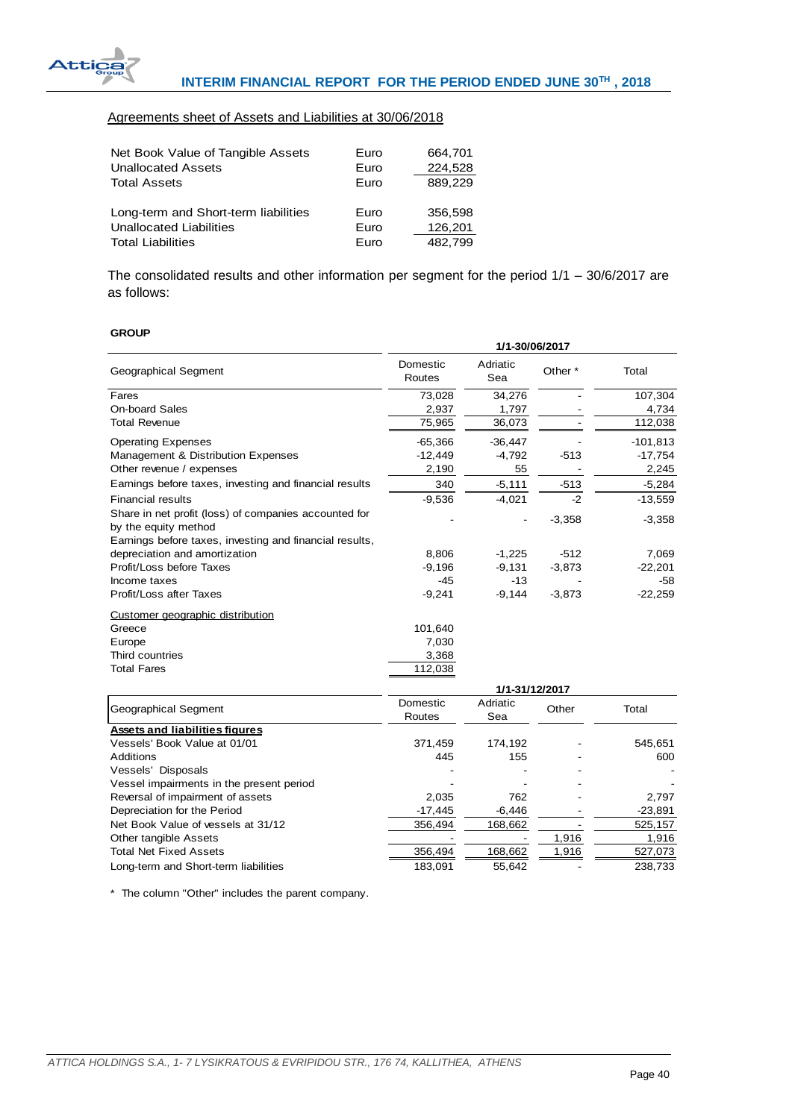

# Agreements sheet of Assets and Liabilities at 30/06/2018

| Net Book Value of Tangible Assets    | Euro | 664,701 |
|--------------------------------------|------|---------|
| <b>Unallocated Assets</b>            | Euro | 224,528 |
| <b>Total Assets</b>                  | Euro | 889,229 |
| Long-term and Short-term liabilities | Euro | 356,598 |
| Unallocated Liabilities              | Euro | 126,201 |
| <b>Total Liabilities</b>             | Euro | 482.799 |

The consolidated results and other information per segment for the period 1/1 – 30/6/2017 are as follows:

#### **GROUP**

|                                                                               | 1/1-30/06/2017     |                      |                    |                    |
|-------------------------------------------------------------------------------|--------------------|----------------------|--------------------|--------------------|
| Geographical Segment                                                          | Domestic<br>Routes | Adriatic<br>Sea      | Other <sup>*</sup> | Total              |
| Fares                                                                         | 73,028             | 34,276               |                    | 107,304            |
| <b>On-board Sales</b>                                                         | 2,937              | 1,797                |                    | 4,734              |
| <b>Total Revenue</b>                                                          | 75,965             | 36,073               |                    | 112,038            |
| <b>Operating Expenses</b>                                                     | $-65,366$          | $-36,447$            |                    | $-101,813$         |
| Management & Distribution Expenses                                            | $-12,449$          | $-4,792$             | $-513$             | $-17,754$          |
| Other revenue / expenses                                                      | 2,190              | 55                   |                    | 2,245              |
| Earnings before taxes, investing and financial results                        | 340                | $-5,111$             | $-513$             | $-5,284$           |
| <b>Financial results</b>                                                      | $-9,536$           | $-4,021$             | $-2$               | $-13,559$          |
| Share in net profit (loss) of companies accounted for<br>by the equity method |                    |                      | $-3,358$           | $-3,358$           |
| Earnings before taxes, investing and financial results,                       |                    |                      | $-512$             |                    |
| depreciation and amortization<br>Profit/Loss before Taxes                     | 8,806<br>$-9,196$  | $-1,225$<br>$-9,131$ | $-3,873$           | 7,069<br>$-22,201$ |
| Income taxes                                                                  | $-45$              | $-13$                |                    | $-58$              |
| Profit/Loss after Taxes                                                       | $-9,241$           | $-9,144$             | $-3,873$           | $-22,259$          |
| Customer geographic distribution                                              |                    |                      |                    |                    |
| Greece                                                                        | 101,640            |                      |                    |                    |
| Europe                                                                        | 7,030              |                      |                    |                    |
| Third countries                                                               | 3,368              |                      |                    |                    |
| <b>Total Fares</b>                                                            | 112,038            |                      |                    |                    |
|                                                                               |                    | 1/1-31/12/2017       |                    |                    |
|                                                                               | Domestic           | Adriatic             |                    |                    |
| Geographical Segment                                                          | Routes             | Sea                  | Other              | Total              |
| <b>Assets and liabilities figures</b>                                         |                    |                      |                    |                    |
| Vessels' Book Value at 01/01                                                  | 371,459            | 174,192              |                    | 545,651            |
| Additions                                                                     | 445                | 155                  |                    | 600                |
| Vessels' Disposals                                                            |                    |                      |                    |                    |
| Vessel impairments in the present period                                      |                    |                      |                    |                    |
| Reversal of impairment of assets                                              | 2,035              | 762                  |                    | 2,797              |
| Depreciation for the Period                                                   | $-17,445$          | $-6,446$             |                    | $-23,891$          |
| Net Book Value of vessels at 31/12                                            | 356,494            | 168,662              |                    | 525,157            |

Other tangible Assets - - 1,916<br>Total Net Fixed Assets - - 1,916 168,662 1,916 1,916 1,916 1,916 1,9173 Total Net Fixed Assets 356,494 168,662 1,916 527,073 Long-term and Short-term liabilities  $\overline{183,091}$   $\overline{55,642}$   $\overline{238,733}$ 

\* The column "Other" includes the parent company.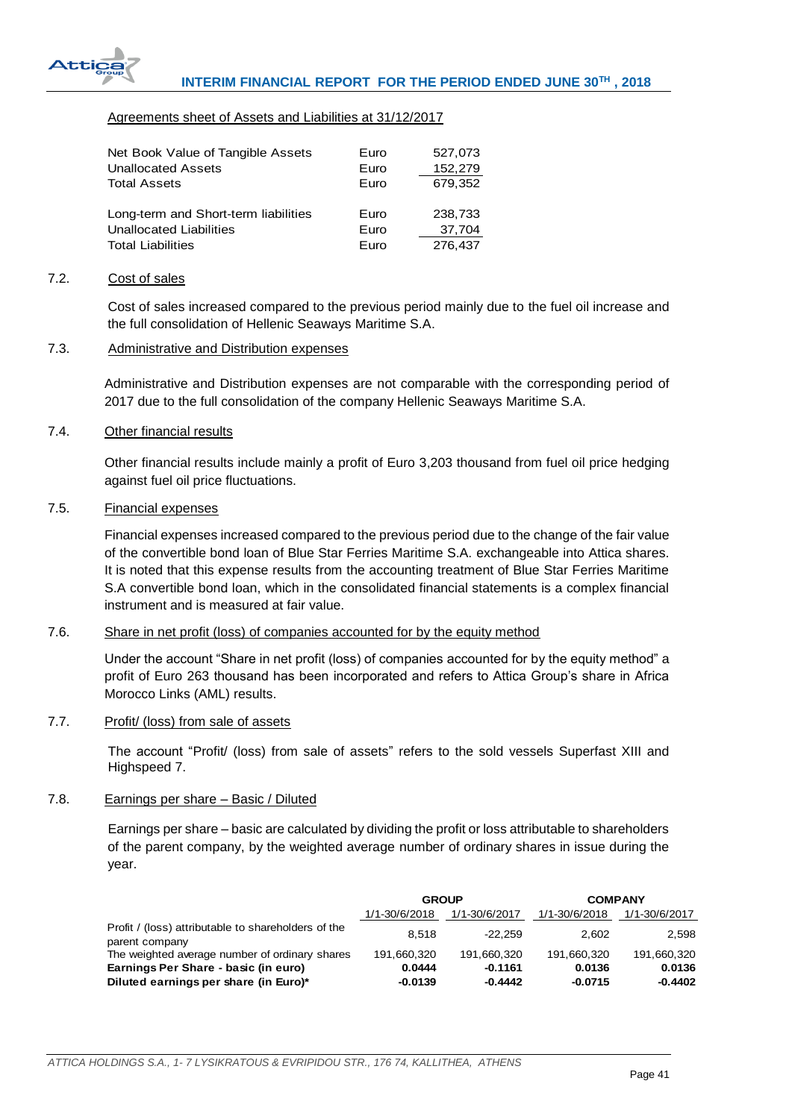

## Agreements sheet of Assets and Liabilities at 31/12/2017

| Net Book Value of Tangible Assets    | Euro | 527,073 |
|--------------------------------------|------|---------|
| <b>Unallocated Assets</b>            | Euro | 152,279 |
| <b>Total Assets</b>                  | Euro | 679,352 |
| Long-term and Short-term liabilities | Euro | 238,733 |
| Unallocated Liabilities              | Euro | 37,704  |
| <b>Total Liabilities</b>             | Euro | 276,437 |

#### <span id="page-41-0"></span>7.2. Cost of sales

Cost of sales increased compared to the previous period mainly due to the fuel oil increase and the full consolidation of Hellenic Seaways Maritime S.A.

# <span id="page-41-1"></span>7.3. Administrative and Distribution expenses

Administrative and Distribution expenses are not comparable with the corresponding period of 2017 due to the full consolidation of the company Hellenic Seaways Maritime S.A.

## <span id="page-41-2"></span>7.4. Other financial results

Other financial results include mainly a profit of Euro 3,203 thousand from fuel oil price hedging against fuel oil price fluctuations.

## <span id="page-41-3"></span>7.5. Financial expenses

Financial expenses increased compared to the previous period due to the change of the fair value of the convertible bond loan of Blue Star Ferries Maritime S.A. exchangeable into Attica shares. It is noted that this expense results from the accounting treatment of Blue Star Ferries Maritime S.A convertible bond loan, which in the consolidated financial statements is a complex financial instrument and is measured at fair value.

# <span id="page-41-4"></span>7.6. Share in net profit (loss) of companies accounted for by the equity method

Under the account "Share in net profit (loss) of companies accounted for by the equity method" a profit of Euro 263 thousand has been incorporated and refers to Attica Group's share in Africa Morocco Links (AML) results.

## <span id="page-41-5"></span>7.7. Profit/ (loss) from sale of assets

The account "Profit/ (loss) from sale of assets" refers to the sold vessels Superfast XIII and Highspeed 7.

## <span id="page-41-6"></span>7.8. Earnings per share – Basic / Diluted

Earnings per share – basic are calculated by dividing the profit or loss attributable to shareholders of the parent company, by the weighted average number of ordinary shares in issue during the year.

|                                                                       | <b>GROUP</b>  |               | <b>COMPANY</b> |               |
|-----------------------------------------------------------------------|---------------|---------------|----------------|---------------|
|                                                                       | 1/1-30/6/2018 | 1/1-30/6/2017 | 1/1-30/6/2018  | 1/1-30/6/2017 |
| Profit / (loss) attributable to shareholders of the<br>parent company | 8.518         | $-22.259$     | 2.602          | 2,598         |
| The weighted average number of ordinary shares                        | 191.660.320   | 191.660.320   | 191.660.320    | 191.660.320   |
| Earnings Per Share - basic (in euro)                                  | 0.0444        | $-0.1161$     | 0.0136         | 0.0136        |
| Diluted earnings per share (in Euro)*                                 | $-0.0139$     | $-0.4442$     | $-0.0715$      | $-0.4402$     |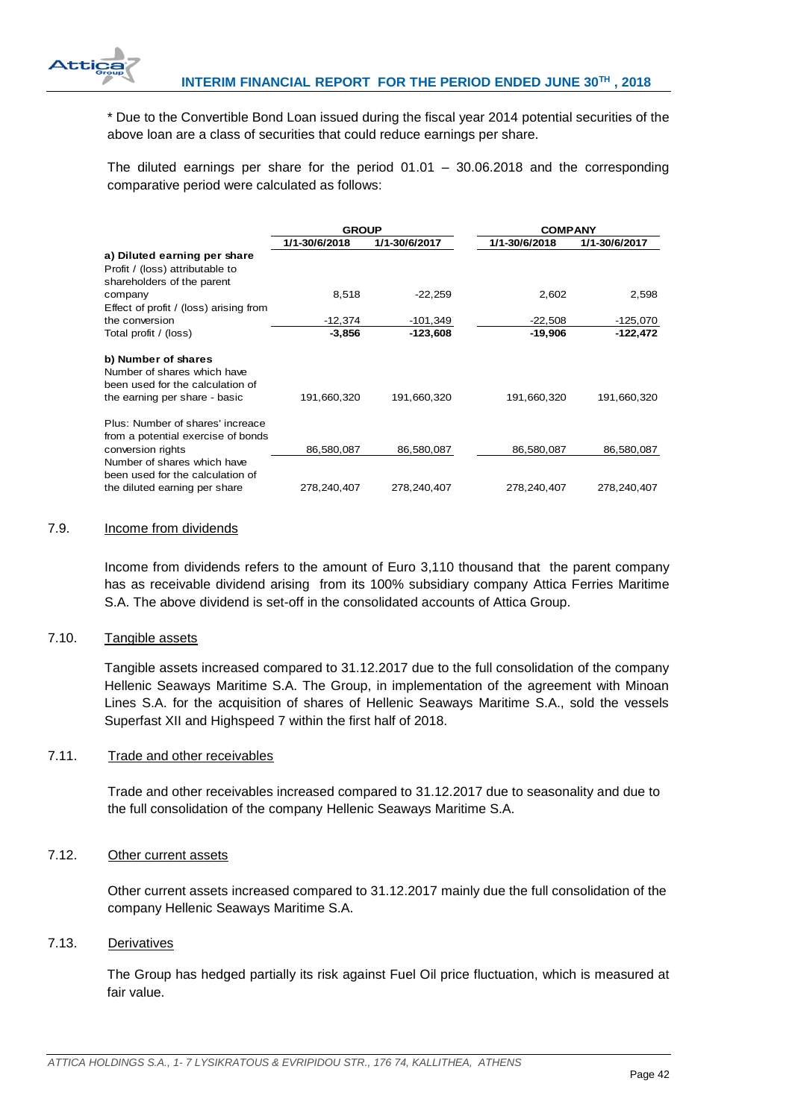

\* Due to the Convertible Bond Loan issued during the fiscal year 2014 potential securities of the above loan are a class of securities that could reduce earnings per share.

The diluted earnings per share for the period  $01.01 - 30.06.2018$  and the corresponding comparative period were calculated as follows:

|                                        | <b>GROUP</b>  |               | <b>COMPANY</b> |               |
|----------------------------------------|---------------|---------------|----------------|---------------|
|                                        | 1/1-30/6/2018 | 1/1-30/6/2017 | 1/1-30/6/2018  | 1/1-30/6/2017 |
| a) Diluted earning per share           |               |               |                |               |
| Profit / (loss) attributable to        |               |               |                |               |
| shareholders of the parent             |               |               |                |               |
| company                                | 8,518         | $-22,259$     | 2,602          | 2,598         |
| Effect of profit / (loss) arising from |               |               |                |               |
| the conversion                         | $-12,374$     | $-101,349$    | $-22,508$      | $-125,070$    |
| Total profit / (loss)                  | $-3,856$      | $-123,608$    | -19,906        | -122,472      |
| b) Number of shares                    |               |               |                |               |
| Number of shares which have            |               |               |                |               |
| been used for the calculation of       |               |               |                |               |
| the earning per share - basic          | 191,660,320   | 191,660,320   | 191,660,320    | 191,660,320   |
| Plus: Number of shares' increace       |               |               |                |               |
| from a potential exercise of bonds     |               |               |                |               |
| conversion rights                      | 86,580,087    | 86,580,087    | 86,580,087     | 86,580,087    |
| Number of shares which have            |               |               |                |               |
| been used for the calculation of       |               |               |                |               |
| the diluted earning per share          | 278,240,407   | 278,240,407   | 278,240,407    | 278,240,407   |

### <span id="page-42-0"></span>7.9. Income from dividends

Income from dividends refers to the amount of Euro 3,110 thousand that the parent company has as receivable dividend arising from its 100% subsidiary company Attica Ferries Maritime S.A. The above dividend is set-off in the consolidated accounts of Attica Group.

## <span id="page-42-1"></span>7.10. Tangible assets

Tangible assets increased compared to 31.12.2017 due to the full consolidation of the company Hellenic Seaways Maritime S.A. The Group, in implementation of the agreement with Minoan Lines S.A. for the acquisition of shares of Hellenic Seaways Maritime S.A., sold the vessels Superfast XII and Highspeed 7 within the first half of 2018.

# <span id="page-42-2"></span>7.11. Trade and other receivables

Trade and other receivables increased compared to 31.12.2017 due to seasonality and due to the full consolidation of the company Hellenic Seaways Maritime S.A.

## <span id="page-42-3"></span>7.12. Other current assets

Other current assets increased compared to 31.12.2017 mainly due the full consolidation of the company Hellenic Seaways Maritime S.A.

## <span id="page-42-4"></span>7.13. Derivatives

The Group has hedged partially its risk against Fuel Oil price fluctuation, which is measured at fair value.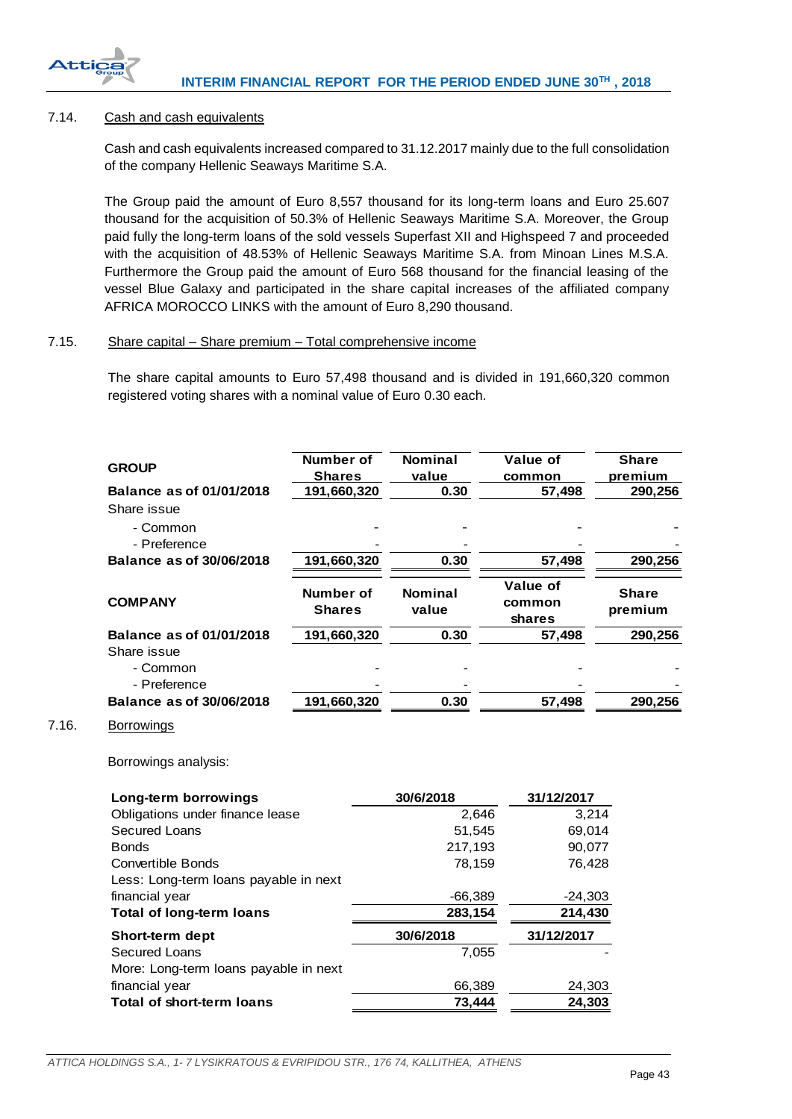

<span id="page-43-2"></span> $7.16.$ 

# <span id="page-43-0"></span>7.14. Cash and cash equivalents

Cash and cash equivalents increased compared to 31.12.2017 mainly due to the full consolidation of the company Hellenic Seaways Maritime S.A.

The Group paid the amount of Euro 8,557 thousand for its long-term loans and Euro 25.607 thousand for the acquisition of 50.3% of Hellenic Seaways Maritime S.A. Moreover, the Group paid fully the long-term loans of the sold vessels Superfast XII and Highspeed 7 and proceeded with the acquisition of 48.53% of Hellenic Seaways Maritime S.A. from Minoan Lines M.S.A. Furthermore the Group paid the amount of Euro 568 thousand for the financial leasing of the vessel Blue Galaxy and participated in the share capital increases of the affiliated company AFRICA MOROCCO LINKS with the amount of Euro 8,290 thousand.

# <span id="page-43-1"></span>7.15. Share capital – Share premium – Total comprehensive income

The share capital amounts to Euro 57,498 thousand and is divided in 191,660,320 common registered voting shares with a nominal value of Euro 0.30 each.

| <b>GROUP</b>                                            | <b>Number of</b>             | <b>Nominal</b>          | Value of                     | <b>Share</b>            |
|---------------------------------------------------------|------------------------------|-------------------------|------------------------------|-------------------------|
| <b>Balance as of 01/01/2018</b>                         | <b>Shares</b><br>191,660,320 | value<br>0.30           | common<br>57,498             | premium<br>290,256      |
| Share issue                                             |                              |                         |                              |                         |
| - Common                                                |                              |                         |                              |                         |
| - Preference                                            |                              |                         |                              |                         |
| <b>Balance as of 30/06/2018</b>                         | 191,660,320                  | 0.30                    | 57,498                       | 290,256                 |
| <b>COMPANY</b>                                          | Number of<br><b>Shares</b>   | <b>Nominal</b><br>value | Value of<br>common<br>shares | <b>Share</b><br>premium |
| Balance as of 01/01/2018                                | 191,660,320                  | 0.30                    | 57,498                       | 290,256                 |
| Share issue                                             |                              |                         |                              |                         |
| - Common                                                |                              |                         |                              |                         |
| - Preference                                            |                              |                         |                              |                         |
| <b>Balance as of 30/06/2018</b>                         | 191,660,320                  | 0.30                    | 57,498                       | 290,256                 |
| Borrowings analysis:<br>Long-term borrowings            |                              | 30/6/2018               | 31/12/2017                   |                         |
| Obligations under finance lease                         |                              |                         | 2,646                        | 3,214                   |
| <b>Secured Loans</b>                                    |                              |                         | 51,545                       | 69,014                  |
| <b>Bonds</b>                                            |                              | 217,193                 |                              | 90,077                  |
| <b>Convertible Bonds</b>                                |                              |                         | 78,159                       | 76,428                  |
| Less: Long-term loans payable in next                   |                              |                         |                              |                         |
| financial year                                          |                              | $-66,389$               |                              | $-24,303$               |
| <b>Total of long-term loans</b>                         |                              | 283,154                 | 214,430                      |                         |
| Short-term dept                                         |                              | 30/6/2018               | 31/12/2017                   |                         |
| <b>Secured Loans</b>                                    |                              |                         | 7,055                        |                         |
| More: Long-term loans payable in next<br>financial year |                              |                         | 66,389                       | 24,303                  |
| <b>Total of short-term loans</b>                        |                              |                         | 73,444                       | 24,303                  |
|                                                         |                              |                         |                              |                         |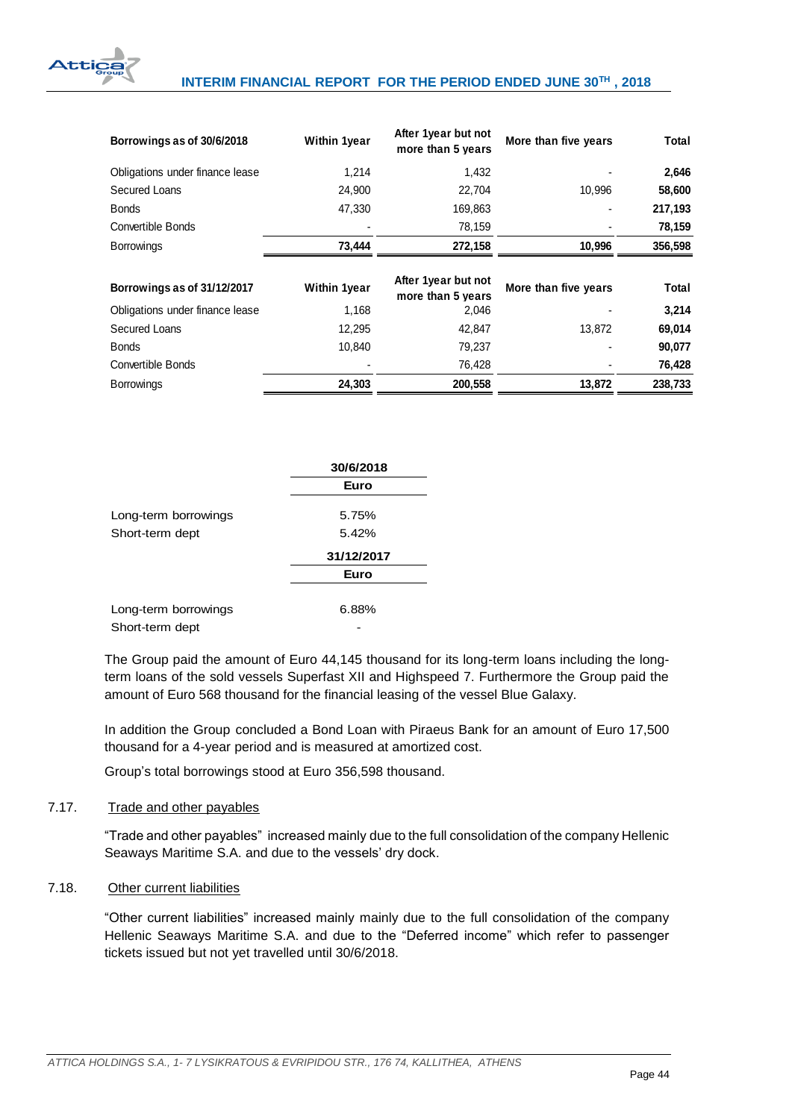

| Borrowings as of 30/6/2018      | <b>Within 1year</b> | After 1year but not<br>more than 5 years | More than five years | Total   |
|---------------------------------|---------------------|------------------------------------------|----------------------|---------|
| Obligations under finance lease | 1,214               | 1,432                                    |                      | 2,646   |
| Secured Loans                   | 24,900              | 22.704                                   | 10,996               | 58,600  |
| <b>Bonds</b>                    | 47,330              | 169,863                                  |                      | 217,193 |
| Convertible Bonds               |                     | 78,159                                   |                      | 78,159  |
| <b>Borrowings</b>               | 73,444              | 272,158                                  | 10,996               | 356,598 |
| Borrowings as of 31/12/2017     | <b>Within 1year</b> | After 1year but not<br>more than 5 years | More than five years | Total   |
| Obligations under finance lease | 1,168               | 2,046                                    |                      | 3,214   |
| Secured Loans                   | 12,295              | 42,847                                   | 13,872               | 69,014  |
| <b>Bonds</b>                    | 10,840              | 79,237                                   |                      | 90,077  |
| Convertible Bonds               |                     | 76,428                                   |                      | 76,428  |
| <b>Borrowings</b>               | 24,303              | 200,558                                  | 13,872               | 238,733 |

|                      | 30/6/2018  |  |  |
|----------------------|------------|--|--|
|                      | Euro       |  |  |
| Long-term borrowings | 5.75%      |  |  |
| Short-term dept      | 5.42%      |  |  |
|                      | 31/12/2017 |  |  |
|                      | Euro       |  |  |
|                      |            |  |  |
| Long-term borrowings | 6.88%      |  |  |
| Short-term dept      |            |  |  |

The Group paid the amount of Euro 44,145 thousand for its long-term loans including the longterm loans of the sold vessels Superfast XII and Highspeed 7. Furthermore the Group paid the amount of Euro 568 thousand for the financial leasing of the vessel Blue Galaxy.

In addition the Group concluded a Bond Loan with Piraeus Bank for an amount of Euro 17,500 thousand for a 4-year period and is measured at amortized cost.

Group's total borrowings stood at Euro 356,598 thousand.

# <span id="page-44-0"></span>7.17. Trade and other payables

"Trade and other payables" increased mainly due to the full consolidation of the company Hellenic Seaways Maritime S.A. and due to the vessels' dry dock.

# <span id="page-44-1"></span>7.18. Other current liabilities

"Other current liabilities" increased mainly mainly due to the full consolidation of the company Hellenic Seaways Maritime S.A. and due to the "Deferred income" which refer to passenger tickets issued but not yet travelled until 30/6/2018.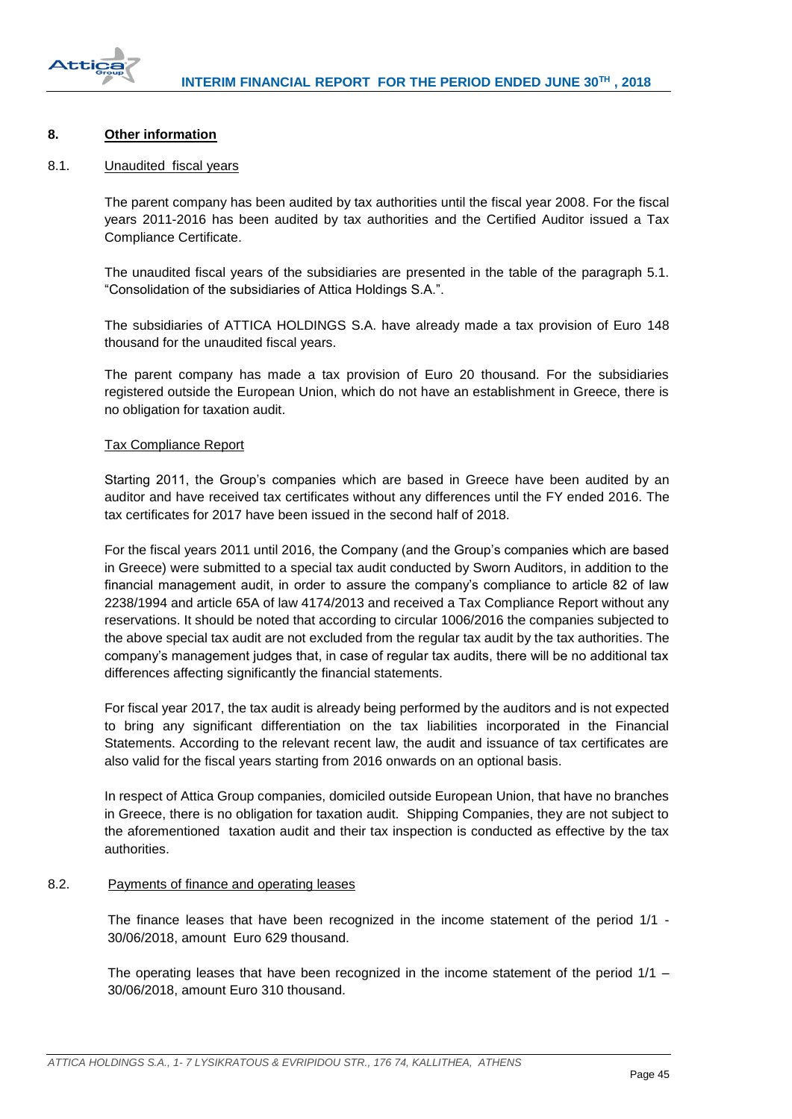

# <span id="page-45-0"></span>**8. Other information**

## <span id="page-45-1"></span>8.1. Unaudited fiscal years

The parent company has been audited by tax authorities until the fiscal year 2008. For the fiscal years 2011-2016 has been audited by tax authorities and the Certified Auditor issued a Tax Compliance Certificate.

The unaudited fiscal years of the subsidiaries are presented in the table of the paragraph 5.1. "Consolidation of the subsidiaries of Attica Holdings S.A.".

The subsidiaries of ATTICA HOLDINGS S.A. have already made a tax provision of Euro 148 thousand for the unaudited fiscal years.

The parent company has made a tax provision of Euro 20 thousand. For the subsidiaries registered outside the European Union, which do not have an establishment in Greece, there is no obligation for taxation audit.

## Tax Compliance Report

Starting 2011, the Group's companies which are based in Greece have been audited by an auditor and have received tax certificates without any differences until the FY ended 2016. The tax certificates for 2017 have been issued in the second half of 2018.

For the fiscal years 2011 until 2016, the Company (and the Group's companies which are based in Greece) were submitted to a special tax audit conducted by Sworn Auditors, in addition to the financial management audit, in order to assure the company's compliance to article 82 of law 2238/1994 and article 65A of law 4174/2013 and received a Tax Compliance Report without any reservations. It should be noted that according to circular 1006/2016 the companies subjected to the above special tax audit are not excluded from the regular tax audit by the tax authorities. The company's management judges that, in case of regular tax audits, there will be no additional tax differences affecting significantly the financial statements.

For fiscal year 2017, the tax audit is already being performed by the auditors and is not expected to bring any significant differentiation on the tax liabilities incorporated in the Financial Statements. According to the relevant recent law, the audit and issuance of tax certificates are also valid for the fiscal years starting from 2016 onwards on an optional basis.

In respect of Attica Group companies, domiciled outside European Union, that have no branches in Greece, there is no obligation for taxation audit. Shipping Companies, they are not subject to the aforementioned taxation audit and their tax inspection is conducted as effective by the tax authorities.

## <span id="page-45-2"></span>8.2. Payments of finance and operating leases

The finance leases that have been recognized in the income statement of the period 1/1 - 30/06/2018, amount Euro 629 thousand.

The operating leases that have been recognized in the income statement of the period  $1/1 -$ 30/06/2018, amount Euro 310 thousand.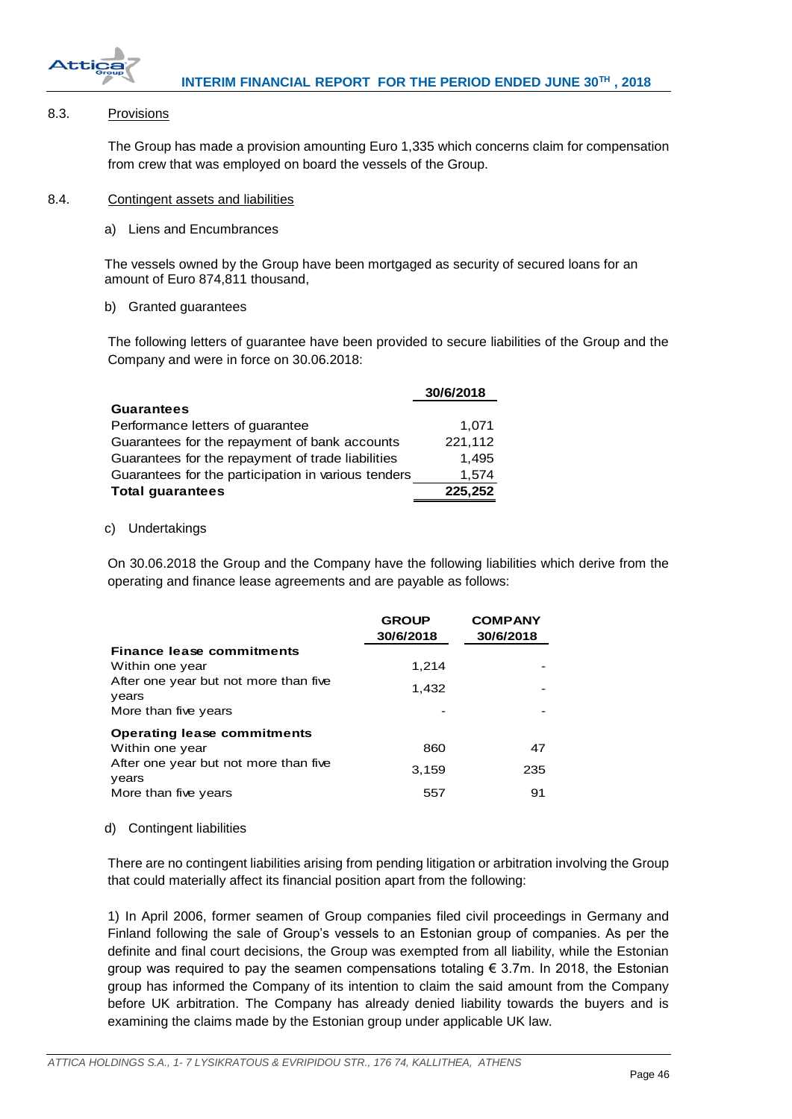

## <span id="page-46-0"></span>8.3. Provisions

The Group has made a provision amounting Euro 1,335 which concerns claim for compensation from crew that was employed on board the vessels of the Group.

## <span id="page-46-1"></span>8.4. Contingent assets and liabilities

a) Liens and Encumbrances

The vessels owned by the Group have been mortgaged as security of secured loans for an amount of Euro 874,811 thousand,

## b) Granted guarantees

The following letters of guarantee have been provided to secure liabilities of the Group and the Company and were in force on 30.06.2018:

| 30/6/2018 |
|-----------|
|           |
| 1.071     |
| 221,112   |
| 1.495     |
| 1,574     |
| 225,252   |
|           |

## c) Undertakings

On 30.06.2018 the Group and the Company have the following liabilities which derive from the operating and finance lease agreements and are payable as follows:

|                                                | <b>GROUP</b><br>30/6/2018 | <b>COMPANY</b><br>30/6/2018 |
|------------------------------------------------|---------------------------|-----------------------------|
| <b>Finance lease commitments</b>               |                           |                             |
| Within one year                                | 1,214                     |                             |
| After one year but not more than five<br>years | 1,432                     |                             |
| More than five years                           |                           |                             |
| <b>Operating lease commitments</b>             |                           |                             |
| Within one year                                | 860                       | 47                          |
| After one year but not more than five<br>years | 3,159                     | 235                         |
| More than five years                           | 557                       | 91                          |

## d) Contingent liabilities

There are no contingent liabilities arising from pending litigation or arbitration involving the Group that could materially affect its financial position apart from the following:

1) In April 2006, former seamen of Group companies filed civil proceedings in Germany and Finland following the sale of Group's vessels to an Estonian group of companies. As per the definite and final court decisions, the Group was exempted from all liability, while the Estonian group was required to pay the seamen compensations totaling  $\epsilon$  3.7m. In 2018, the Estonian group has informed the Company of its intention to claim the said amount from the Company before UK arbitration. The Company has already denied liability towards the buyers and is examining the claims made by the Estonian group under applicable UK law.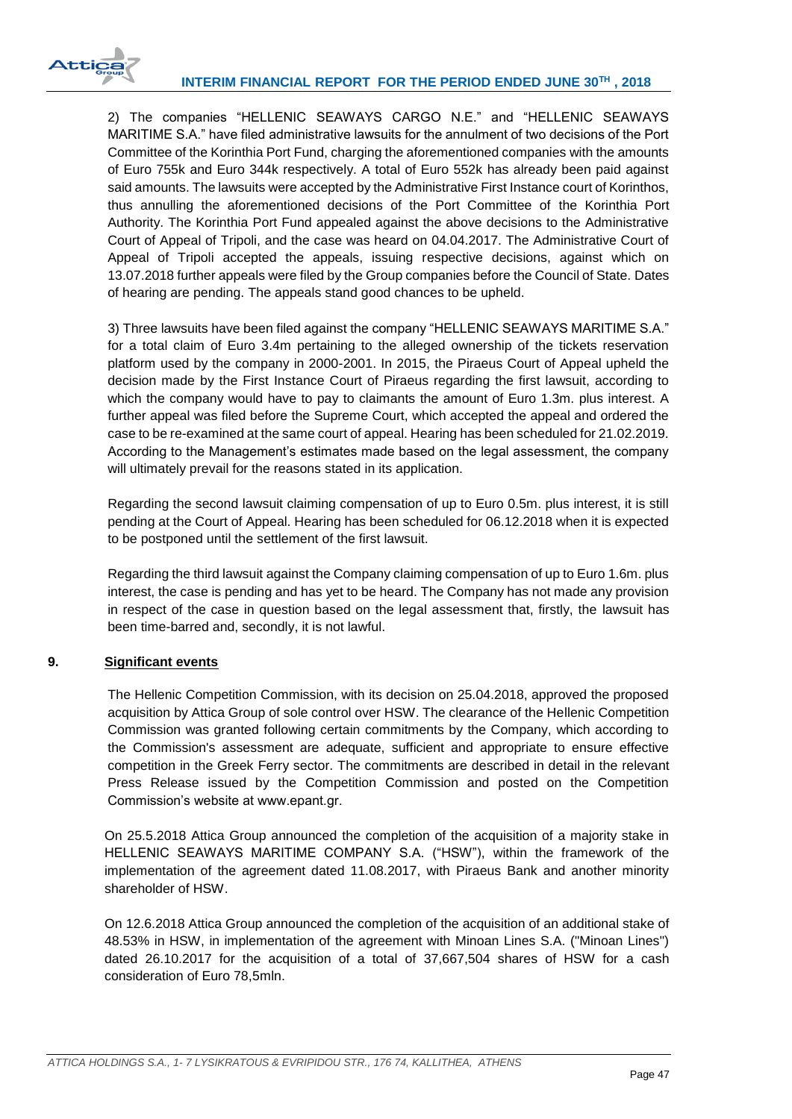

2) The companies "HELLENIC SEAWAYS CARGO N.E." and "HELLENIC SEAWAYS MARITIME S.A." have filed administrative lawsuits for the annulment of two decisions of the Port Committee of the Korinthia Port Fund, charging the aforementioned companies with the amounts of Euro 755k and Euro 344k respectively. A total of Euro 552k has already been paid against said amounts. The lawsuits were accepted by the Administrative First Instance court of Korinthos, thus annulling the aforementioned decisions of the Port Committee of the Korinthia Port Authority. The Korinthia Port Fund appealed against the above decisions to the Administrative Court of Appeal of Tripoli, and the case was heard on 04.04.2017. The Administrative Court of Appeal of Tripoli accepted the appeals, issuing respective decisions, against which on 13.07.2018 further appeals were filed by the Group companies before the Council of State. Dates of hearing are pending. The appeals stand good chances to be upheld.

3) Three lawsuits have been filed against the company "HELLENIC SEAWAYS MARITIME S.A." for a total claim of Euro 3.4m pertaining to the alleged ownership of the tickets reservation platform used by the company in 2000-2001. In 2015, the Piraeus Court of Appeal upheld the decision made by the First Instance Court of Piraeus regarding the first lawsuit, according to which the company would have to pay to claimants the amount of Euro 1.3m. plus interest. A further appeal was filed before the Supreme Court, which accepted the appeal and ordered the case to be re-examined at the same court of appeal. Hearing has been scheduled for 21.02.2019. According to the Management's estimates made based on the legal assessment, the company will ultimately prevail for the reasons stated in its application.

Regarding the second lawsuit claiming compensation of up to Euro 0.5m. plus interest, it is still pending at the Court of Appeal. Hearing has been scheduled for 06.12.2018 when it is expected to be postponed until the settlement of the first lawsuit.

Regarding the third lawsuit against the Company claiming compensation of up to Euro 1.6m. plus interest, the case is pending and has yet to be heard. The Company has not made any provision in respect of the case in question based on the legal assessment that, firstly, the lawsuit has been time-barred and, secondly, it is not lawful.

# <span id="page-47-0"></span>**9. Significant events**

The Hellenic Competition Commission, with its decision on 25.04.2018, approved the proposed acquisition by Attica Group of sole control over HSW. The clearance of the Hellenic Competition Commission was granted following certain commitments by the Company, which according to the Commission's assessment are adequate, sufficient and appropriate to ensure effective competition in the Greek Ferry sector. The commitments are described in detail in the relevant Press Release issued by the Competition Commission and posted on the Competition Commission's website at www.epant.gr.

On 25.5.2018 Attica Group announced the completion of the acquisition of a majority stake in HELLENIC SEAWAYS MARITIME COMPANY S.A. ("HSW"), within the framework of the implementation of the agreement dated 11.08.2017, with Piraeus Bank and another minority shareholder of HSW.

On 12.6.2018 Attica Group announced the completion of the acquisition of an additional stake of 48.53% in HSW, in implementation of the agreement with Minoan Lines S.A. ("Minoan Lines") dated 26.10.2017 for the acquisition of a total of 37,667,504 shares of HSW for a cash consideration of Euro 78,5mln.